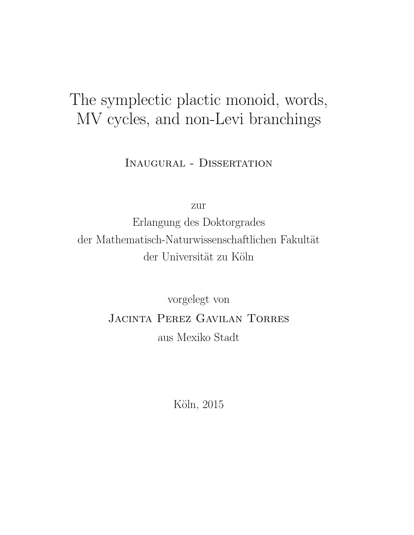# The symplectic plactic monoid, words, MV cycles, and non-Levi branchings

Inaugural - Dissertation

zur

Erlangung des Doktorgrades der Mathematisch-Naturwissenschaftlichen Fakultät der Universität zu Köln

> vorgelegt von Jacinta Perez Gavilan Torres aus Mexiko Stadt

> > Köln, 2015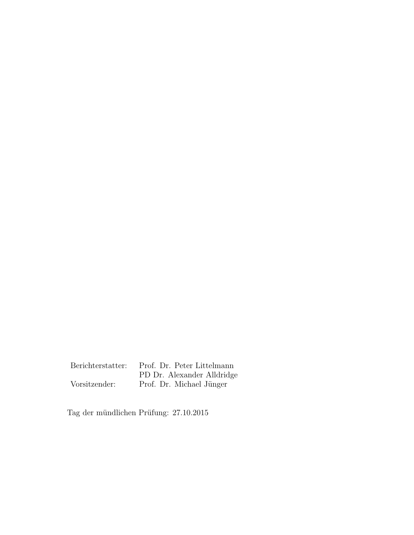Berichterstatter: Prof. Dr. Peter Littelmann PD Dr. Alexander Alldridge Vorsitzender: Prof. Dr. Michael Jünger

Tag der mündlichen Prüfung:  $27.10.2015\,$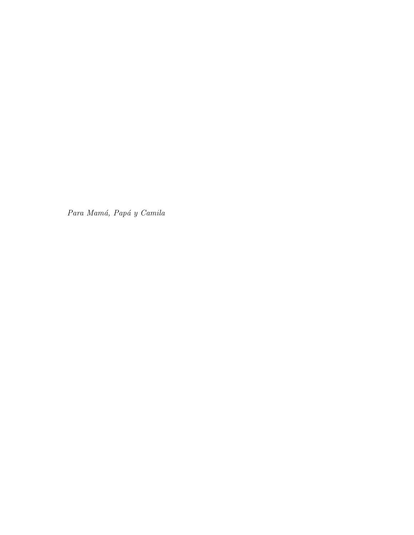Para Mamá, Papá y Camila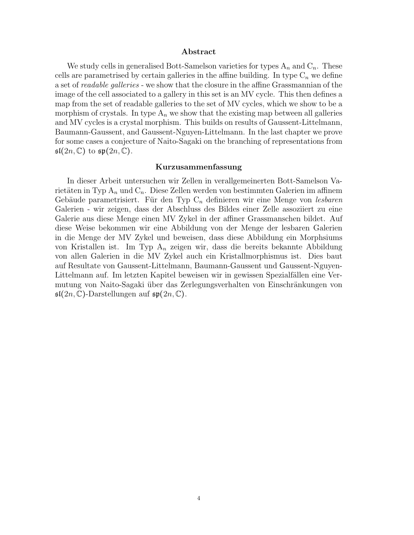#### Abstract

We study cells in generalised Bott-Samelson varieties for types  $A_n$  and  $C_n$ . These cells are parametrised by certain galleries in the affine building. In type  $C_n$  we define a set of *readable galleries* - we show that the closure in the affine Grassmannian of the image of the cell associated to a gallery in this set is an MV cycle. This then defines a map from the set of readable galleries to the set of MV cycles, which we show to be a morphism of crystals. In type  $A_n$  we show that the existing map between all galleries and MV cycles is a crystal morphism. This builds on results of Gaussent-Littelmann, Baumann-Gaussent, and Gaussent-Nguyen-Littelmann. In the last chapter we prove for some cases a conjecture of Naito-Sagaki on the branching of representations from  $\mathfrak{sl}(2n,\mathbb{C})$  to  $\mathfrak{sp}(2n,\mathbb{C})$ .

#### Kurzusammenfassung

In dieser Arbeit untersuchen wir Zellen in verallgemeinerten Bott-Samelson Varietäten in Typ  $A_n$  und  $C_n$ . Diese Zellen werden von bestimmten Galerien im affinem Gebäude parametrisiert. Für den Typ  $C_n$  definieren wir eine Menge von lesbaren Galerien - wir zeigen, dass der Abschluss des Bildes einer Zelle assoziiert zu eine Galerie aus diese Menge einen MV Zykel in der affiner Grassmanschen bildet. Auf diese Weise bekommen wir eine Abbildung von der Menge der lesbaren Galerien in die Menge der MV Zykel und beweisen, dass diese Abbildung ein Morphsiums von Kristallen ist. Im Typ  $A_n$  zeigen wir, dass die bereits bekannte Abbildung von allen Galerien in die MV Zykel auch ein Kristallmorphismus ist. Dies baut auf Resultate von Gaussent-Littelmann, Baumann-Gaussent und Gaussent-Nguyen-Littelmann auf. Im letzten Kapitel beweisen wir in gewissen Spezialfällen eine Vermutung von Naito-Sagaki über das Zerlegungsverhalten von Einschränkungen von  $\mathfrak{sl}(2n,\mathbb{C})$ -Darstellungen auf  $\mathfrak{sp}(2n,\mathbb{C})$ .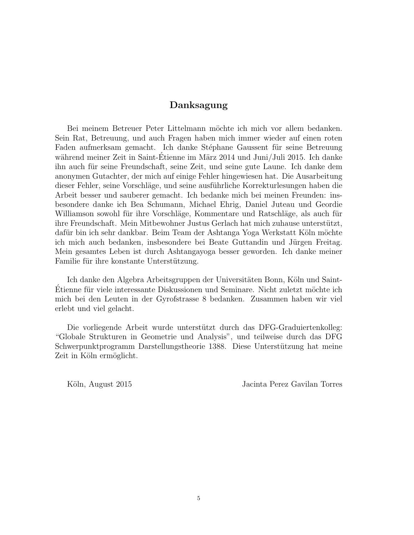# Danksagung

Bei meinem Betreuer Peter Littelmann möchte ich mich vor allem bedanken. Sein Rat, Betreuung, und auch Fragen haben mich immer wieder auf einen roten Faden aufmerksam gemacht. Ich danke Stéphane Gaussent für seine Betreuung während meiner Zeit in Saint-Etienne im März 2014 und Juni/Juli 2015. Ich danke ihn auch für seine Freundschaft, seine Zeit, und seine gute Laune. Ich danke dem anonymen Gutachter, der mich auf einige Fehler hingewiesen hat. Die Ausarbeitung dieser Fehler, seine Vorschläge, und seine ausführliche Korrekturlesungen haben die Arbeit besser und sauberer gemacht. Ich bedanke mich bei meinen Freunden: insbesondere danke ich Bea Schumann, Michael Ehrig, Daniel Juteau und Geordie Williamson sowohl für ihre Vorschläge, Kommentare und Ratschläge, als auch für ihre Freundschaft. Mein Mitbewohner Justus Gerlach hat mich zuhause unterstützt, dafür bin ich sehr dankbar. Beim Team der Ashtanga Yoga Werkstatt Köln möchte ich mich auch bedanken, insbesondere bei Beate Guttandin und Jürgen Freitag. Mein gesamtes Leben ist durch Ashtangayoga besser geworden. Ich danke meiner Familie für ihre konstante Unterstützung.

Ich danke den Algebra Arbeitsgruppen der Universitäten Bonn, Köln und Saint-Etienne für viele interessante Diskussionen und Seminare. Nicht zuletzt möchte ich mich bei den Leuten in der Gyrofstrasse 8 bedanken. Zusammen haben wir viel erlebt und viel gelacht.

Die vorliegende Arbeit wurde unterstützt durch das DFG-Graduiertenkolleg: "Globale Strukturen in Geometrie und Analysis", und teilweise durch das DFG Schwerpunktprogramm Darstellungstheorie 1388. Diese Unterstützung hat meine Zeit in Köln ermöglicht.

Köln, August 2015 Jacinta Perez Gavilan Torres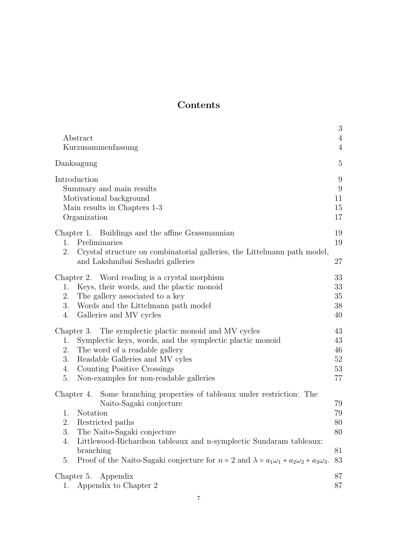# Contents

| Abstract<br>Kurzusammenfassung                                                                                                                                                                                                                                                                                                                                                                             | 3<br>4<br>$\overline{4}$                            |
|------------------------------------------------------------------------------------------------------------------------------------------------------------------------------------------------------------------------------------------------------------------------------------------------------------------------------------------------------------------------------------------------------------|-----------------------------------------------------|
| Danksagung                                                                                                                                                                                                                                                                                                                                                                                                 | $\overline{5}$                                      |
| Introduction<br>Summary and main results<br>Motivational background<br>Main results in Chapters 1-3<br>Organization                                                                                                                                                                                                                                                                                        | $9\phantom{.0}$<br>$9\phantom{.}$<br>11<br>15<br>17 |
| Chapter 1. Buildings and the affine Grassmannian<br>Preliminaries<br>1.<br>2.<br>Crystal structure on combinatorial galleries, the Littelmann path model,<br>and Lakshmibai Seshadri galleries                                                                                                                                                                                                             | 19<br>19<br>27                                      |
| Chapter 2. Word reading is a crystal morphism<br>Keys, their words, and the plactic monoid<br>1.<br>2.<br>The gallery associated to a key<br>3.<br>Words and the Littelmann path model<br>4.<br>Galleries and MV cycles                                                                                                                                                                                    | 33<br>33<br>35<br>38<br>40                          |
| Chapter 3. The symplectic plactic monoid and MV cycles<br>Symplectic keys, words, and the symplectic plactic monoid<br>1.<br>The word of a readable gallery<br>2.<br>3.<br>Readable Galleries and MV cyles<br>Counting Positive Crossings<br>4.<br>Non-examples for non-readable galleries<br>5.                                                                                                           | 43<br>43<br>46<br>52<br>53<br>77                    |
| Some branching properties of tableaux under restriction: The<br>Chapter 4.<br>Naito-Sagaki conjecture<br><b>Notation</b><br>1.<br>2.<br>Restricted paths<br>3.<br>The Naito-Sagaki conjecture<br>Littlewood-Richardson tableaux and n-symplectic Sundaram tableaux:<br>4.<br>branching<br>Proof of the Naito-Sagaki conjecture for $n = 2$ and $\lambda = a_1\omega_1 + a_2\omega_2 + a_3\omega_3$ .<br>5. | 79<br>79<br>80<br>80<br>81<br>83                    |
| Chapter 5.<br>Appendix<br>Appendix to Chapter 2<br>1.                                                                                                                                                                                                                                                                                                                                                      | 87<br>87                                            |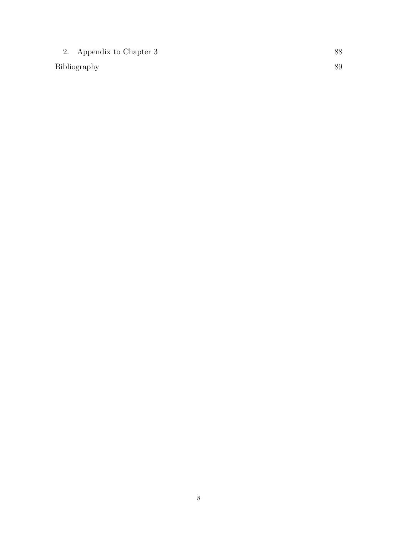2. Appendix to Chapter 3 88

Bibliography 89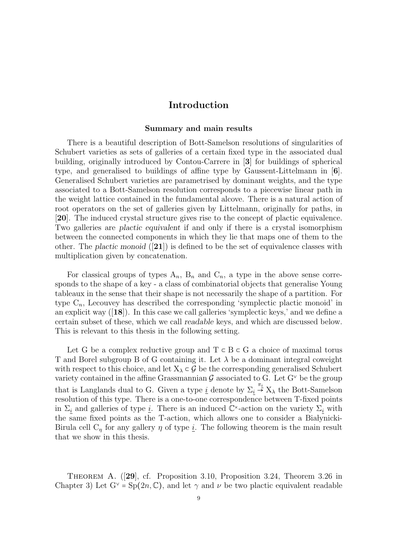# Introduction

#### Summary and main results

There is a beautiful description of Bott-Samelson resolutions of singularities of Schubert varieties as sets of galleries of a certain fixed type in the associated dual building, originally introduced by Contou-Carrere in [3] for buildings of spherical type, and generalised to buildings of affine type by Gaussent-Littelmann in [6]. Generalised Schubert varieties are parametrised by dominant weights, and the type associated to a Bott-Samelson resolution corresponds to a piecewise linear path in the weight lattice contained in the fundamental alcove. There is a natural action of root operators on the set of galleries given by Littelmann, originally for paths, in [20]. The induced crystal structure gives rise to the concept of plactic equivalence. Two galleries are plactic equivalent if and only if there is a crystal isomorphism between the connected components in which they lie that maps one of them to the other. The plactic monoid  $([21])$  is defined to be the set of equivalence classes with multiplication given by concatenation.

For classical groups of types  $A_n$ ,  $B_n$  and  $C_n$ , a type in the above sense corresponds to the shape of a key - a class of combinatorial objects that generalise Young tableaux in the sense that their shape is not necessarily the shape of a partition. For type  $C_n$ , Lecouvey has described the corresponding 'symplectic plactic monoid' in an explicit way  $([18])$ . In this case we call galleries 'symplectic keys,' and we define a certain subset of these, which we call readable keys, and which are discussed below. This is relevant to this thesis in the following setting.

Let G be a complex reductive group and  $T \subset B \subset G$  a choice of maximal torus T and Borel subgroup B of G containing it. Let  $\lambda$  be a dominant integral coweight with respect to this choice, and let  $X_{\lambda} \subset \mathcal{G}$  be the corresponding generalised Schubert variety contained in the affine Grassmannian G associated to G. Let  $G^{\vee}$  be the group that is Langlands dual to G. Given a type  $\underline{i}$  denote by  $\Sigma_i \stackrel{\pi_i}{\rightarrow} X_\lambda$  the Bott-Samelson resolution of this type. There is a one-to-one correspondence between T-fixed points in  $\Sigma_i$  and galleries of type <u>i</u>. There is an induced  $\mathbb{C}^{\times}$ -action on the variety  $\Sigma_i$  with the same fixed points as the T-action, which allows one to consider a Białynicki-Birula cell  $C_{\eta}$  for any gallery  $\eta$  of type <u>i</u>. The following theorem is the main result that we show in this thesis.

Theorem A. ([29], cf. Proposition 3.10, Proposition 3.24, Theorem 3.26 in Chapter 3) Let  $G^{\vee} = Sp(2n, \mathbb{C})$ , and let  $\gamma$  and  $\nu$  be two plactic equivalent readable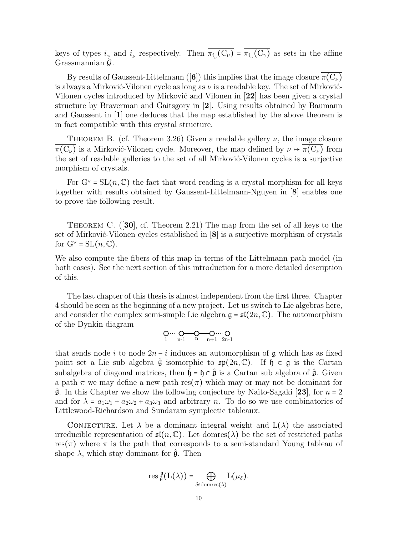keys of types  $\underline{i}_{\gamma}$  and  $\underline{i}_{\nu}$  respectively. Then  $\pi_{\underline{i}_{\nu}}(C_{\nu}) = \pi_{\underline{i}_{\gamma}}(C_{\gamma})$  as sets in the affine Grassmannian  $\mathcal{G}$ .

By results of Gaussent-Littelmann ([6]) this implies that the image closure  $\pi(C_\nu)$ is always a Mirković-Vilonen cycle as long as  $\nu$  is a readable key. The set of Mirković-Vilonen cycles introduced by Mirković and Vilonen in [22] has been given a crystal structure by Braverman and Gaitsgory in [2]. Using results obtained by Baumann and Gaussent in [1] one deduces that the map established by the above theorem is in fact compatible with this crystal structure.

THEOREM B. (cf. Theorem 3.26) Given a readable gallery  $\nu$ , the image closure  $\pi(C_{\nu})$  is a Mirković-Vilonen cycle. Moreover, the map defined by  $\nu \mapsto \pi(C_{\nu})$  from the set of readable galleries to the set of all Mirković-Vilonen cycles is a surjective morphism of crystals.

For  $G^{\vee} = SL(n, \mathbb{C})$  the fact that word reading is a crystal morphism for all keys together with results obtained by Gaussent-Littelmann-Nguyen in [8] enables one to prove the following result.

THEOREM C.  $([30], \text{cf. Theorem 2.21})$  The map from the set of all keys to the set of Mirković-Vilonen cycles established in  $[8]$  is a surjective morphism of crystals for  $G^{\vee} = SL(n, \mathbb{C}).$ 

We also compute the fibers of this map in terms of the Littelmann path model (in both cases). See the next section of this introduction for a more detailed description of this.

The last chapter of this thesis is almost independent from the first three. Chapter 4 should be seen as the beginning of a new project. Let us switch to Lie algebras here, and consider the complex semi-simple Lie algebra  $\mathfrak{g} = \mathfrak{sl}(2n, \mathbb{C})$ . The automorphism of the Dynkin diagram

$$
\underset{1}{\text{O}\cdots\cdots\text{O}}\underset{n-1}{\text{O}\cdots\text{O}}\underset{n}{\text{O}\cdots\text{O}}\underset{n+1}{\text{O}\cdots\text{O}}\cdots
$$

that sends node i to node  $2n - i$  induces an automorphism of g which has as fixed point set a Lie sub algebra  $\hat{\mathfrak{g}}$  isomorphic to  $\mathfrak{sp}(2n,\mathbb{C})$ . If  $\mathfrak{h} \subset \mathfrak{g}$  is the Cartan subalgebra of diagonal matrices, then  $\mathfrak{h} = \mathfrak{h} \cap \hat{\mathfrak{g}}$  is a Cartan sub algebra of  $\hat{\mathfrak{g}}$ . Given a path  $\pi$  we may define a new path res( $\pi$ ) which may or may not be dominant for  $\mathfrak{g}$ . In this Chapter we show the following conjecture by Naito-Sagaki [23], for  $n = 2$ and for  $\lambda = a_1\omega_1 + a_2\omega_2 + a_3\omega_3$  and arbitrary n. To do so we use combinatorics of Littlewood-Richardson and Sundaram symplectic tableaux.

CONJECTURE. Let  $\lambda$  be a dominant integral weight and  $L(\lambda)$  the associated irreducible representation of  $\mathfrak{sl}(n,\mathbb{C})$ . Let domres( $\lambda$ ) be the set of restricted paths res( $\pi$ ) where  $\pi$  is the path that corresponds to a semi-standard Young tableau of shape  $\lambda$ , which stay dominant for  $\hat{\mathfrak{g}}$ . Then

$$
\operatorname{res} \tfrac{\mathfrak{g}}{\hat{\mathfrak{g}}}\big({\rm L}(\lambda)\big)=\bigoplus_{\delta \in \operatorname{domres}(\lambda)} {\rm L}(\mu_\delta).
$$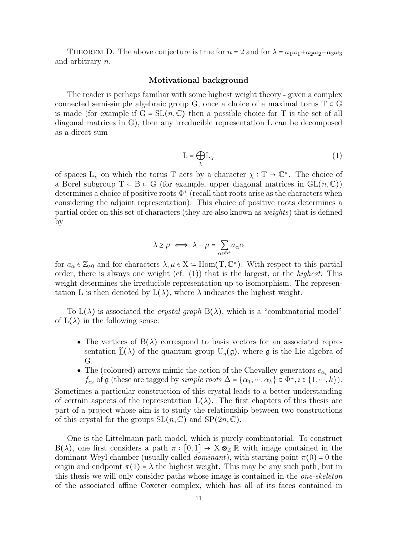THEOREM D. The above conjecture is true for  $n = 2$  and for  $\lambda = a_1\omega_1 + a_2\omega_2 + a_3\omega_3$ and arbitrary n.

#### Motivational background

The reader is perhaps familiar with some highest weight theory - given a complex connected semi-simple algebraic group G, once a choice of a maximal torus  $T \subset G$ is made (for example if  $G = SL(n, \mathbb{C})$  then a possible choice for T is the set of all diagonal matrices in G), then any irreducible representation L can be decomposed as a direct sum

$$
L = \bigoplus_{\chi} L_{\chi} \tag{1}
$$

of spaces  $L_{\chi}$  on which the torus T acts by a character  $\chi : T \to \mathbb{C}^{\times}$ . The choice of a Borel subgroup  $T \subset B \subset G$  (for example, upper diagonal matrices in  $GL(n, \mathbb{C})$ ) determines a choice of positive roots  $\Phi^+$  (recall that roots arise as the characters when considering the adjoint representation). This choice of positive roots determines a partial order on this set of characters (they are also known as weights) that is defined by

$$
\lambda \ge \mu \iff \lambda - \mu = \sum_{\alpha \in \Phi^+} a_\alpha \alpha
$$

for  $a_{\alpha} \in \mathbb{Z}_{\geq 0}$  and for characters  $\lambda, \mu \in X \coloneq \text{Hom}(T, \mathbb{C}^{\times})$ . With respect to this partial order, there is always one weight (cf.  $(1)$ ) that is the largest, or the *highest*. This weight determines the irreducible representation up to isomorphism. The representation L is then denoted by  $L(\lambda)$ , where  $\lambda$  indicates the highest weight.

To  $L(\lambda)$  is associated the *crystal graph*  $B(\lambda)$ , which is a "combinatorial model" of  $L(\lambda)$  in the following sense:

- The vertices of  $B(\lambda)$  correspond to basis vectors for an associated representation  $\tilde{L}(\lambda)$  of the quantum group  $U_q(\mathfrak{g})$ , where  $\mathfrak g$  is the Lie algebra of G.
- The (coloured) arrows mimic the action of the Chevalley generators  $e_{\alpha_i}$  and  $f_{\alpha_i}$  of  $\mathfrak g$  (these are tagged by *simple roots*  $\Delta = {\alpha_1, ..., \alpha_k} \subset \Phi^+, i \in \{1, ..., k\}$ ).

Sometimes a particular construction of this crystal leads to a better understanding of certain aspects of the representation  $L(\lambda)$ . The first chapters of this thesis are part of a project whose aim is to study the relationship between two constructions of this crystal for the groups  $SL(n, \mathbb{C})$  and  $SP(2n, \mathbb{C})$ .

One is the Littelmann path model, which is purely combinatorial. To construct  $B(\lambda)$ , one first considers a path  $\pi : [0,1] \to X \otimes_{\mathbb{Z}} \mathbb{R}$  with image contained in the dominant Weyl chamber (usually called *dominant*), with starting point  $\pi(0) = 0$  the origin and endpoint  $\pi(1) = \lambda$  the highest weight. This may be any such path, but in this thesis we will only consider paths whose image is contained in the *one-skeleton* of the associated affine Coxeter complex, which has all of its faces contained in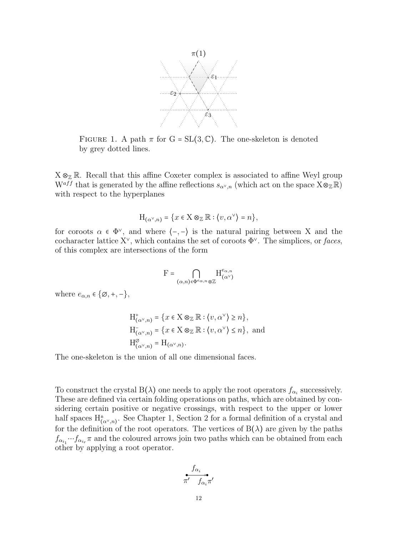

FIGURE 1. A path  $\pi$  for G = SL(3, C). The one-skeleton is denoted by grey dotted lines.

 $X \otimes_{\mathbb{Z}} \mathbb{R}$ . Recall that this affine Coxeter complex is associated to affine Weyl group W<sup>aff</sup> that is generated by the affine reflections  $s_{\alpha^{\vee},n}$  (which act on the space  $X \otimes_{\mathbb{Z}} \mathbb{R}$ ) with respect to the hyperplanes

$$
H_{(\alpha^{\vee},n)} = \{x \in X \otimes_{\mathbb{Z}} \mathbb{R} : \langle v, \alpha^{\vee} \rangle = n\},\
$$

for coroots  $\alpha \in \Phi^{\vee}$ , and where  $\langle -, - \rangle$  is the natural pairing between X and the cocharacter lattice  $X^{\vee}$ , which contains the set of coroots  $\Phi^{\vee}$ . The simplices, or faces, of this complex are intersections of the form

$$
F = \bigcap_{(\alpha,n) \in \Phi^{e_\alpha,n} \otimes \mathbb{Z}} H^{e_{\alpha,n}}_{(\alpha^\vee)}
$$

where  $e_{\alpha,n} \in \{\emptyset, +, -\},\$ 

$$
H^+_{(\alpha^\vee,n)} = \{x \in X \otimes_{\mathbb{Z}} \mathbb{R} : \langle v, \alpha^\vee \rangle \ge n\},\
$$
  
\n
$$
H^-_{(\alpha^\vee,n)} = \{x \in X \otimes_{\mathbb{Z}} \mathbb{R} : \langle v, \alpha^\vee \rangle \le n\},\
$$
and  
\n
$$
H^\varnothing_{(\alpha^\vee,n)} = H_{(\alpha^\vee,n)}.
$$

The one-skeleton is the union of all one dimensional faces.

To construct the crystal B( $\lambda$ ) one needs to apply the root operators  $f_{\alpha_i}$  successively. These are defined via certain folding operations on paths, which are obtained by considering certain positive or negative crossings, with respect to the upper or lower half spaces  $H^{\pm}_{(\alpha^{\vee},n)}$ . See Chapter 1, Section 2 for a formal definition of a crystal and for the definition of the root operators. The vertices of  $B(\lambda)$  are given by the paths  $f_{\alpha_{i_1}} \cdots f_{\alpha_{i_r}} \pi$  and the coloured arrows join two paths which can be obtained from each other by applying a root operator.

$$
\overset{f_{\alpha_i}}{\pi'} \overset{\bullet}{f_{\alpha_i}\pi'}
$$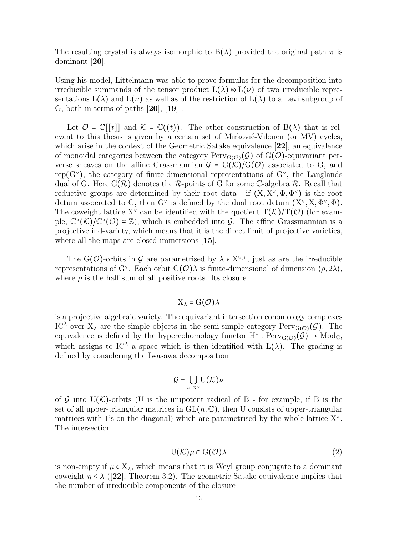The resulting crystal is always isomorphic to  $B(\lambda)$  provided the original path  $\pi$  is dominant [20].

Using his model, Littelmann was able to prove formulas for the decomposition into irreducible summands of the tensor product  $L(\lambda) \otimes L(\nu)$  of two irreducible representations  $L(\lambda)$  and  $L(\nu)$  as well as of the restriction of  $L(\lambda)$  to a Levi subgroup of G, both in terms of paths  $[20]$ ,  $[19]$ .

Let  $\mathcal{O} = \mathbb{C}[[t]]$  and  $\mathcal{K} = \mathbb{C}((t))$ . The other construction of  $B(\lambda)$  that is relevant to this thesis is given by a certain set of Mirković-Vilonen (or MV) cycles, which arise in the context of the Geometric Satake equivalence [22], an equivalence of monoidal categories between the category  $\text{Perv}_{G(\mathcal{O})}(\mathcal{G})$  of  $G(\mathcal{O})$ -equivariant perverse sheaves on the affine Grassmannian  $G = G(K)/G(\mathcal{O})$  associated to G, and rep( $G<sup>∨</sup>$ ), the category of finite-dimensional representations of  $G<sup>∨</sup>$ , the Langlands dual of G. Here  $G(\mathcal{R})$  denotes the  $\mathcal{R}$ -points of G for some C-algebra  $\mathcal{R}$ . Recall that reductive groups are determined by their root data - if  $(X, X^{\vee}, \Phi, \Phi^{\vee})$  is the root datum associated to G, then G<sup> $\vee$ </sup> is defined by the dual root datum  $(X^{\vee}, X, \Phi^{\vee}, \Phi)$ . The coweight lattice  $X^{\vee}$  can be identified with the quotient  $T(\mathcal{K})/T(\mathcal{O})$  (for example,  $\mathbb{C}^{\times}(\mathcal{K})/\mathbb{C}^{\times}(\mathcal{O}) \cong \mathbb{Z}$ , which is embedded into G. The affine Grassmannian is a projective ind-variety, which means that it is the direct limit of projective varieties, where all the maps are closed immersions [15].

The G(O)-orbits in G are parametrised by  $\lambda \in X^{\vee,+}$ , just as are the irreducible representations of G<sup> $\vee$ </sup>. Each orbit G( $\mathcal{O}(\lambda)$ ) is finite-dimensional of dimension  $\langle \rho, 2\lambda \rangle$ , where  $\rho$  is the half sum of all positive roots. Its closure

# $X_{\lambda} = \overline{G(\mathcal{O})\lambda}$

is a projective algebraic variety. The equivariant intersection cohomology complexes IC<sup> $\lambda$ </sup> over  $X_{\lambda}$  are the simple objects in the semi-simple category Perv<sub>G( $\mathcal{O}$ )( $\mathcal{G}$ ). The</sub> equivalence is defined by the hypercohomology functor  $H^* : \text{Perv}_{G(\mathcal{O})}(\mathcal{G}) \to \text{Mod}_{\mathbb{C}},$ which assigns to IC<sup> $\lambda$ </sup> a space which is then identified with L( $\lambda$ ). The grading is defined by considering the Iwasawa decomposition

$$
\mathcal{G} = \bigcup_{\nu \in \mathrm{X}^\vee} \mathrm{U}(\mathcal{K})\nu
$$

of G into  $U(K)$ -orbits (U is the unipotent radical of B - for example, if B is the set of all upper-triangular matrices in  $GL(n, \mathbb{C})$ , then U consists of upper-triangular matrices with 1's on the diagonal) which are parametrised by the whole lattice  $X^{\vee}$ . The intersection

$$
U(\mathcal{K})\mu \cap G(\mathcal{O})\lambda \tag{2}
$$

is non-empty if  $\mu \in X_{\lambda}$ , which means that it is Weyl group conjugate to a dominant coweight  $\eta \leq \lambda$  ([22], Theorem 3.2). The geometric Satake equivalence implies that the number of irreducible components of the closure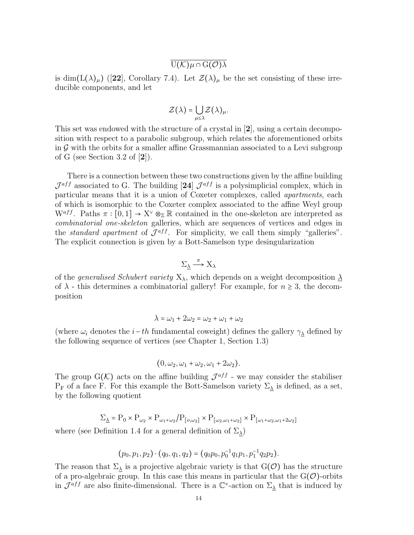# $\overline{U(\mathcal{K})\mu \cap G(\mathcal{O})\lambda}$

is dim(L( $\lambda$ )<sub>µ</sub>) ([22], Corollary 7.4). Let  $\mathcal{Z}(\lambda)_{\mu}$  be the set consisting of these irreducible components, and let

$$
\mathcal{Z}(\lambda) = \bigcup_{\mu \leq \lambda} \mathcal{Z}(\lambda)_{\mu}.
$$

This set was endowed with the structure of a crystal in [2], using a certain decomposition with respect to a parabolic subgroup, which relates the aforementioned orbits in  $\mathcal G$  with the orbits for a smaller affine Grassmannian associated to a Levi subgroup of G (see Section 3.2 of  $[2]$ ).

There is a connection between these two constructions given by the affine building  $\mathcal{J}^{aff}$  associated to G. The building [24]  $\mathcal{J}^{aff}$  is a polysimplicial complex, which in particular means that it is a union of Coxeter complexes, called apartments, each of which is isomorphic to the Coxeter complex associated to the affine Weyl group  $W^{aff}$ . Paths  $\pi : [0,1] \to X^{\vee} \otimes_{\mathbb{Z}} \mathbb{R}$  contained in the one-skeleton are interpreted as combinatorial one-skeleton galleries, which are sequences of vertices and edges in the *standard apartment* of  $\mathcal{J}^{aff}$ . For simplicity, we call them simply "galleries". The explicit connection is given by a Bott-Samelson type desingularization

$$
\Sigma_{\underline{\lambda}} \xrightarrow{\pi} X_{\lambda}
$$

of the *generalised Schubert variety*  $X_{\lambda}$ , which depends on a weight decomposition  $\lambda$ of  $\lambda$  - this determines a combinatorial gallery! For example, for  $n \geq 3$ , the decomposition

$$
\lambda = \omega_1 + 2\omega_2 = \omega_2 + \omega_1 + \omega_2
$$

(where  $\omega_i$  denotes the *i*-th fundamental coweight) defines the gallery  $\gamma_\lambda$  defined by the following sequence of vertices (see Chapter 1, Section 1.3)

$$
(0, \omega_2, \omega_1 + \omega_2, \omega_1 + 2\omega_2).
$$

The group  $G(\mathcal{K})$  acts on the affine building  $\mathcal{J}^{aff}$  - we may consider the stabiliser  $P_F$  of a face F. For this example the Bott-Samelson variety  $\Sigma_{\lambda}$  is defined, as a set, by the following quotient

$$
\Sigma_{\underline{\lambda}} = P_0 \times P_{\omega_2} \times P_{\omega_1 + \omega_2} / P_{[\omega, \omega_2]} \times P_{[\omega_2, \omega_1 + \omega_2]} \times P_{[\omega_1 + \omega_2, \omega_1 + 2\omega_2]}
$$

where (see Definition 1.4 for a general definition of  $\Sigma_{\lambda}$ )

$$
(p_0, p_1, p_2) \cdot (q_0, q_1, q_2) = (q_0 p_0, p_0^{-1} q_1 p_1, p_1^{-1} q_2 p_2).
$$

The reason that  $\Sigma_{\lambda}$  is a projective algebraic variety is that  $G(\mathcal{O})$  has the structure of a pro-algebraic group. In this case this means in particular that the  $G(\mathcal{O})$ -orbits in  $\mathcal{J}^{aff}$  are also finite-dimensional. There is a  $\mathbb{C}^{\times}$ -action on  $\Sigma_{\lambda}$  that is induced by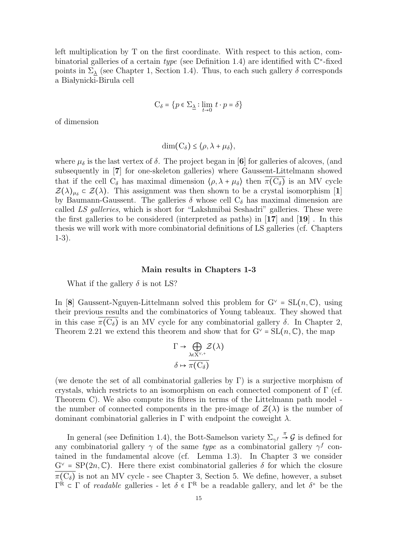left multiplication by T on the first coordinate. With respect to this action, combinatorial galleries of a certain type (see Definition 1.4) are identified with  $\mathbb{C}^*$ -fixed points in  $\Sigma_{\lambda}$  (see Chapter 1, Section 1.4). Thus, to each such gallery  $\delta$  corresponds a Białynicki-Birula cell

$$
\mathbf{C}_\delta=\big\{p\in\Sigma_{\underline{\lambda}}:\lim_{t\to 0}\;t\cdot p=\delta\big\}
$$

of dimension

$$
\dim(C_{\delta}) \leq \langle \rho, \lambda + \mu_{\delta} \rangle,
$$

where  $\mu_{\delta}$  is the last vertex of  $\delta$ . The project began in [6] for galleries of alcoves, (and subsequently in [7] for one-skeleton galleries) where Gaussent-Littelmann showed that if the cell  $C_{\delta}$  has maximal dimension  $\langle \rho, \lambda + \mu_{\delta} \rangle$  then  $\pi(C_{\delta})$  is an MV cycle  $\mathcal{Z}(\lambda)_{\mu_{\delta}} \subset \mathcal{Z}(\lambda)$ . This assignment was then shown to be a crystal isomorphism [1] by Baumann-Gaussent. The galleries  $\delta$  whose cell  $C_{\delta}$  has maximal dimension are called LS galleries, which is short for "Lakshmibai Seshadri" galleries. These were the first galleries to be considered (interpreted as paths) in  $\mathbf{17}$  and  $\mathbf{19}$ . In this thesis we will work with more combinatorial definitions of LS galleries (cf. Chapters 1-3).

#### Main results in Chapters 1-3

What if the gallery  $\delta$  is not LS?

In [8] Gaussent-Nguyen-Littelmann solved this problem for  $G^{\vee} = SL(n, \mathbb{C})$ , using their previous results and the combinatorics of Young tableaux. They showed that in this case  $\pi(C_{\delta})$  is an MV cycle for any combinatorial gallery  $\delta$ . In Chapter 2, Theorem 2.21 we extend this theorem and show that for  $G^{\vee} = SL(n, \mathbb{C})$ , the map

$$
\Gamma \to \bigoplus_{\lambda \in X^{\vee,+}} \mathcal{Z}(\lambda)
$$

$$
\delta \mapsto \overline{\pi(C_{\delta})}
$$

(we denote the set of all combinatorial galleries by  $\Gamma$ ) is a surjective morphism of crystals, which restricts to an isomorphism on each connected component of  $\Gamma$  (cf. Theorem C). We also compute its fibres in terms of the Littelmann path model the number of connected components in the pre-image of  $\mathcal{Z}(\lambda)$  is the number of dominant combinatorial galleries in  $\Gamma$  with endpoint the coweight  $\lambda$ .

In general (see Definition 1.4), the Bott-Samelson variety  $\Sigma_{\gamma f} \stackrel{\pi}{\rightarrow} \mathcal{G}$  is defined for any combinatorial gallery  $\gamma$  of the same type as a combinatorial gallery  $\gamma^f$  contained in the fundamental alcove (cf. Lemma 1.3). In Chapter 3 we consider  $G^{\vee}$  = SP(2n, C). Here there exist combinatorial galleries  $\delta$  for which the closure  $\overline{\pi(C_{\delta})}$  is not an MV cycle - see Chapter 3, Section 5. We define, however, a subset  $\Gamma^R \subset \Gamma$  of *readable* galleries - let  $\delta \in \Gamma^R$  be a readable gallery, and let  $\delta^+$  be the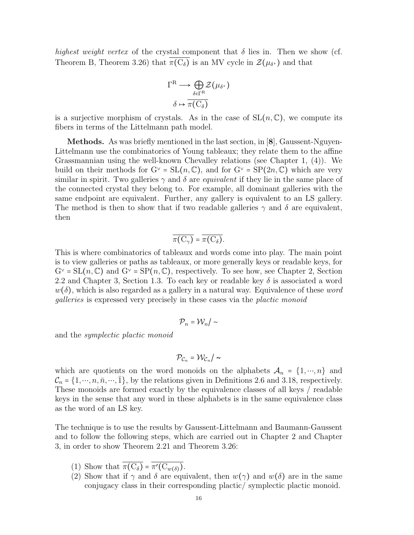highest weight vertex of the crystal component that  $\delta$  lies in. Then we show (cf. Theorem B, Theorem 3.26) that  $\pi(C_{\delta})$  is an MV cycle in  $\mathcal{Z}(\mu_{\delta^+})$  and that

$$
\Gamma^{\mathcal{R}} \longrightarrow \bigoplus_{\delta \in \Gamma^{\mathcal{R}}} \mathcal{Z}(\mu_{\delta^+})
$$

$$
\delta \mapsto \overline{\pi(C_{\delta})}
$$

is a surjective morphism of crystals. As in the case of  $SL(n,\mathbb{C})$ , we compute its fibers in terms of the Littelmann path model.

Methods. As was briefly mentioned in the last section, in [8], Gaussent-Nguyen-Littelmann use the combinatorics of Young tableaux; they relate them to the affine Grassmannian using the well-known Chevalley relations (see Chapter 1, (4)). We build on their methods for  $G^{\vee} = SL(n, \mathbb{C})$ , and for  $G^{\vee} = SP(2n, \mathbb{C})$  which are very similar in spirit. Two galleries  $\gamma$  and  $\delta$  are *equivalent* if they lie in the same place of the connected crystal they belong to. For example, all dominant galleries with the same endpoint are equivalent. Further, any gallery is equivalent to an LS gallery. The method is then to show that if two readable galleries  $\gamma$  and  $\delta$  are equivalent, then

$$
\overline{\pi(C_{\gamma})} = \overline{\pi(C_{\delta})}.
$$

This is where combinatorics of tableaux and words come into play. The main point is to view galleries or paths as tableaux, or more generally keys or readable keys, for  $G^{\vee} = SL(n, \mathbb{C})$  and  $G^{\vee} = SP(n, \mathbb{C})$ , respectively. To see how, see Chapter 2, Section 2.2 and Chapter 3, Section 1.3. To each key or readable key  $\delta$  is associated a word  $w(\delta)$ , which is also regarded as a gallery in a natural way. Equivalence of these word galleries is expressed very precisely in these cases via the plactic monoid

$$
\mathcal{P}_n = \mathcal{W}_n / \sim
$$

and the symplectic plactic monoid

$$
\mathcal{P}_{\mathcal{C}_n}=\mathcal{W}_{\mathcal{C}_n}/\sim
$$

which are quotients on the word monoids on the alphabets  $\mathcal{A}_n = \{1, \dots, n\}$  and  $\mathcal{C}_n = \{1, \dots, n, \bar{n}, \dots, \bar{1}\}\,$  by the relations given in Definitions 2.6 and 3.18, respectively. These monoids are formed exactly by the equivalence classes of all keys / readable keys in the sense that any word in these alphabets is in the same equivalence class as the word of an LS key.

The technique is to use the results by Gaussent-Littelmann and Baumann-Gaussent and to follow the following steps, which are carried out in Chapter 2 and Chapter 3, in order to show Theorem 2.21 and Theorem 3.26:

- (1) Show that  $\pi(C_{\delta}) = \pi'(C_{w(\delta)})$ .
- (2) Show that if  $\gamma$  and  $\delta$  are equivalent, then  $w(\gamma)$  and  $w(\delta)$  are in the same conjugacy class in their corresponding plactic/ symplectic plactic monoid.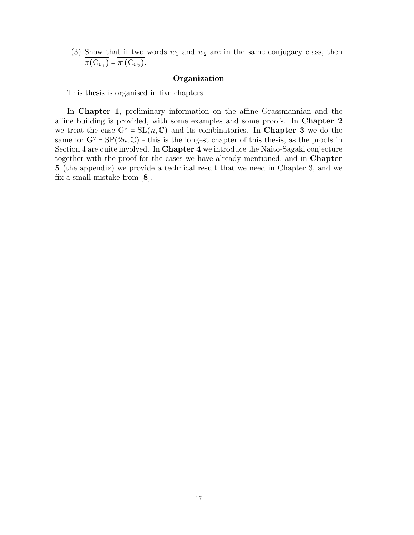(3) Show that if two words  $w_1$  and  $w_2$  are in the same conjugacy class, then  $\pi(\mathrm{C}_{w_1}) = \pi'(\mathrm{C}_{w_2}).$ 

#### Organization

This thesis is organised in five chapters.

In Chapter 1, preliminary information on the affine Grassmannian and the affine building is provided, with some examples and some proofs. In Chapter 2 we treat the case  $G^{\vee} = SL(n, \mathbb{C})$  and its combinatorics. In **Chapter 3** we do the same for  $G^{\vee} = \text{SP}(2n, \mathbb{C})$  - this is the longest chapter of this thesis, as the proofs in Section 4 are quite involved. In Chapter 4 we introduce the Naito-Sagaki conjecture together with the proof for the cases we have already mentioned, and in Chapter 5 (the appendix) we provide a technical result that we need in Chapter 3, and we fix a small mistake from [8].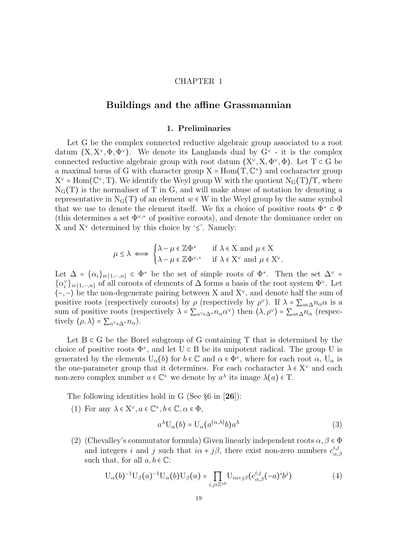#### CHAPTER 1

## Buildings and the affine Grassmannian

#### 1. Preliminaries

Let G be the complex connected reductive algebraic group associated to a root datum  $(X, X^{\vee}, \Phi, \Phi^{\vee})$ . We denote its Langlands dual by  $G^{\vee}$  - it is the complex connected reductive algebraic group with root datum  $(X^{\vee}, X, \Phi^{\vee}, \Phi)$ . Let T ⊂ G be a maximal torus of G with character group  $X = Hom(T, \mathbb{C}^{\times})$  and cocharacter group  $X^{\vee}$  = Hom( $\mathbb{C}^{\times}$ , T). We identify the Weyl group W with the quotient  $N_{\mathcal{G}}(T)/T$ , where  $N<sub>G</sub>(T)$  is the normaliser of T in G, and will make abuse of notation by denoting a representative in  $N_G(T)$  of an element  $w \in W$  in the Weyl group by the same symbol that we use to denote the element itself. We fix a choice of positive roots  $\Phi^+ \subset \Phi$ (this determines a set  $\Phi^{\vee,+}$  of positive coroots), and denote the dominance order on X and  $X^{\vee}$  determined by this choice by '≤'. Namely:

$$
\mu \leq \lambda \iff \begin{cases} \lambda - \mu \in \mathbb{Z} \Phi^+ & \text{if } \lambda \in \mathcal{X} \text{ and } \mu \in \mathcal{X} \\ \lambda - \mu \in \mathbb{Z} \Phi^{\vee,+} & \text{if } \lambda \in \mathcal{X}^\vee \text{ and } \mu \in \mathcal{X}^\vee. \end{cases}
$$

Let  $\Delta = {\alpha_i}_{i \in \{1,\cdots,n\}} \subset \Phi^+$  be the set of simple roots of  $\Phi^+$ . Then the set  $\Delta^{\vee}$  =  $\{\alpha_i^{\vee}\}_{i\in\{1,\cdots,n\}}$  of all coroots of elements of  $\Delta$  forms a basis of the root system  $\Phi^{\vee}$ . Let  $\langle$ -,- $\rangle$  be the non-degenerate pairing between X and X<sup> $\vee$ </sup>, and denote half the sum of positive roots (respectively coroots) by  $\rho$  (respectively by  $\rho^{\vee}$ ). If  $\lambda = \sum_{\alpha \in \Delta} n_{\alpha} \alpha$  is a sum of positive roots (respectively  $\lambda = \sum_{\alpha^{\vee} \in \Delta^{\vee}} n_{\alpha} \alpha^{\vee}$ ) then  $\langle \lambda, \rho^{\vee} \rangle = \sum_{\alpha \in \Delta} n_{\alpha}$  (respectively  $\langle \rho, \lambda \rangle = \sum_{\alpha^{\vee} \in \Delta^{\vee}} n_{\alpha}$ .

Let  $B \subset G$  be the Borel subgroup of G containing T that is determined by the choice of positive roots  $\Phi^+$ , and let  $U \subset B$  be its unipotent radical. The group U is generated by the elements  $U_{\alpha}(b)$  for  $b \in \mathbb{C}$  and  $\alpha \in \Phi^+$ , where for each root  $\alpha$ ,  $U_{\alpha}$  is the one-parameter group that it determines. For each cocharacter  $\lambda \in X^{\vee}$  and each non-zero complex number  $a \in \mathbb{C}^\times$  we denote by  $a^\lambda$  its image  $\lambda(a) \in \mathcal{T}$ .

The following identities hold in G (See  $\S6$  in [26]):

(1) For any  $\lambda \in X^{\vee}, a \in \mathbb{C}^{\times}, b \in \mathbb{C}, \alpha \in \Phi$ ,

$$
a^{\lambda}U_{\alpha}(b) = U_{\alpha}(a^{\langle \alpha, \lambda \rangle}b)a^{\lambda}
$$
 (3)

(2) (Chevalley's commutator formula) Given linearly independent roots  $\alpha, \beta \in \Phi$ and integers i and j such that  $i\alpha + j\beta$ , there exist non-zero numbers  $c_{\alpha}^{i,j}$  $\alpha,\!\beta$ such that, for all  $a, b \in \mathbb{C}$ :

$$
U_{\alpha}(b)^{-1}U_{\beta}(a)^{-1}U_{\alpha}(b)U_{\beta}(a) = \prod_{i,j \in \mathbb{Z}^{\geq 0}} U_{i\alpha+j\beta}(c_{\alpha,\beta}^{i,j}(-a)^{i}b^{j})
$$
(4)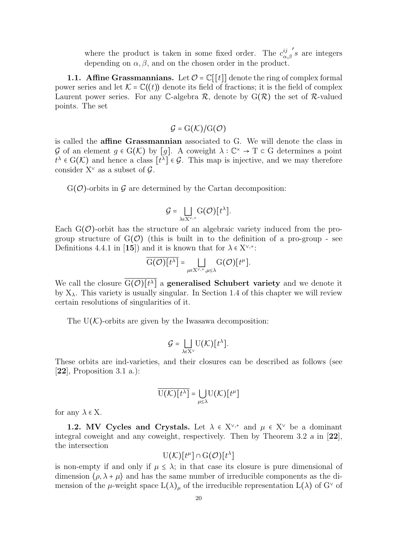where the product is taken in some fixed order. The  $c_{\infty}^{ij}$  $\alpha,\beta$  $s$  are integers depending on  $\alpha, \beta$ , and on the chosen order in the product.

**1.1. Affine Grassmannians.** Let  $\mathcal{O} = \mathbb{C}[[t]]$  denote the ring of complex formal power series and let  $\mathcal{K} = \mathbb{C}((t))$  denote its field of fractions; it is the field of complex Laurent power series. For any C-algebra  $\mathcal{R}$ , denote by  $G(\mathcal{R})$  the set of R-valued points. The set

# $G = G(K)/G(\mathcal{O})$

is called the affine Grassmannian associated to G. We will denote the class in G of an element  $g \in G(\mathcal{K})$  by [g]. A coweight  $\lambda : \mathbb{C}^{\times} \to T \subset G$  determines a point  $t^{\lambda} \in G(\mathcal{K})$  and hence a class  $[t^{\lambda}] \in \mathcal{G}$ . This map is injective, and we may therefore consider  $X^{\vee}$  as a subset of  $\mathcal{G}$ .

 $G(\mathcal{O})$ -orbits in  $\mathcal G$  are determined by the Cartan decomposition:

$$
\mathcal{G} = \bigsqcup_{\lambda \in X^{\vee,+}} G(\mathcal{O})[t^{\lambda}].
$$

Each  $G(\mathcal{O})$ -orbit has the structure of an algebraic variety induced from the progroup structure of  $G(\mathcal{O})$  (this is built in to the definition of a pro-group - see Definitions 4.4.1 in [15]) and it is known that for  $\lambda \in X^{\vee,+}$ :

$$
\overline{\mathrm{G}(\mathcal{O})[t^{\lambda}]} = \bigsqcup_{\mu \in \mathrm{X}^{\vee,+}, \mu \leq \lambda} \mathrm{G}(\mathcal{O})[t^{\mu}].
$$

We call the closure  $G(\mathcal{O})[t^{\lambda}]$  a generalised Schubert variety and we denote it by  $X_{\lambda}$ . This variety is usually singular. In Section 1.4 of this chapter we will review certain resolutions of singularities of it.

The  $U(\mathcal{K})$ -orbits are given by the Iwasawa decomposition:

$$
\mathcal{G} = \bigsqcup_{\lambda \in X^{\vee}} U(\mathcal{K})[t^{\lambda}].
$$

These orbits are ind-varieties, and their closures can be described as follows (see  $[22]$ , Proposition 3.1 a.):

$$
\overline{\mathrm{U}(\mathcal{K})[t^{\lambda}]} = \bigcup_{\mu \leq \lambda} \mathrm{U}(\mathcal{K})[t^{\mu}]
$$

for any  $\lambda \in X$ .

1.2. MV Cycles and Crystals. Let  $\lambda \in X^{\vee,+}$  and  $\mu \in X^{\vee}$  be a dominant integral coweight and any coweight, respectively. Then by Theorem 3.2 a in [22], the intersection

$$
U(\mathcal{K})[t^{\mu}] \cap G(\mathcal{O})[t^{\lambda}]
$$

is non-empty if and only if  $\mu \leq \lambda$ ; in that case its closure is pure dimensional of dimension  $\langle \rho, \lambda + \mu \rangle$  and has the same number of irreducible components as the dimension of the  $\mu$ -weight space  $L(\lambda)_{\mu}$  of the irreducible representation  $L(\lambda)$  of  $G^{\vee}$  of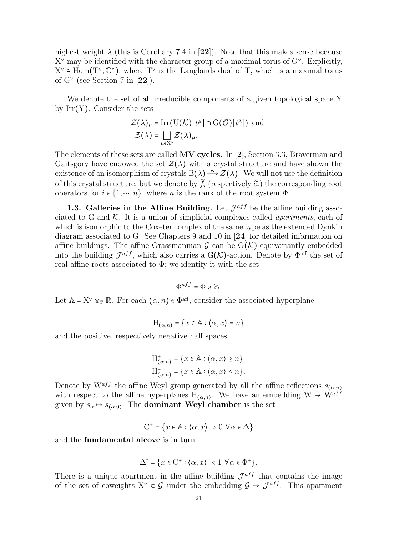highest weight  $\lambda$  (this is Corollary 7.4 in [22]). Note that this makes sense because  $X^{\vee}$  may be identified with the character group of a maximal torus of  $G^{\vee}$ . Explicitly,  $X^{\vee} \cong \text{Hom}(T^{\vee}, \mathbb{C}^{\times})$ , where  $T^{\vee}$  is the Langlands dual of T, which is a maximal torus of  $G^{\vee}$  (see Section 7 in [22]).

We denote the set of all irreducible components of a given topological space Y by  $Irr(Y)$ . Consider the sets

$$
\mathcal{Z}(\lambda)_{\mu} = \text{Irr}(\mathbf{U}(\mathcal{K})[t^{\mu}] \cap \mathbf{G}(\mathcal{O})[t^{\lambda}]) \text{ and}
$$

$$
\mathcal{Z}(\lambda) = \bigsqcup_{\mu \in \mathbf{X}^{\vee}} \mathcal{Z}(\lambda)_{\mu}.
$$

The elements of these sets are called  $MV$  cycles. In [2], Section 3.3, Braverman and Gaitsgory have endowed the set  $\mathcal{Z}(\lambda)$  with a crystal structure and have shown the existence of an isomorphism of crystals B( $\lambda$ )  $\rightarrow$  Z( $\lambda$ ). We will not use the definition of this crystal structure, but we denote by  $\tilde{f}_i$  (respectively  $\tilde{e}_i$ ) the corresponding root operators for  $i \in \{1, \dots, n\}$ , where n is the rank of the root system  $\Phi$ .

1.3. Galleries in the Affine Building. Let  $\mathcal{J}^{aff}$  be the affine building associated to G and  $K$ . It is a union of simplicial complexes called *apartments*, each of which is isomorphic to the Coxeter complex of the same type as the extended Dynkin diagram associated to G. See Chapters 9 and 10 in [24] for detailed information on affine buildings. The affine Grassmannian  $\mathcal G$  can be  $G(\mathcal K)$ -equivariantly embedded into the building  $\mathcal{J}^{aff}$ , which also carries a  $G(\mathcal{K})$ -action. Denote by  $\Phi^{aff}$  the set of real affine roots associated to  $\Phi$ ; we identify it with the set

$$
\Phi^{aff} = \Phi \times \mathbb{Z}.
$$

Let  $A = X^{\vee} \otimes_{\mathbb{Z}} \mathbb{R}$ . For each  $(\alpha, n) \in \Phi^{\text{aff}}$ , consider the associated hyperplane

$$
\mathcal{H}_{(\alpha,n)} = \{x \in \mathbb{A} : \langle \alpha, x \rangle = n\}
$$

and the positive, respectively negative half spaces

$$
H^+_{(\alpha,n)} = \{x \in \mathbb{A} : \langle \alpha, x \rangle \ge n\}
$$
  

$$
H^-_{(\alpha,n)} = \{x \in \mathbb{A} : \langle \alpha, x \rangle \le n\}.
$$

Denote by W<sup>aff</sup> the affine Weyl group generated by all the affine reflections  $s_{(\alpha,n)}$ with respect to the affine hyperplanes  $H_{(\alpha,n)}$ . We have an embedding  $W \hookrightarrow W^{aff}$ given by  $s_{\alpha} \mapsto s_{(\alpha,0)}$ . The **dominant Weyl chamber** is the set

$$
C^+ = \{x \in \mathbb{A} : \langle \alpha, x \rangle > 0 \ \forall \alpha \in \Delta\}
$$

and the fundamental alcove is in turn

$$
\Delta^f = \{ x \in C^+ : \langle \alpha, x \rangle < 1 \ \forall \alpha \in \Phi^+ \}.
$$

There is a unique apartment in the affine building  $\mathcal{J}^{aff}$  that contains the image of the set of coweights  $X^{\vee} \subset \mathcal{G}$  under the embedding  $\mathcal{G} \to \mathcal{J}^{aff}$ . This apartment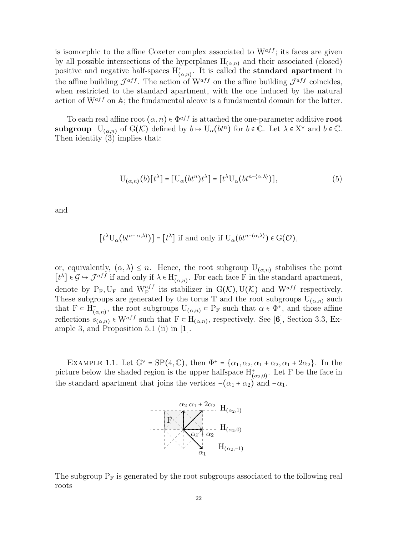is isomorphic to the affine Coxeter complex associated to  $W^{aff}$ ; its faces are given by all possible intersections of the hyperplanes  $H_{(\alpha,n)}$  and their associated (closed) positive and negative half-spaces  $H^{\pm}_{(\alpha,n)}$ . It is called the **standard apartment** in the affine building  $\mathcal{J}^{aff}$ . The action of  $W^{aff}$  on the affine building  $\mathcal{J}^{aff}$  coincides, when restricted to the standard apartment, with the one induced by the natural action of  $W^{aff}$  on A; the fundamental alcove is a fundamental domain for the latter.

To each real affine root  $(\alpha, n) \in \Phi^{aff}$  is attached the one-parameter additive root subgroup  $U_{(\alpha,n)}$  of  $G(\mathcal{K})$  defined by  $b \mapsto U_{\alpha}(bt^{n})$  for  $b \in \mathbb{C}$ . Let  $\lambda \in X^{\vee}$  and  $b \in \mathbb{C}$ . Then identity (3) implies that:

$$
U_{(\alpha,n)}(b)[t^{\lambda}] = [U_{\alpha}(bt^{n})t^{\lambda}] = [t^{\lambda}U_{\alpha}(bt^{n-(\alpha,\lambda)})], \qquad (5)
$$

and

$$
[t^{\lambda}U_{\alpha}(bt^{n-\alpha,\lambda})]= [t^{\lambda}] \text{ if and only if } U_{\alpha}(bt^{n-(\alpha,\lambda)}) \in G(\mathcal{O}),
$$

or, equivalently,  $\langle \alpha, \lambda \rangle \leq n$ . Hence, the root subgroup  $U_{(\alpha,n)}$  stabilises the point  $[t^{\lambda}] \in \mathcal{G} \hookrightarrow \mathcal{J}^{aff}$  if and only if  $\lambda \in H_{(\alpha,n)}^{-}$ . For each face F in the standard apartment, denote by  $P_F$ ,  $U_F$  and  $W_F^{aff}$  its stabilizer in  $G(K)$ ,  $U(K)$  and  $W^{aff}$  respectively. These subgroups are generated by the torus T and the root subgroups  $U_{(\alpha,n)}$  such that  $F \subset H_{(\alpha,n)}^-$ , the root subgroups  $U_{(\alpha,n)} \subset P_F$  such that  $\alpha \in \Phi^+$ , and those affine reflections  $s_{(\alpha,n)} \in W^{aff}$  such that  $F \subset H_{(\alpha,n)}$ , respectively. See [6], Section 3.3, Example 3, and Proposition 5.1 (ii) in  $[1]$ .

EXAMPLE 1.1. Let  $G^{\vee} = SP(4, \mathbb{C})$ , then  $\Phi^+ = {\alpha_1, \alpha_2, \alpha_1 + \alpha_2, \alpha_1 + 2\alpha_2}$ . In the picture below the shaded region is the upper halfspace  $H^{\dagger}_{(\alpha_2,0)}$ . Let F be the face in the standard apartment that joins the vertices  $-(\alpha_1 + \alpha_2)$  and  $-\alpha_1$ .



The subgroup  $P_F$  is generated by the root subgroups associated to the following real roots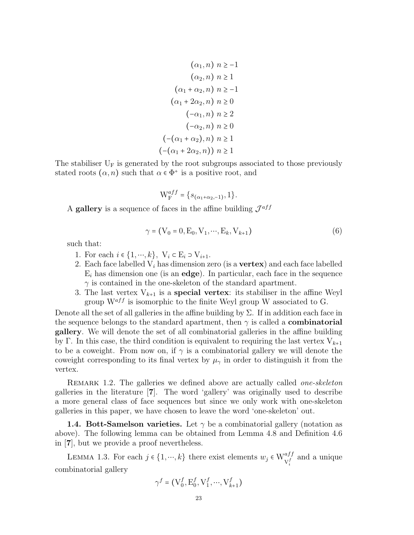$$
(\alpha_1, n) \quad n \ge -1
$$
\n
$$
(\alpha_2, n) \quad n \ge 1
$$
\n
$$
(\alpha_1 + \alpha_2, n) \quad n \ge -1
$$
\n
$$
(\alpha_1 + 2\alpha_2, n) \quad n \ge 0
$$
\n
$$
(-\alpha_1, n) \quad n \ge 2
$$
\n
$$
(-\alpha_2, n) \quad n \ge 0
$$
\n
$$
(-(\alpha_1 + \alpha_2), n) \quad n \ge 1
$$
\n
$$
(-(\alpha_1 + 2\alpha_2, n)) \quad n \ge 1
$$

The stabiliser  $U_F$  is generated by the root subgroups associated to those previously stated roots  $(\alpha, n)$  such that  $\alpha \in \Phi^+$  is a positive root, and

$$
W_{F}^{aff} = \{s_{(\alpha_1 + \alpha_2, -1)}, 1\}.
$$

A gallery is a sequence of faces in the affine building  $\mathcal{J}^{aff}$ 

$$
\gamma = (V_0 = 0, E_0, V_1, \cdots, E_k, V_{k+1})
$$
\n(6)

such that:

- 1. For each  $i \in \{1, \dots, k\}$ ,  $V_i \subset E_i \supset V_{i+1}$ .
- 2. Each face labelled  $V_i$  has dimension zero (is a **vertex**) and each face labelled  $E_i$  has dimension one (is an **edge**). In particular, each face in the sequence  $\gamma$  is contained in the one-skeleton of the standard apartment.
- 3. The last vertex  $V_{k+1}$  is a **special vertex**: its stabiliser in the affine Weyl group  $W^{aff}$  is isomorphic to the finite Weyl group W associated to G.

Denote all the set of all galleries in the affine building by  $\Sigma$ . If in addition each face in the sequence belongs to the standard apartment, then  $\gamma$  is called a **combinatorial** gallery. We will denote the set of all combinatorial galleries in the affine building by Γ. In this case, the third condition is equivalent to requiring the last vertex  $V_{k+1}$ to be a coweight. From now on, if  $\gamma$  is a combinatorial gallery we will denote the coweight corresponding to its final vertex by  $\mu_{\gamma}$  in order to distinguish it from the vertex.

REMARK 1.2. The galleries we defined above are actually called *one-skeleton* galleries in the literature [7]. The word 'gallery' was originally used to describe a more general class of face sequences but since we only work with one-skeleton galleries in this paper, we have chosen to leave the word 'one-skeleton' out.

**1.4. Bott-Samelson varieties.** Let  $\gamma$  be a combinatorial gallery (notation as above). The following lemma can be obtained from Lemma 4.8 and Definition 4.6 in [7], but we provide a proof nevertheless.

LEMMA 1.3. For each  $j \in \{1, \dots, k\}$  there exist elements  $w_j \in W_{V_i^f}^{aff}$  and a unique combinatorial gallery

$$
\gamma^f=\big(\mathbf{V}^f_0, \mathbf{E}^f_0, \mathbf{V}^f_1, \cdots, \mathbf{V}^f_{k+1}\big)
$$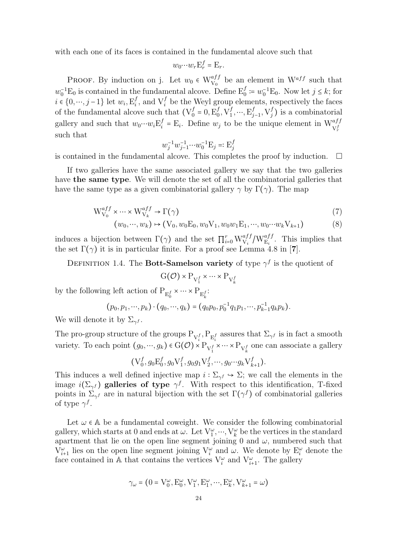with each one of its faces is contained in the fundamental alcove such that

$$
w_0 \cdots w_r \mathbf{E}_r^f = \mathbf{E}_r.
$$

PROOF. By induction on j. Let  $w_0 \in W_{V_0}^{aff}$  be an element in  $W^{aff}$  such that  $w_0^{-1}E_0$  is contained in the fundamental alcove. Define  $E_0^f := w_0^{-1}E_0$ . Now let  $j \leq k$ ; for  $i \in \{0, \cdots, j-1\}$  let  $w_i, \mathbf{E}_i^f$  $_i^f$ , and  $V_i^f$  be the Weyl group elements, respectively the faces of the fundamental alcove such that  $(V_0^f)$  $_0^f = 0, E_0^f$  $_0^f,V_1^f$  $j^f_1, ..., E_j^f$  $_{j-1}^f, \mathrm{V}^f_j$  $j<sub>j</sub>$ ) is a combinatorial gallery and such that  $w_0 \cdots w_i \mathcal{E}_i^f$  $i^f_i = E_i$ . Define  $w_j$  to be the unique element in  $W^{aff}_{V_r^f}$ such that

$$
w_j^{-1}w_{j-1}^{-1}\cdots w_0^{-1} \mathcal{E}_j =: \mathcal{E}_j^f
$$

is contained in the fundamental alcove. This completes the proof by induction.  $\Box$ 

If two galleries have the same associated gallery we say that the two galleries have the same type. We will denote the set of all the combinatorial galleries that have the same type as a given combinatorial gallery  $\gamma$  by  $\Gamma(\gamma)$ . The map

$$
W_{V_0}^{aff} \times \cdots \times W_{V_k}^{aff} \to \Gamma(\gamma)
$$
\n
$$
(7)
$$

$$
(w_0, \cdots, w_k) \mapsto (V_0, w_0 E_0, w_0 V_1, w_0 w_1 E_1, \cdots, w_0 \cdots w_k V_{k+1})
$$
\n(8)

induces a bijection between  $\Gamma(\gamma)$  and the set  $\prod_{i=0}^r \mathcal{W}^{aff}_{\mathcal{V}_i}/\mathcal{W}^{aff}_{\mathcal{E}_i}$ . This implies that the set  $\Gamma(\gamma)$  it is in particular finite. For a proof see Lemma 4.8 in [7].

DEFINITION 1.4. The Bott-Samelson variety of type  $\gamma^f$  is the quotient of

$$
\mathrm{G}(\mathcal{O}) \times \mathrm{P}_{\mathrm{V}_1^f} \times \cdots \times \mathrm{P}_{\mathrm{V}_k^f}
$$

by the following left action of  $\mathbf{P}_{\mathbf{E}_0^f} \times \cdots \times \mathbf{P}_{\mathbf{E}_k^f}$ :

$$
(p_0, p_1, \cdots, p_k) \cdot (q_0, \cdots, q_k) = (q_0 p_0, p_0^{-1} q_1 p_1, \cdots, p_{k-1}^{-1} q_k p_k).
$$

We will denote it by  $\Sigma_{\gamma}$ .

The pro-group structure of the groups  $P_{V_i^f}, P_{E_i^f}$  assures that  $\Sigma_{\gamma^f}$  is in fact a smooth variety. To each point  $(g_0, ..., g_k) \in G(\mathcal{O}) \times P_{V_1^f} \times \cdots \times P_{V_k^f}$  one can associate a gallery

$$
(V_0^f, g_0E_0^f, g_0V_1^f, g_0g_1V_2^f, \cdots, g_0\cdots g_kV_{k+1}^f).
$$

This induces a well defined injective map  $i : \Sigma_{\gamma} f \hookrightarrow \Sigma$ ; we call the elements in the image  $i(\Sigma_{\gamma}f)$  galleries of type  $\gamma^f$ . With respect to this identification, T-fixed points in  $\Sigma_{\gamma}$  are in natural bijection with the set  $\Gamma(\gamma^f)$  of combinatorial galleries of type  $\gamma^f$ .

Let  $\omega \in A$  be a fundamental coweight. We consider the following combinatorial gallery, which starts at 0 and ends at  $\omega$ . Let  $V_1^{\omega}, \dots, V_k^{\omega}$  be the vertices in the standard apartment that lie on the open line segment joining 0 and  $\omega$ , numbered such that  $V_{i+1}^{\omega}$  lies on the open line segment joining  $V_i^{\omega}$  and  $\omega$ . We denote by  $E_i^{\omega}$  denote the face contained in A that contains the vertices  $V_i^{\omega}$  and  $V_{i+1}^{\omega}$ . The gallery

$$
\gamma_\omega = \left(0 = \mathrm{V}^\omega_0, \mathrm{E}^\omega_0, \mathrm{V}^\omega_1, \mathrm{E}^\omega_1, \cdots, \mathrm{E}^\omega_k, \mathrm{V}^\omega_{k+1} = \omega\right)
$$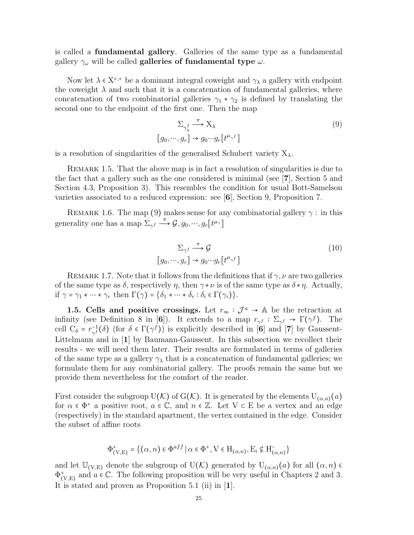is called a fundamental gallery. Galleries of the same type as a fundamental gallery  $\gamma_\omega$  will be called **galleries of fundamental type**  $\omega.$ 

Now let  $\lambda \in X^{\vee,+}$  be a dominant integral coweight and  $\gamma_{\lambda}$  a gallery with endpoint the coweight  $\lambda$  and such that it is a concatenation of fundamental galleries, where concatenation of two combinatorial galleries  $\gamma_1 * \gamma_2$  is defined by translating the second one to the endpoint of the first one. Then the map

$$
\Sigma_{\gamma_{\lambda}^{f}} \xrightarrow{\pi} X_{\lambda}
$$
\n
$$
[g_0, \cdots, g_r] \to g_0 \cdots g_r[t^{\mu_{\gamma}f}]
$$
\n
$$
(9)
$$

is a resolution of singularities of the generalised Schubert variety  $X_{\lambda}$ .

REMARK 1.5. That the above map is in fact a resolution of singularities is due to the fact that a gallery such as the one considered is minimal (see [7], Section 5 and Section 4.3, Proposition 3). This resembles the condition for usual Bott-Samelson varieties associated to a reduced expression: see [6], Section 9, Proposition 7.

REMARK 1.6. The map (9) makes sense for any combinatorial gallery  $\gamma$ : in this generality one has a map  $\sum_{\gamma} \stackrel{\pi}{\longrightarrow} \mathcal{G}, g_0, \cdots, g_r[t^{\mu_{\gamma}}]$ 

$$
\sum_{\gamma f} \xrightarrow{\pi} \mathcal{G}
$$
  

$$
[g_0, \cdots, g_r] \to g_0 \cdots g_r[t^{\mu_{\gamma f}}]
$$
 (10)

REMARK 1.7. Note that it follows from the definitions that if  $\gamma, \nu$  are two galleries of the same type as  $\delta$ , respectively  $\eta$ , then  $\gamma * \nu$  is of the same type as  $\delta * \eta$ . Actually, if  $\gamma = \gamma_1 * \cdots * \gamma_r$  then  $\Gamma(\gamma) = {\delta_1 * \cdots * \delta_r : \delta_i \in \Gamma(\gamma_i)}$ .

1.5. Cells and positive crossings. Let  $r_{\infty} : \mathcal{J}^a \to \mathbb{A}$  be the retraction at infinity (see Definition 8 in [6]). It extends to a map  $r_{\gamma f}: \Sigma_{\gamma f} \to \Gamma(\gamma f)$ . The cell  $C_{\delta} = r_{\gamma}^{-1}$  $\gamma_f^{-1}(\delta)$  (for  $\delta \in \Gamma(\gamma^f)$ ) is explicitly described in [6] and [7] by Gaussent-Littelmann and in [1] by Baumann-Gaussent. In this subsection we recollect their results - we will need them later. Their results are formulated in terms of galleries of the same type as a gallery  $\gamma_{\lambda}$  that is a concatenation of fundamental galleries; we formulate them for any combinatorial gallery. The proofs remain the same but we provide them nevertheless for the comfort of the reader.

First consider the subgroup U(K) of G(K). It is generated by the elements  $U_{(\alpha,n)}(a)$ for  $\alpha \in \Phi^+$  a positive root,  $a \in \mathbb{C}$ , and  $n \in \mathbb{Z}$ . Let  $V \subset E$  be a vertex and an edge (respectively) in the standard apartment, the vertex contained in the edge. Consider the subset of affine roots

$$
\Phi^+_{(V,E)} = \{ (\alpha, n) \in \Phi^{aff} \mid \alpha \in \Phi^+, V \in H_{(\alpha,n)}, E_i \notin H^-_{(\alpha,n)} \}
$$

and let  $\mathbb{U}_{(V,E)}$  denote the subgroup of  $U(\mathcal{K})$  generated by  $U_{(\alpha,n)}(a)$  for all  $(\alpha,n)$  $\Phi_{(V,E)}^+$  and  $a \in \mathbb{C}$ . The following proposition will be very useful in Chapters 2 and 3. It is stated and proven as Proposition 5.1 (ii) in [1].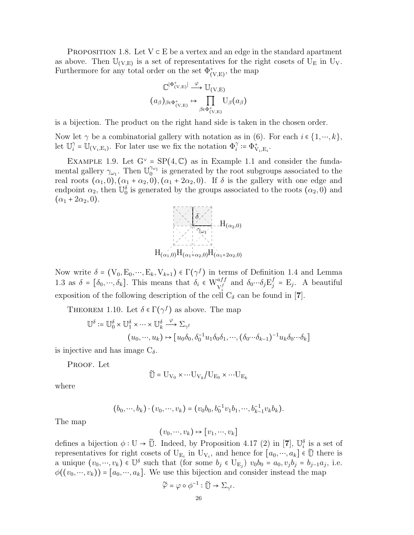PROPOSITION 1.8. Let  $V \subset E$  be a vertex and an edge in the standard apartment as above. Then  $\mathbb{U}_{(V,E)}$  is a set of representatives for the right cosets of  $\overline{U}_{E}$  in  $U_{V}$ . Furthermore for any total order on the set  $\Phi_{(V,E)}^*$ , the map

$$
\mathbb{C}^{|\Phi^+_{(V,E)}|} \xrightarrow{\varphi} \mathbb{U}_{(V,E)}
$$

$$
(a_{\beta})_{\beta \in \Phi^+_{(V,E)}} \mapsto \prod_{\beta \in \Phi^+_{(V,E)}} \mathbb{U}_{\beta}(a_{\beta})
$$

is a bijection. The product on the right hand side is taken in the chosen order.

Now let  $\gamma$  be a combinatorial gallery with notation as in (6). For each  $i \in \{1, \dots, k\}$ , let  $\mathbb{U}_i^{\gamma}$  $\hat{Q}_i^{\gamma} = \mathbb{U}_{(V_i, E_i)}$ . For later use we fix the notation  $\Phi_i^{\gamma} := \Phi_{V_i, E_i}^+$ .

EXAMPLE 1.9. Let  $G^{\vee} = SP(4, \mathbb{C})$  as in Example 1.1 and consider the fundamental gallery  $\gamma_{\omega_1}$ . Then  $\mathbb{U}_0^{\gamma_{\omega_1}}$  is generated by the root subgroups associated to the real roots  $(\alpha_1, 0), (\alpha_1 + \alpha_2, 0), (\alpha_1 + 2\alpha_2, 0)$ . If  $\delta$  is the gallery with one edge and endpoint  $\alpha_2$ , then  $\mathbb{U}_0^{\delta}$  is generated by the groups associated to the roots  $(\alpha_2, 0)$  and  $(\alpha_1 + 2\alpha_2, 0).$ 



Now write  $\delta = (V_0, E_0, \dots, E_k, V_{k+1}) \in \Gamma(\gamma^f)$  in terms of Definition 1.4 and Lemma 1.3 as  $\delta = [\delta_0, \dots, \delta_k]$ . This means that  $\delta_i \in W_{V_i^f}^{aff}$  and  $\delta_0 \dots \delta_j E_j^f$  $j_j^f$  = E<sub>j</sub>. A beautiful exposition of the following description of the cell  $C_{\delta}$  can be found in [7].

THEOREM 1.10. Let  $\delta \in \Gamma(\gamma^f)$  as above. The map

$$
\mathbb{U}^{\delta} := \mathbb{U}_0^{\delta} \times \mathbb{U}_1^{\delta} \times \cdots \times \mathbb{U}_k^{\delta} \xrightarrow{\varphi} \Sigma_{\gamma^f}
$$

$$
(u_0, \dots, u_k) \mapsto [u_0 \delta_0, \delta_0^{-1} u_1 \delta_0 \delta_1, \dots, (\delta_0 \cdots \delta_{k-1})^{-1} u_k \delta_0 \cdots \delta_k]
$$

is injective and has image  $C_{\delta}$ .

PROOF. Let

$$
\widetilde{\mathbb{U}} = \mathrm{U}_{\mathrm{V}_0} \times \cdots \mathrm{U}_{\mathrm{V}_k} / \mathrm{U}_{\mathrm{E}_0} \times \cdots \mathrm{U}_{\mathrm{E}_k}
$$

where

$$
(b_0, \cdots, b_k) \cdot (v_0, \cdots, v_k) = (v_0b_0, b_0^{-1}v_1b_1, \cdots, b_{k-1}^{-1}v_kb_k).
$$

The map

$$
(v_0, \dots, v_k) \mapsto [v_1, \dots, v_k]
$$

defines a bijection  $\phi: U \to \tilde{U}$ . Indeed, by Proposition 4.17 (2) in [7],  $\mathbb{U}_i^{\delta}$  is a set of representatives for right cosets of  $U_{E_i}$  in  $U_{V_i}$ , and hence for  $[a_0, ..., a_k] \in \tilde{U}$  there is a unique  $(v_0, ..., v_k) \in \mathbb{U}^{\delta}$  such that (for some  $b_j \in U_{E_j}$ )  $v_0b_0 = a_0, v_jb_j = b_{j-1}a_j$ , i.e.  $\phi((v_0, \dots, v_k)) = [a_0, \dots, a_k]$ . We use this bijection and consider instead the map

$$
\widetilde{\varphi} = \varphi \circ \phi^{-1} : \widetilde{\mathbb{U}} \to \Sigma_{\gamma^{\mathrm{f}}}.
$$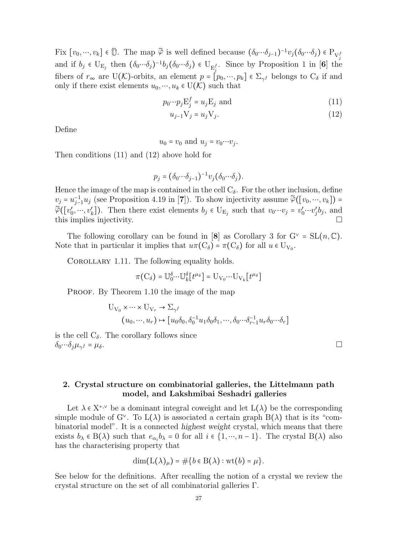Fix  $[v_0, ..., v_k] \in \tilde{U}$ . The map  $\tilde{\varphi}$  is well defined because  $(\delta_0 \cdots \delta_{j-1})^{-1} v_j (\delta_0 \cdots \delta_j) \in P_{V_j^f}$ and if  $b_j \in U_{E_j}$  then  $(\delta_0 \cdots \delta_j)^{-1} b_j (\delta_0 \cdots \delta_j) \in U_{E_j^f}$ . Since by Proposition 1 in [6] the fibers of  $r_{\infty}$  are U(K)-orbits, an element  $p = [p_0, ..., p_k] \in \Sigma_{\gamma}$  belongs to  $C_{\delta}$  if and only if there exist elements  $u_0, \dots, u_k \in U(\mathcal{K})$  such that

$$
p_0 \cdots p_j \mathbf{E}_j^f = u_j \mathbf{E}_j \text{ and } \tag{11}
$$

$$
u_{j-1}V_j = u_jV_j. \tag{12}
$$

Define

 $u_0 = v_0$  and  $u_j = v_0 \cdots v_j$ .

Then conditions (11) and (12) above hold for

$$
p_j = (\delta_0 \cdots \delta_{j-1})^{-1} v_j (\delta_0 \cdots \delta_j).
$$

Hence the image of the map is contained in the cell  $C_{\delta}$ . For the other inclusion, define  $v_j = u_{j-1}^{-1}u_j$  (see Proposition 4.19 in [7]). To show injectivity assume  $\tilde{\varphi}([v_0, ..., v_k])$  =  $\widetilde{\varphi}([v'_0, ..., v'_k])$ . Then there exist elements  $b_j \in U_{E_j}$  such that  $v_0 \cdots v_j = v'_0 \cdots v'_j b_j$ , and this implies injectivity.  $\square$ 

The following corollary can be found in [8] as Corollary 3 for  $G^{\vee} = SL(n, \mathbb{C})$ . Note that in particular it implies that  $u\pi(C_{\delta}) = \pi(C_{\delta})$  for all  $u \in U_{V_0}$ .

COROLLARY 1.11. The following equality holds.

$$
\pi\big({\rm C}_{\delta}\big)={\rm U}_{0}^{\delta}{\cdots}{\rm U}_{k}^{\delta}\big[t^{\mu_{\delta}}\big]={\rm U}_{{\rm V}_{0}}{\cdots}{\rm U}_{{\rm V}_{k}}\big[t^{\mu_{\delta}}\big]
$$

PROOF. By Theorem 1.10 the image of the map

$$
U_{V_0} \times \cdots \times U_{V_r} \to \Sigma_{\gamma^f}
$$
  

$$
(u_0, \dots, u_r) \mapsto [u_0 \delta_0, \delta_0^{-1} u_1 \delta_0 \delta_1, \dots, \delta_0 \cdots \delta_{r-1}^{-1} u_r \delta_0 \cdots \delta_r]
$$

is the cell  $C_{\delta}$ . The corollary follows since  $\delta_0 \cdots \delta_j \mu_{\gamma^f} = \mu_{\delta}.$  $f = \mu_{\delta}$ .

## 2. Crystal structure on combinatorial galleries, the Littelmann path model, and Lakshmibai Seshadri galleries

Let  $\lambda \in X^{*,\vee}$  be a dominant integral coweight and let  $L(\lambda)$  be the corresponding simple module of G<sup> $\vee$ </sup>. To  $L(\lambda)$  is associated a certain graph  $B(\lambda)$  that is its "combinatorial model". It is a connected highest weight crystal, which means that there exists  $b_{\lambda} \in B(\lambda)$  such that  $e_{\alpha_i}b_{\lambda} = 0$  for all  $i \in \{1, \dots, n-1\}$ . The crystal  $B(\lambda)$  also has the characterising property that

$$
\dim(\mathcal{L}(\lambda)_\mu) = \#\{b \in \mathcal{B}(\lambda) : \text{wt}(b) = \mu\}.
$$

See below for the definitions. After recalling the notion of a crystal we review the crystal structure on the set of all combinatorial galleries Γ.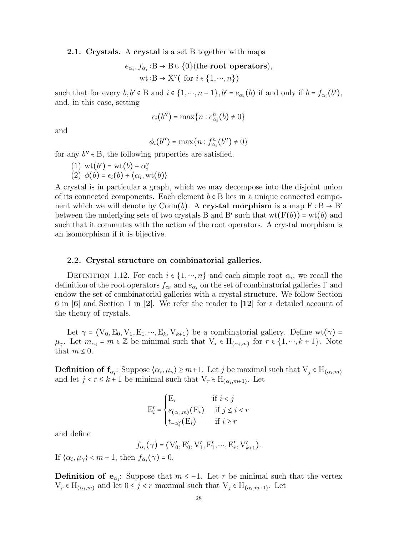2.1. Crystals. A crystal is a set B together with maps

$$
e_{\alpha_i}, f_{\alpha_i} : B \to B \cup \{0\}
$$
 (the root operators),  
wt :B  $\to X^{\vee}$  ( for  $i \in \{1, \dots, n\}$ )

such that for every  $b, b' \in B$  and  $i \in \{1, \dots, n-1\}, b' = e_{\alpha_i}(b)$  if and only if  $b = f_{\alpha_i}(b')$ , and, in this case, setting

$$
\epsilon_i(b'') = \max\{n : e^n_{\alpha_i}(b) \neq 0\}
$$

and

$$
\phi_i(b'') = \max\{n : f_{\alpha_i}^n(b'') \neq 0\}
$$

for any  $b'' \in B$ , the following properties are satisfied.

(1) 
$$
wt(b') = wt(b) + \alpha_s^{\vee}
$$

(1)  $\operatorname{wt}(b') = \operatorname{wt}(b) + \alpha_i^{\vee}$ <br>
(2)  $\phi(b) = \epsilon_i(b) + \langle \alpha_i, \operatorname{wt}(b) \rangle$ 

A crystal is in particular a graph, which we may decompose into the disjoint union of its connected components. Each element  $b \in B$  lies in a unique connected component which we will denote by Conn(b). A **crystal morphism** is a map  $F : B \to B'$ between the underlying sets of two crystals B and B' such that  $wt(F(b)) = wt(b)$  and such that it commutes with the action of the root operators. A crystal morphism is an isomorphism if it is bijective.

#### 2.2. Crystal structure on combinatorial galleries.

DEFINITION 1.12. For each  $i \in \{1, \dots, n\}$  and each simple root  $\alpha_i$ , we recall the definition of the root operators  $f_{\alpha_i}$  and  $e_{\alpha_i}$  on the set of combinatorial galleries  $\Gamma$  and endow the set of combinatorial galleries with a crystal structure. We follow Section 6 in  $|6|$  and Section 1 in  $|2|$ . We refer the reader to  $|12|$  for a detailed account of the theory of crystals.

Let  $\gamma = (V_0, E_0, V_1, E_1, \dots, E_k, V_{k+1})$  be a combinatorial gallery. Define wt $(\gamma)$  =  $\mu_{\gamma}$ . Let  $m_{\alpha_i} = m \in \mathbb{Z}$  be minimal such that  $V_r \in H_{(\alpha_i,m)}$  for  $r \in \{1,\dots,k+1\}$ . Note that  $m \leq 0$ .

**Definition of f**<sub> $\alpha_i$ </sub>: Suppose  $\langle \alpha_i, \mu_\gamma \rangle \geq m+1$ . Let j be maximal such that  $V_j \in H_{(\alpha_i,m)}$ and let  $j < r \leq k + 1$  be minimal such that  $V_r \in H_{(\alpha_i, m+1)}$ . Let

$$
E'_{i} = \begin{cases} E_{i} & \text{if } i < j \\ s_{(\alpha_{i},m)}(E_{i}) & \text{if } j \leq i < r \\ t_{-\alpha_{i}^{\vee}}(E_{i}) & \text{if } i \geq r \end{cases}
$$

and define

$$
f_{\alpha_i}(\gamma) = (\mathbf{V}'_0, \mathbf{E}'_0, \mathbf{V}'_1, \mathbf{E}'_1, \cdots, \mathbf{E}'_r, \mathbf{V}'_{k+1}).
$$

If  $\langle \alpha_i, \mu_\gamma \rangle$  < m + 1, then  $f_{\alpha_i}(\gamma) = 0$ .

**Definition of e<sub>** $\alpha_i$ **</sub>:** Suppose that  $m \leq -1$ . Let r be minimal such that the vertex  $V_r \in H_{(\alpha_i,m)}$  and let  $0 \leq j < r$  maximal such that  $V_j \in H_{(\alpha_i,m+1)}$ . Let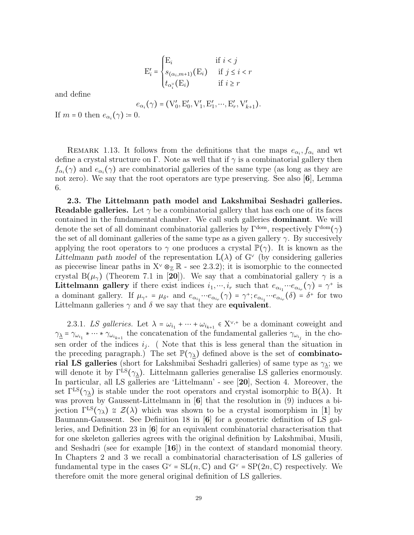$$
E'_{i} = \begin{cases} E_{i} & \text{if } i < j \\ s_{(\alpha_{i}, m+1)}(E_{i}) & \text{if } j \leq i < r \\ t_{\alpha_{i}^{\vee}}(E_{i}) & \text{if } i \geq r \end{cases}
$$

and define

$$
e_{\alpha_i}(\gamma) = (\mathbf{V}'_0, \mathbf{E}'_0, \mathbf{V}'_1, \mathbf{E}'_1, \cdots, \mathbf{E}'_r, \mathbf{V}'_{k+1}).
$$

If  $m = 0$  then  $e_{\alpha_i}(\gamma) \coloneqq 0$ .

REMARK 1.13. It follows from the definitions that the maps  $e_{\alpha_i}, f_{\alpha_i}$  and wt define a crystal structure on Γ. Note as well that if  $\gamma$  is a combinatorial gallery then  $f_{\alpha_i}(\gamma)$  and  $e_{\alpha_i}(\gamma)$  are combinatorial galleries of the same type (as long as they are not zero). We say that the root operators are type preserving. See also [6], Lemma 6.

2.3. The Littelmann path model and Lakshmibai Seshadri galleries. **Readable galleries.** Let  $\gamma$  be a combinatorial gallery that has each one of its faces contained in the fundamental chamber. We call such galleries dominant. We will denote the set of all dominant combinatorial galleries by  $\Gamma^{\text{dom}}$ , respectively  $\Gamma^{\text{dom}}(\gamma)$ the set of all dominant galleries of the same type as a given gallery  $\gamma$ . By succesively applying the root operators to  $\gamma$  one produces a crystal  $\mathbb{P}(\gamma)$ . It is known as the Littelmann path model of the representation  $L(\lambda)$  of G<sup> $\vee$ </sup> (by considering galleries as piecewise linear paths in  $X^{\vee} \otimes_{\mathbb{Z}} \mathbb{R}$  - see 2.3.2); it is isomorphic to the connected crystal B( $\mu_{\gamma}$ ) (Theorem 7.1 in [20]). We say that a combinatorial gallery  $\gamma$  is a **Littelmann gallery** if there exist indices  $i_1, ..., i_r$  such that  $e_{\alpha_{i_1}} \cdots e_{\alpha_{i_r}}(\gamma) = \gamma^+$  is a dominant gallery. If  $\mu_{\gamma^+} = \mu_{\delta^+}$  and  $e_{\alpha_{i_1}} \cdots e_{\alpha_{i_r}}(\gamma) = \gamma^+; e_{\alpha_{i_1}} \cdots e_{\alpha_{i_r}}(\delta) = \delta^+$  for two Littelmann galleries  $\gamma$  and  $\delta$  we say that they are **equivalent**.

2.3.1. LS galleries. Let  $\lambda = \omega_{i_1} + \cdots + \omega_{i_{k+1}} \in X^{\vee,+}$  be a dominant coweight and  $\gamma_{\underline{\lambda}} = \gamma_{\omega_{i_1}} * \cdots * \gamma_{\omega_{i_{k+1}}}$  the concatenation of the fundamental galleries  $\gamma_{\omega_{i_j}}$  in the chosen order of the indices  $i_j$ . (Note that this is less general than the situation in the preceding paragraph.) The set  $\mathbb{P}(\gamma_{\lambda})$  defined above is the set of **combinato**rial LS galleries (short for Lakshmibai Seshadri galleries) of same type as  $\gamma_{\lambda}$ ; we will denote it by  $\Gamma^{\text{LS}}(\gamma_{\lambda})$ . Littelmann galleries generalise LS galleries enormously. In particular, all LS galleries are 'Littelmann' - see [20], Section 4. Moreover, the set  $\Gamma^{\text{LS}}(\gamma_{\lambda})$  is stable under the root operators and crystal isomorphic to B( $\lambda$ ). It was proven by Gaussent-Littelmann in [6] that the resolution in (9) induces a bijection  $\Gamma^{\text{LS}}(\gamma_{\lambda}) \cong \mathcal{Z}(\lambda)$  which was shown to be a crystal isomorphism in [1] by Baumann-Gaussent. See Definition 18 in [6] for a geometric definition of LS galleries, and Definition 23 in [6] for an equivalent combinatorial characterisation that for one skeleton galleries agrees with the original definition by Lakshmibai, Musili, and Seshadri (see for example  $|16|$ ) in the context of standard monomial theory. In Chapters 2 and 3 we recall a combinatorial characterisation of LS galleries of fundamental type in the cases  $G^{\vee} = SL(n, \mathbb{C})$  and  $G^{\vee} = SP(2n, \mathbb{C})$  respectively. We therefore omit the more general original definition of LS galleries.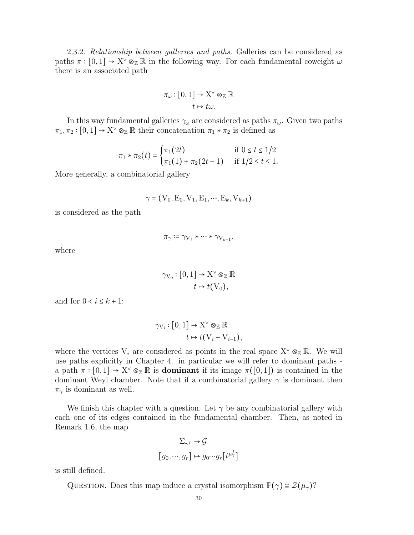2.3.2. Relationship between galleries and paths. Galleries can be considered as paths  $\pi : [0,1] \to X^{\vee} \otimes_{\mathbb{Z}} \mathbb{R}$  in the following way. For each fundamental coweight  $\omega$ there is an associated path

$$
\pi_{\omega} : [0,1] \to X^{\vee} \otimes_{\mathbb{Z}} \mathbb{R}
$$

$$
t \mapsto t\omega.
$$

In this way fundamental galleries  $\gamma_\omega$  are considered as paths  $\pi_\omega$ . Given two paths  $\pi_1, \pi_2 : [0, 1] \to X^{\vee} \otimes_{\mathbb{Z}} \mathbb{R}$  their concatenation  $\pi_1 * \pi_2$  is defined as

$$
\pi_1 * \pi_2(t) = \begin{cases} \pi_1(2t) & \text{if } 0 \le t \le 1/2 \\ \pi_1(1) + \pi_2(2t - 1) & \text{if } 1/2 \le t \le 1. \end{cases}
$$

More generally, a combinatorial gallery

$$
\gamma = (V_0, E_0, V_1, E_1, \cdots, E_k, V_{k+1})
$$

is considered as the path

$$
\pi_{\gamma} \coloneqq \gamma_{\mathrm{V}_{1}} * \cdots * \gamma_{\mathrm{V}_{k+1}},
$$

where

$$
\gamma_{V_0} : [0,1] \to X^{\vee} \otimes_{\mathbb{Z}} \mathbb{R}
$$

$$
t \mapsto t(V_0),
$$

and for  $0 < i \leq k + 1$ :

$$
\gamma_{V_i} : [0,1] \to X^{\vee} \otimes_{\mathbb{Z}} \mathbb{R}
$$

$$
t \mapsto t(V_i - V_{i-1}),
$$

where the vertices  $V_i$  are considered as points in the real space  $X^{\vee} \otimes_{\mathbb{Z}} \mathbb{R}$ . We will use paths explicitly in Chapter 4. in particular we will refer to dominant paths a path  $\pi : [0,1] \to X^{\vee} \otimes_{\mathbb{Z}} \mathbb{R}$  is **dominant** if its image  $\pi([0,1])$  is contained in the dominant Weyl chamber. Note that if a combinatorial gallery  $\gamma$  is dominant then  $\pi_{\gamma}$  is dominant as well.

We finish this chapter with a question. Let  $\gamma$  be any combinatorial gallery with each one of its edges contained in the fundamental chamber. Then, as noted in Remark 1.6, the map

$$
\Sigma_{\gamma^f} \to \mathcal{G}
$$

$$
[g_0, \cdots, g_r] \mapsto g_0 \cdots g_r[t^{\mu_{\gamma}^f}]
$$

is still defined.

QUESTION. Does this map induce a crystal isomorphism  $\mathbb{P}(\gamma) \cong \mathcal{Z}(\mu_{\gamma})$ ?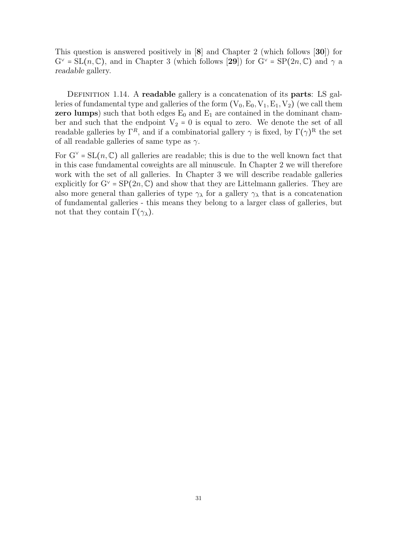This question is answered positively in [8] and Chapter 2 (which follows [30]) for  $G^{\vee} = SL(n, \mathbb{C})$ , and in Chapter 3 (which follows [29]) for  $G^{\vee} = SP(2n, \mathbb{C})$  and  $\gamma$  a readable gallery.

DEFINITION 1.14. A readable gallery is a concatenation of its parts: LS galleries of fundamental type and galleries of the form  $(V_0, E_0, V_1, E_1, V_2)$  (we call them zero lumps) such that both edges  $E_0$  and  $E_1$  are contained in the dominant chamber and such that the endpoint  $V_2 = 0$  is equal to zero. We denote the set of all readable galleries by  $\Gamma^R$ , and if a combinatorial gallery  $\gamma$  is fixed, by  $\Gamma(\gamma)^R$  the set of all readable galleries of same type as  $\gamma$ .

For  $G^{\vee} = SL(n, \mathbb{C})$  all galleries are readable; this is due to the well known fact that in this case fundamental coweights are all minuscule. In Chapter 2 we will therefore work with the set of all galleries. In Chapter 3 we will describe readable galleries explicitly for  $G^{\vee} = \text{SP}(2n, \mathbb{C})$  and show that they are Littelmann galleries. They are also more general than galleries of type  $\gamma_{\lambda}$  for a gallery  $\gamma_{\lambda}$  that is a concatenation of fundamental galleries - this means they belong to a larger class of galleries, but not that they contain  $\Gamma(\gamma_{\lambda})$ .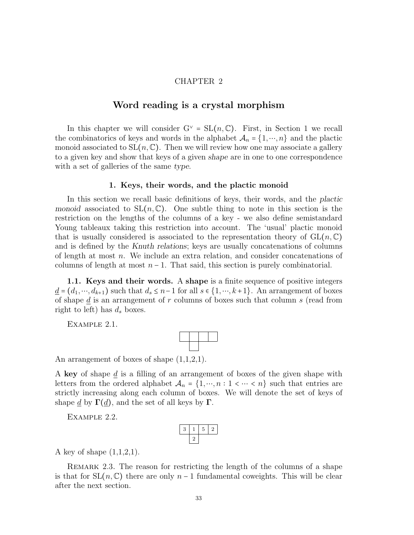## CHAPTER 2

## Word reading is a crystal morphism

In this chapter we will consider  $G^{\vee} = SL(n, \mathbb{C})$ . First, in Section 1 we recall the combinatorics of keys and words in the alphabet  $\mathcal{A}_n = \{1, \dots, n\}$  and the plactic monoid associated to  $SL(n, \mathbb{C})$ . Then we will review how one may associate a gallery to a given key and show that keys of a given shape are in one to one correspondence with a set of galleries of the same type.

#### 1. Keys, their words, and the plactic monoid

In this section we recall basic definitions of keys, their words, and the plactic monoid associated to  $SL(n,\mathbb{C})$ . One subtle thing to note in this section is the restriction on the lengths of the columns of a key - we also define semistandard Young tableaux taking this restriction into account. The 'usual' plactic monoid that is usually considered is associated to the representation theory of  $GL(n, \mathbb{C})$ and is defined by the Knuth relations; keys are usually concatenations of columns of length at most  $n$ . We include an extra relation, and consider concatenations of columns of length at most  $n-1$ . That said, this section is purely combinatorial.

1.1. Keys and their words. A shape is a finite sequence of positive integers  $\underline{d} = (d_1, \dots, d_{k+1})$  such that  $d_s \leq n-1$  for all  $s \in \{1, \dots, k+1\}$ . An arrangement of boxes of shape  $\underline{d}$  is an arrangement of r columns of boxes such that column s (read from right to left) has  $d_s$  boxes.

EXAMPLE 2.1.



An arrangement of boxes of shape  $(1,1,2,1)$ .

A key of shape d is a filling of an arrangement of boxes of the given shape with letters from the ordered alphabet  $\mathcal{A}_n = \{1, \dots, n : 1 \leq \dots \leq n\}$  such that entries are strictly increasing along each column of boxes. We will denote the set of keys of shape d by  $\Gamma(d)$ , and the set of all keys by  $\Gamma$ .

Example 2.2.

A key of shape  $(1,1,2,1)$ .

REMARK 2.3. The reason for restricting the length of the columns of a shape is that for  $SL(n, \mathbb{C})$  there are only  $n-1$  fundamental coweights. This will be clear after the next section.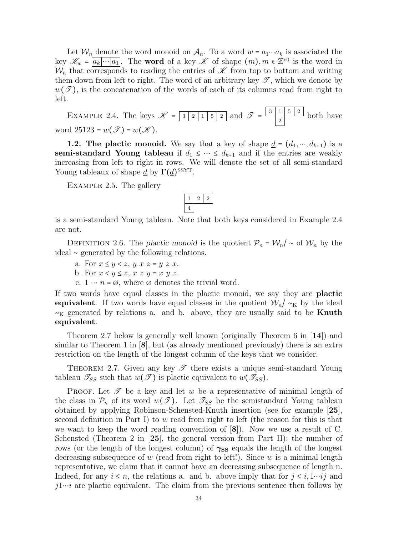Let  $\mathcal{W}_n$  denote the word monoid on  $\mathcal{A}_n$ . To a word  $w = a_1 \cdots a_k$  is associated the key  $\mathscr{K}_w = \boxed{a_k \cdots \boxed{a_1}}$ . The **word** of a key  $\mathscr{K}$  of shape  $(m), m \in \mathbb{Z}^{>0}$  is the word in  $\mathcal{W}_n$  that corresponds to reading the entries of  $\mathscr K$  from top to bottom and writing them down from left to right. The word of an arbitrary key  $\mathscr{T}$ , which we denote by  $w(\mathscr{T})$ , is the concatenation of the words of each of its columns read from right to left.

EXAMPLE 2.4. The keys 
$$
\mathcal{K} = \boxed{3 \mid 2 \mid 1 \mid 5 \mid 2}
$$
 and  $\mathcal{T} = \boxed{\frac{3 \mid 1 \mid 5 \mid 2}{2}}$  both have  
word 25123 =  $w(\mathcal{T}) = w(\mathcal{K})$ .

word  $25123 = w(\mathscr{T}) = w(\mathscr{K})$ .

**1.2. The plactic monoid.** We say that a key of shape  $\underline{d} = (d_1, \dots, d_{k+1})$  is a semi-standard Young tableau if  $d_1 \leq \cdots \leq d_{k+1}$  and if the entries are weakly increasing from left to right in rows. We will denote the set of all semi-standard Young tableaux of shape  $\underline{d}$  by  $\Gamma(\underline{d})^{\text{SSYT}}$ .

Example 2.5. The gallery

is a semi-standard Young tableau. Note that both keys considered in Example 2.4 are not.

DEFINITION 2.6. The plactic monoid is the quotient  $\mathcal{P}_n = \mathcal{W}_n / \sim$  of  $\mathcal{W}_n$  by the ideal ∼ generated by the following relations.

- a. For  $x \leq y \leq z$ ,  $y x z = y z x$ .
- b. For  $x < y \leq z$ ,  $x z y = x y z$ .
- c.  $1 \cdots n = \emptyset$ , where  $\emptyset$  denotes the trivial word.

If two words have equal classes in the plactic monoid, we say they are plactic equivalent. If two words have equal classes in the quotient  $W_n/\sim_K$  by the ideal  $\sim_K$  generated by relations a. and b. above, they are usually said to be **Knuth** equivalent.

Theorem 2.7 below is generally well known (originally Theorem 6 in [14]) and similar to Theorem 1 in [8], but (as already mentioned previously) there is an extra restriction on the length of the longest column of the keys that we consider.

THEOREM 2.7. Given any key  $\mathscr T$  there exists a unique semi-standard Young tableau  $\mathcal{T}_{SS}$  such that  $w(\mathcal{T})$  is plactic equivalent to  $w(\mathcal{T}_{SS})$ .

**PROOF.** Let  $\mathscr T$  be a key and let w be a representative of minimal length of the class in  $\mathcal{P}_n$  of its word  $w(\mathcal{I})$ . Let  $\mathcal{I}_{SS}$  be the semistandard Young tableau obtained by applying Robinson-Schensted-Knuth insertion (see for example [25], second definition in Part I) to  $w$  read from right to left (the reason for this is that we want to keep the word reading convention of [8]). Now we use a result of C. Schensted (Theorem 2 in [25], the general version from Part II): the number of rows (or the length of the longest column) of  $\gamma_{SS}$  equals the length of the longest decreasing subsequence of w (read from right to left!). Since w is a minimal length representative, we claim that it cannot have an decreasing subsequence of length n. Indeed, for any  $i \leq n$ , the relations a. and b. above imply that for  $j \leq i, 1 \cdots i j$  and  $j1\cdots i$  are plactic equivalent. The claim from the previous sentence then follows by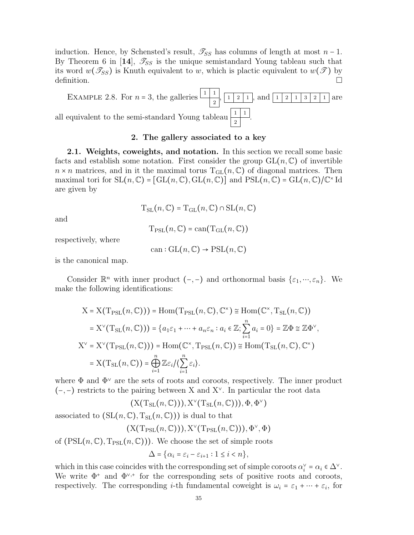induction. Hence, by Schensted's result,  $\mathcal{T}_{SS}$  has columns of length at most  $n-1$ . By Theorem 6 in [14],  $\mathcal{I}_{SS}$  is the unique semistandard Young tableau such that its word  $w(\mathscr{T}_{SS})$  is Knuth equivalent to w, which is plactic equivalent to  $w(\mathscr{T})$  by definition.  $\Box$ 



#### 2. The gallery associated to a key

2.1. Weights, coweights, and notation. In this section we recall some basic facts and establish some notation. First consider the group  $GL(n, \mathbb{C})$  of invertible  $n \times n$  matrices, and in it the maximal torus  $T_{GL}(n, \mathbb{C})$  of diagonal matrices. Then maximal tori for  $SL(n,\mathbb{C}) = [GL(n,\mathbb{C}), GL(n,\mathbb{C})]$  and  $PSL(n,\mathbb{C}) = GL(n,\mathbb{C})/\mathbb{C}^{\times}$  Id are given by

$$
T_{SL}(n, \mathbb{C}) = T_{GL}(n, \mathbb{C}) \cap SL(n, \mathbb{C})
$$

and

$$
T_{PSL}(n, \mathbb{C}) = \mathrm{can}(T_{GL}(n, \mathbb{C}))
$$

respectively, where

$$
can: GL(n, \mathbb{C}) \to PSL(n, \mathbb{C})
$$

is the canonical map.

Consider  $\mathbb{R}^n$  with inner product  $(-,-)$  and orthonormal basis  $\{\varepsilon_1,\dots,\varepsilon_n\}$ . We make the following identifications:

$$
X = X(T_{PSL}(n, \mathbb{C}))) = \text{Hom}(T_{PSL}(n, \mathbb{C}), \mathbb{C}^{\times}) \cong \text{Hom}(\mathbb{C}^{\times}, T_{SL}(n, \mathbb{C}))
$$
  
\n
$$
= X^{\vee}(T_{SL}(n, \mathbb{C}))) = \{a_1\varepsilon_1 + \dots + a_n\varepsilon_n : a_i \in \mathbb{Z}; \sum_{i=1}^n a_i = 0\} = \mathbb{Z}\Phi \cong \mathbb{Z}\Phi^{\vee},
$$
  
\n
$$
X^{\vee} = X^{\vee}(T_{PSL}(n, \mathbb{C}))) = \text{Hom}(\mathbb{C}^{\times}, T_{PSL}(n, \mathbb{C})) \cong \text{Hom}(T_{SL}(n, \mathbb{C}), \mathbb{C}^{\times})
$$
  
\n
$$
= X(T_{SL}(n, \mathbb{C})) = \bigoplus_{i=1}^n \mathbb{Z}\varepsilon_i / \langle \sum_{i=1}^n \varepsilon_i \rangle.
$$

where  $\Phi$  and  $\Phi^{\vee}$  are the sets of roots and coroots, respectively. The inner product  $(-,-)$  restricts to the pairing between X and X<sup> $\vee$ </sup>. In particular the root data

 $(X(T_{SL}(n,\mathbb{C}))), X^{\vee}(T_{SL}(n,\mathbb{C}))), \Phi, \Phi^{\vee})$ 

associated to  $(SL(n, \mathbb{C}), T_{SL}(n, \mathbb{C}))$  is dual to that

$$
(X(T_{PSL}(n,\mathbb{C}))),X^{\vee}(T_{PSL}(n,\mathbb{C}))),\Phi^{\vee},\Phi)
$$

of  $(PSL(n, \mathbb{C}), T_{PSL}(n, \mathbb{C}))$ . We choose the set of simple roots

$$
\Delta = \{ \alpha_i = \varepsilon_i - \varepsilon_{i+1} : 1 \le i < n \},\
$$

which in this case coincides with the corresponding set of simple coroots  $\alpha_i^{\vee} = \alpha_i \in \Delta^{\vee}$ . We write  $\Phi^+$  and  $\Phi^{\vee,+}$  for the corresponding sets of positive roots and coroots, respectively. The corresponding *i*-th fundamental coweight is  $\omega_i = \varepsilon_1 + \cdots + \varepsilon_i$ , for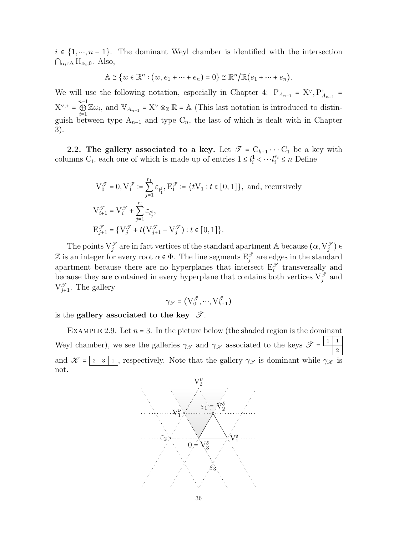$i \in \{1, \dots, n-1\}$ . The dominant Weyl chamber is identified with the intersection  $\bigcap_{\alpha_i\in\Delta} H_{\alpha_i,0}.$  Also,

$$
\mathbb{A} \cong \{w \in \mathbb{R}^n : (w, e_1 + \dots + e_n) = 0\} \cong \mathbb{R}^n / \mathbb{R} (e_1 + \dots + e_n).
$$

We will use the following notation, especially in Chapter 4:  $P_{A_{n-1}} = X^{\vee}, P_{A_{n-1}}^{+} =$  $X^{\vee,+} = \bigoplus^{n-1}$  $\bigoplus_{i=1}^{n-1} \mathbb{Z}\omega_i$ , and  $\mathbb{V}_{A_{n-1}} = \mathbf{X}^{\vee} \otimes_{\mathbb{Z}} \mathbb{R} = \mathbb{A}$  (This last notation is introduced to distinguish between type  $A_{n-1}$  and type  $C_n$ , the last of which is dealt with in Chapter 3).

2.2. The gallery associated to a key. Let  $\mathscr{T} = C_{k+1} \cdots C_1$  be a key with columns  $C_i$ , each one of which is made up of entries  $1 \leq l_i^1 \leq \cdots l_i^{r_i} \leq n$  Define

$$
V_0^{\mathcal{T}} = 0, V_1^{\mathcal{T}} := \sum_{j=1}^{r_1} \varepsilon_{l_1^j}, E_1^{\mathcal{T}} := \{ tV_1 : t \in [0, 1] \}, \text{ and, recursively}
$$
  
\n
$$
V_{i+1}^{\mathcal{T}} = V_i^{\mathcal{T}} + \sum_{j=1}^{r_i} \varepsilon_{l_j^i},
$$
  
\n
$$
E_{j+1}^{\mathcal{T}} = \{ V_j^{\mathcal{T}} + t(V_{j+1}^{\mathcal{T}} - V_j^{\mathcal{T}}) : t \in [0, 1] \}.
$$

The points  $V_j^{\mathcal{T}}$  are in fact vertices of the standard apartment A because  $(\alpha, V_j^{\mathcal{T}})$   $\in$ Z is an integer for every root  $\alpha \in \Phi$ . The line segments  $E_j^{\mathscr{T}}$  are edges in the standard apartment because there are no hyperplanes that intersect  $E_i^{\mathcal{T}}$  transversally and because they are contained in every hyperplane that contains both vertices  $V_j^{\mathcal{T}}$  and  $V_{j+1}^{\mathscr{T}}$ . The gallery

$$
\gamma_{\mathscr{T}} = (V^{\mathscr{T}}_0, \cdots, V^{\mathscr{T}}_{k+1})
$$

is the gallery associated to the key  $\mathscr{T}$ .

EXAMPLE 2.9. Let  $n = 3$ . In the picture below (the shaded region is the dominant Weyl chamber), we see the galleries  $\gamma_{\mathscr{T}}$  and  $\gamma_{\mathscr{K}}$  associated to the keys  $\mathscr{T} = \frac{\lfloor 1 \rfloor}{2}$ 2 and  $\mathscr{K} = \boxed{2 \mid 3 \mid 1}$ , respectively. Note that the gallery  $\gamma_{\mathscr{T}}$  is dominant while  $\gamma_{\mathscr{K}}$  is not.

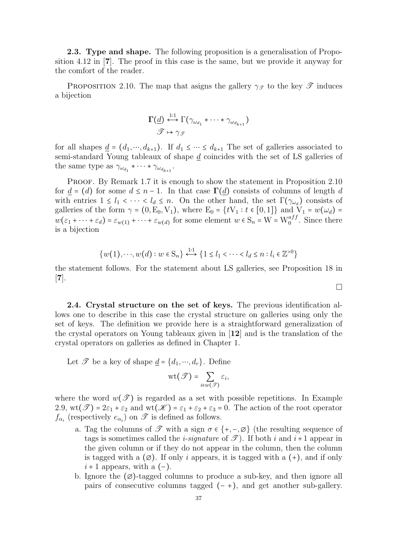**2.3. Type and shape.** The following proposition is a generalisation of Proposition 4.12 in [7]. The proof in this case is the same, but we provide it anyway for the comfort of the reader.

PROPOSITION 2.10. The map that asigns the gallery  $\gamma_{\mathscr{T}}$  to the key  $\mathscr{T}$  induces a bijection

$$
\Gamma(\underline{d}) \stackrel{1:1}{\longleftrightarrow} \Gamma(\gamma_{\omega_{d_1}} * \cdots * \gamma_{\omega_{d_{k+1}}})
$$

$$
\mathcal{F} \mapsto \gamma_{\mathcal{F}}
$$

for all shapes  $\underline{d} = (d_1, \dots, d_{k+1})$ . If  $d_1 \leq \dots \leq d_{k+1}$  The set of galleries associated to semi-standard Young tableaux of shape d coincides with the set of LS galleries of the same type as  $\gamma_{\omega_{d_1}} * \cdots * \gamma_{\omega_{d_{k+1}}}$ .

PROOF. By Remark 1.7 it is enough to show the statement in Proposition 2.10 for  $\underline{d} = (d)$  for some  $d \leq n-1$ . In that case  $\Gamma(\underline{d})$  consists of columns of length d with entries  $1 \leq l_1 < \cdots < l_d \leq n$ . On the other hand, the set  $\Gamma(\gamma_{\omega_d})$  consists of galleries of the form  $\gamma = (0, E_0, V_1)$ , where  $E_0 = \{tV_1 : t \in [0, 1]\}$  and  $V_1 = w(\omega_d)$  $w(\varepsilon_1 + \cdots + \varepsilon_d) = \varepsilon_{w(1)} + \cdots + \varepsilon_{w(d)}$  for some element  $w \in S_n = W = W_0^{aff}$ . Since there is a bijection

$$
\{w(1), \cdots, w(d) : w \in S_n\} \stackrel{1:1}{\longleftrightarrow} \{1 \le l_1 < \cdots < l_d \le n : l_i \in \mathbb{Z}^{>0}\}
$$

the statement follows. For the statement about LS galleries, see Proposition 18 in  $\vert 7 \vert$ .

2.4. Crystal structure on the set of keys. The previous identification allows one to describe in this case the crystal structure on galleries using only the set of keys. The definition we provide here is a straightforward generalization of the crystal operators on Young tableaux given in [12] and is the translation of the crystal operators on galleries as defined in Chapter 1.

Let  $\mathscr T$  be a key of shape  $\underline{d} = \{d_1, \dots, d_r\}$ . Define

$$
\text{wt}(\mathscr{T})=\sum_{i\in w(\mathscr{T})}\varepsilon_i,
$$

where the word  $w(\mathscr{T})$  is regarded as a set with possible repetitions. In Example 2.9,  $\text{wt}(\mathscr{T}) = 2\varepsilon_1 + \varepsilon_2$  and  $\text{wt}(\mathscr{K}) = \varepsilon_1 + \varepsilon_2 + \varepsilon_3 = 0$ . The action of the root operator  $f_{\alpha_i}$  (respectively  $e_{\alpha_i}$ ) on  $\mathscr T$  is defined as follows.

- a. Tag the columns of  $\mathscr T$  with a sign  $\sigma \in \{+, -\infty\}$  (the resulting sequence of tags is sometimes called the *i-signature* of  $\mathscr{T}$ ). If both *i* and *i*+1 appear in the given column or if they do not appear in the column, then the column is tagged with a  $(\emptyset)$ . If only i appears, it is tagged with a  $(+)$ , and if only  $i + 1$  appears, with a  $(-)$ .
- b. Ignore the  $(\emptyset)$ -tagged columns to produce a sub-key, and then ignore all pairs of consecutive columns tagged  $(-+)$ , and get another sub-gallery.

 $\Box$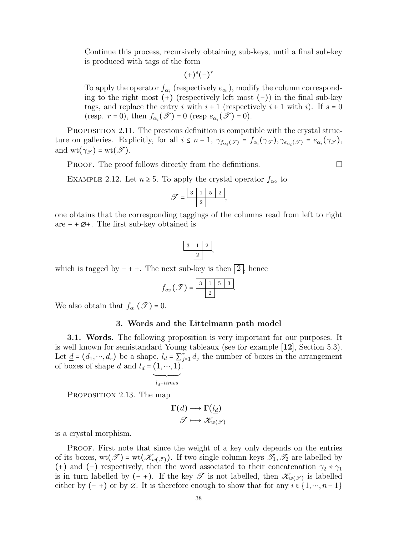Continue this process, recursively obtaining sub-keys, until a final sub-key is produced with tags of the form

$$
(+)^s(-)^r
$$

To apply the operator  $f_{\alpha_i}$  (respectively  $e_{\alpha_i}$ ), modify the column corresponding to the right most  $(+)$  (respectively left most  $(-)$ ) in the final sub-key tags, and replace the entry i with  $i+1$  (respectively  $i+1$  with i). If  $s=0$ (resp.  $r = 0$ ), then  $f_{\alpha_i}(\mathscr{T}) = 0$  (resp  $e_{\alpha_i}(\mathscr{T}) = 0$ ).

PROPOSITION 2.11. The previous definition is compatible with the crystal structure on galleries. Explicitly, for all  $i \leq n-1$ ,  $\gamma_{f_{\alpha_i}(\mathscr{T})} = f_{\alpha_i}(\gamma_{\mathscr{T}})$ ,  $\gamma_{e_{\alpha_i}(\mathscr{T})} = e_{\alpha_i}(\gamma_{\mathscr{T}})$ , and  $\text{wt}(\gamma_{\mathscr{T}}) = \text{wt}(\mathscr{T})$ .

**PROOF.** The proof follows directly from the definitions.  $\Box$ 

EXAMPLE 2.12. Let  $n \geq 5$ . To apply the crystal operator  $f_{\alpha_2}$  to

$$
\mathscr{T} = \frac{\boxed{3 \quad 1 \quad 5 \quad 2}}{2},
$$

one obtains that the corresponding taggings of the columns read from left to right are − + ∅+. The first sub-key obtained is

$$
\begin{array}{|c|c|c|}\hline 3&1&2 \\ \hline &2& \\ \hline \end{array}
$$

which is tagged by  $- + +$ . The next sub-key is then 2, hence

$$
f_{\alpha_2}(\mathscr{T})=\frac{\boxed{3}\boxed{1}\boxed{5}\boxed{3}}{2}.
$$

We also obtain that  $f_{\alpha_1}(\mathscr{T}) = 0$ .

#### 3. Words and the Littelmann path model

3.1. Words. The following proposition is very important for our purposes. It is well known for semistandard Young tableaux (see for example [12], Section 5.3). Let  $\underline{d} = (d_1, \dots, d_r)$  be a shape,  $l_d = \sum_{j=1}^r d_j$  the number of boxes in the arrangement of boxes of shape  $\underline{d}$  and  $l_d = (1, \dots, 1)$  $\overline{\phantom{a}}$ .

$$
l_d\textit{-times}
$$

PROPOSITION 2.13. The map

$$
\Gamma(\underline{d}) \longrightarrow \Gamma(\underline{l_d})
$$

$$
\mathcal{T} \longmapsto \mathcal{K}_{w(\mathcal{T})}
$$

is a crystal morphism.

PROOF. First note that since the weight of a key only depends on the entries of its boxes,  $wt(\mathscr{T}) = wt(\mathscr{K}_{w(\mathscr{T})})$ . If two single column keys  $\mathscr{T}_1, \mathscr{T}_2$  are labelled by (+) and (-) respectively, then the word associated to their concatenation  $\gamma_2 * \gamma_1$ is in turn labelled by  $(-+)$ . If the key  $\mathscr T$  is not labelled, then  $\mathscr K_{w(\mathscr T)}$  is labelled either by  $(-+)$  or by  $\emptyset$ . It is therefore enough to show that for any  $i \in \{1, \dots, n-1\}$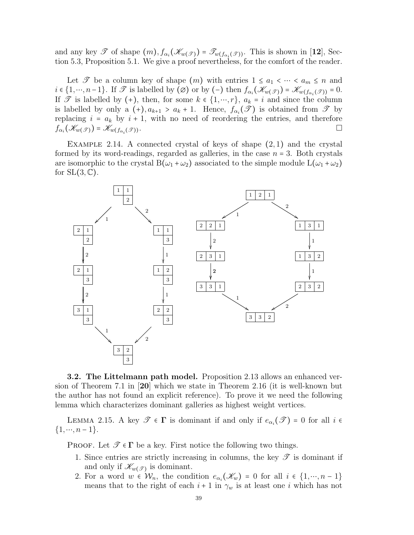and any key  $\mathscr T$  of shape  $(m)$ ,  $f_{\alpha_i}(\mathscr{K}_{w(\mathscr{T})}) = \mathscr T_{w(f_{\alpha_i}(\mathscr{T}))}$ . This is shown in [12], Section 5.3, Proposition 5.1. We give a proof nevertheless, for the comfort of the reader.

Let  $\mathscr T$  be a column key of shape  $(m)$  with entries  $1 \le a_1 < \cdots < a_m \le n$  and  $i \in \{1, \dots, n-1\}$ . If  $\mathscr T$  is labelled by  $(\emptyset)$  or by  $(-)$  then  $f_{\alpha_i}(\mathscr K_{w(\mathscr T)}) = \mathscr K_{w(f_{\alpha_i}(\mathscr T))} = 0$ . If  $\mathscr T$  is labelled by (+), then, for some  $k \in \{1, \dots, r\}$ ,  $a_k = i$  and since the column is labelled by only a  $(+)$ ,  $a_{k+1} > a_k + 1$ . Hence,  $f_{\alpha_i}(\mathscr{T})$  is obtained from  $\mathscr{T}$  by replacing  $i = a_k$  by  $i + 1$ , with no need of reordering the entries, and therefore  $f_{\alpha_i}(\mathscr{K}_{w(\mathscr{T})}) = \mathscr{K}_{w(f_{\alpha_i})}$  $(\mathscr{T})$ ).

EXAMPLE 2.14. A connected crystal of keys of shape  $(2,1)$  and the crystal formed by its word-readings, regarded as galleries, in the case  $n = 3$ . Both crystals are isomorphic to the crystal  $B(\omega_1 + \omega_2)$  associated to the simple module  $L(\omega_1 + \omega_2)$ for  $SL(3,\mathbb{C})$ .



3.2. The Littelmann path model. Proposition 2.13 allows an enhanced version of Theorem 7.1 in [20] which we state in Theorem 2.16 (it is well-known but the author has not found an explicit reference). To prove it we need the following lemma which characterizes dominant galleries as highest weight vertices.

LEMMA 2.15. A key  $\mathscr{T} \in \Gamma$  is dominant if and only if  $e_{\alpha_i}(\mathscr{T}) = 0$  for all  $i \in$  $\{1, \cdots, n-1\}.$ 

PROOF. Let  $\mathscr{T} \in \Gamma$  be a key. First notice the following two things.

- 1. Since entries are strictly increasing in columns, the key  $\mathscr T$  is dominant if and only if  $\mathscr{K}_{w(\mathscr{T})}$  is dominant.
- 2. For a word  $w \in \mathcal{W}_n$ , the condition  $e_{\alpha_i}(\mathscr{K}_w) = 0$  for all  $i \in \{1, \cdots, n-1\}$ means that to the right of each  $i + 1$  in  $\gamma_w$  is at least one i which has not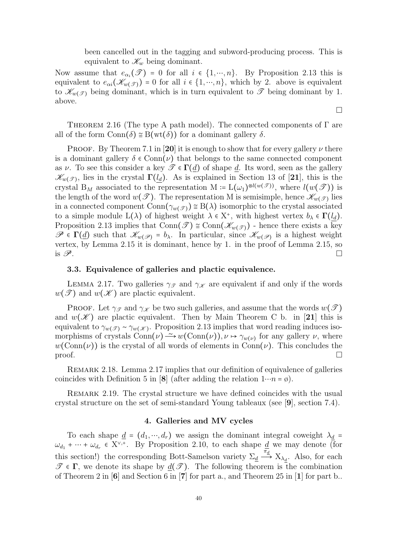been cancelled out in the tagging and subword-producing process. This is equivalent to  $\mathscr{K}_w$  being dominant.

Now assume that  $e_{\alpha_i}(\mathscr{T}) = 0$  for all  $i \in \{1, ..., n\}$ . By Proposition 2.13 this is equivalent to  $e_{\alpha i}(\mathscr{K}_{w(\mathscr{T})}) = 0$  for all  $i \in \{1, \cdots, n\}$ , which by 2. above is equivalent to  $\mathscr{K}_{w(\mathscr{T})}$  being dominant, which is in turn equivalent to  $\mathscr{T}$  being dominant by 1. above.

THEOREM 2.16 (The type A path model). The connected components of  $\Gamma$  are all of the form  $Conn(\delta) \cong B(wt(\delta))$  for a dominant gallery  $\delta$ .

**PROOF.** By Theorem 7.1 in [20] it is enough to show that for every gallery  $\nu$  there is a dominant gallery  $\delta \in \text{Conn}(\nu)$  that belongs to the same connected component as v. To see this consider a key  $\mathscr{T} \in \Gamma(d)$  of shape d. Its word, seen as the gallery  $\mathscr{K}_{w(\mathscr{T})}$ , lies in the crystal  $\Gamma(l_d)$ . As is explained in Section 13 of [21], this is the crystal B<sub>M</sub> associated to the representation M :=  $L(\omega_1)^{\otimes l(w(\mathcal{T}))}$ , where  $l(w(\mathcal{T}))$  is the length of the word  $w(\mathcal{T})$ . The representation M is semisimple, hence  $\mathscr{K}_{w(\mathcal{T})}$  lies in a connected component Conn $(\gamma_{w(\mathcal{T})}) \leq B(\lambda)$  isomorphic to the crystal associated to a simple module  $L(\lambda)$  of highest weight  $\lambda \in X^*$ , with highest vertex  $b_\lambda \in \Gamma(l_d)$ . Proposition 2.13 implies that Conn $(\mathcal{T}) \cong \text{Conn}(\mathcal{K}_{w(\mathcal{T})})$  - hence there exists a key  $\mathscr{P} \in \Gamma(\underline{d})$  such that  $\mathscr{K}_{w(\mathscr{P})} = b_{\lambda}$ . In particular, since  $\mathscr{K}_{w(\mathscr{P})}$  is a highest weight vertex, by Lemma 2.15 it is dominant, hence by 1. in the proof of Lemma 2.15, so is  $\mathscr{P}$ .

## 3.3. Equivalence of galleries and plactic equivalence.

LEMMA 2.17. Two galleries  $\gamma_{\mathscr{T}}$  and  $\gamma_{\mathscr{K}}$  are equivalent if and only if the words  $w(\mathscr{T})$  and  $w(\mathscr{K})$  are plactic equivalent.

**PROOF.** Let  $\gamma_{\mathscr{T}}$  and  $\gamma_{\mathscr{K}}$  be two such galleries, and assume that the words  $w(\mathscr{T})$ and  $w(\mathscr{K})$  are plactic equivalent. Then by Main Theorem C b. in [21] this is equivalent to  $\gamma_{w(\mathscr{T})} \sim \gamma_{w(\mathscr{K})}$ . Proposition 2.13 implies that word reading induces isomorphisms of crystals Conn $(\nu) \to w(\text{Conn}(\nu)), \nu \mapsto \gamma_{w(\nu)}$  for any gallery  $\nu$ , where  $w(\text{Conn}(\nu))$  is the crystal of all words of elements in  $\text{Conn}(\nu)$ . This concludes the  $\Box$ 

Remark 2.18. Lemma 2.17 implies that our definition of equivalence of galleries coincides with Definition 5 in [8] (after adding the relation  $1 \cdots n = \emptyset$ ).

Remark 2.19. The crystal structure we have defined coincides with the usual crystal structure on the set of semi-standard Young tableaux (see [9], section 7.4).

#### 4. Galleries and MV cycles

To each shape  $\underline{d} = (d_1, ..., d_r)$  we assign the dominant integral coweight  $\lambda_{\underline{d}} =$  $\omega_{d_1} + \cdots + \omega_{d_r} \in X^{\vee,+}$ . By Proposition 2.10, to each shape <u>d</u> we may denote (for this section!) the corresponding Bott-Samelson variety  $\Sigma_d \stackrel{\pi_d}{\longrightarrow} X_{\lambda_d}$ . Also, for each  $\mathscr{T} \in \Gamma$ , we denote its shape by  $\underline{d}(\mathscr{T})$ . The following theorem is the combination of Theorem 2 in  $[6]$  and Section 6 in  $[7]$  for part a., and Theorem 25 in  $[1]$  for part b..

 $\Box$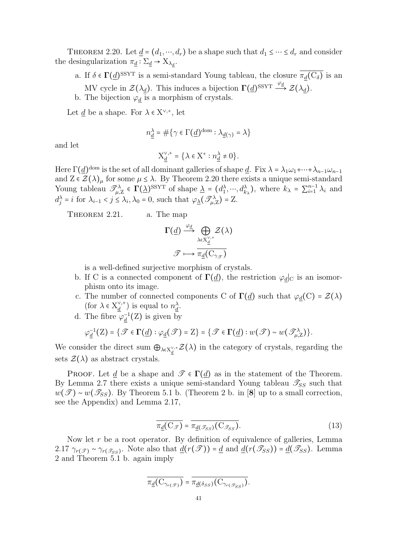THEOREM 2.20. Let  $\underline{d} = (d_1, \dots, d_r)$  be a shape such that  $d_1 \leq \dots \leq d_r$  and consider the desingularization  $\pi_{\underline{d}} : \Sigma_{\underline{d}} \to X_{\lambda_{\underline{d}}}$ .

- a. If  $\delta \in \Gamma(\underline{d})^{\text{SSYT}}$  is a semi-standard Young tableau, the closure  $\pi_{\underline{d}}(C_{\delta})$  is an MV cycle in  $\mathcal{Z}(\lambda_d)$ . This induces a bijection  $\Gamma(\underline{d})^{\text{SSYT}} \stackrel{\varphi_d}{\longrightarrow} \mathcal{Z}(\lambda_d)$ .
- b. The bijection  $\varphi_{\underline{d}}$  is a morphism of crystals.

Let d be a shape. For  $\lambda \in X^{\vee,+}$ , let

$$
n^{\lambda}_{\underline{d}} = \#\big\{\gamma \in \Gamma \big( \underline{d} \big)^{\mathrm{dom}} : \lambda_{\underline{d}(\gamma)} = \lambda \big\}
$$

and let

$$
X_{\underline{d}}^{\vee,+} = \{ \lambda \in X^+ : n_{\underline{d}}^{\lambda} \neq 0 \}.
$$

Here  $\Gamma(\underline{d})^{\text{dom}}$  is the set of all dominant galleries of shape  $\underline{d}$ . Fix  $\lambda = \lambda_1 \omega_1 + \cdots + \lambda_{n-1} \omega_{n-1}$ and  $Z \in \mathcal{Z}(\lambda)_{\mu}$  for some  $\mu \leq \lambda$ . By Theorem 2.20 there exists a unique semi-standard Young tableau  $\mathcal{J}_{\mu,Z}^{\lambda} \in \Gamma(\underline{\lambda})^{\text{SSYT}}$  of shape  $\underline{\lambda} = (d_1^{\lambda}, \dots, d_{k_{\lambda}}^{\lambda})$ , where  $k_{\lambda} = \sum_{i=1}^{n-1} \lambda_i$  and  $d_j^{\lambda} = i$  for  $\lambda_{i-1} < j \leq \lambda_i, \lambda_0 = 0$ , such that  $\varphi_{\underline{\lambda}}(\mathscr{T}^{\lambda}_{\mu,\underline{Z}}) = \underline{Z}$ .

THEOREM 2.21. a. The map

$$
\Gamma(\underline{d}) \xrightarrow{\varphi_{\underline{d}}} \bigoplus_{\lambda \in X_{\underline{d}}^{\vee,+}} \mathcal{Z}(\lambda)
$$

$$
\mathcal{F} \longmapsto \overline{\pi_{\underline{d}}(\mathcal{C}_{\gamma_{\mathcal{F}}})}
$$

is a well-defined surjective morphism of crystals.

- b. If C is a connected component of  $\Gamma(\underline{d})$ , the restriction  $\varphi_d|_C$  is an isomorphism onto its image.
- c. The number of connected components C of  $\Gamma(\underline{d})$  such that  $\varphi_{\underline{d}}(C) = \mathcal{Z}(\lambda)$ (for  $\lambda \in X_d^{\vee,+}$  $\frac{d}{d}^{(\gamma,+)}$  is equal to  $n_d^{\lambda}$ .
- d. The fibre  $\varphi_d^{-1}(Z)$  is given by

$$
\varphi_{\underline{d}}^{-1}(Z) = \{ \mathscr{T} \in \Gamma(\underline{d}) : \varphi_{\underline{d}}(\mathscr{T}) = Z \} = \{ \mathscr{T} \in \Gamma(\underline{d}) : w(\mathscr{T}) \sim w(\mathscr{T}^{\lambda}_{\mu,Z}) \}.
$$

We consider the direct sum  $\bigoplus_{\lambda \in X_d^{\vee,+}} \mathcal{Z}(\lambda)$  in the category of crystals, regarding the sets  $\mathcal{Z}(\lambda)$  as abstract crystals.

PROOF. Let  $\underline{d}$  be a shape and  $\mathscr{T} \in \Gamma(\underline{d})$  as in the statement of the Theorem. By Lemma 2.7 there exists a unique semi-standard Young tableau  $\mathscr{T}_{SS}$  such that  $w(\mathscr{T}) \sim w(\mathscr{T}_{SS})$ . By Theorem 5.1 b. (Theorem 2 b. in [8] up to a small correction, see the Appendix) and Lemma 2.17,

$$
\overline{\pi_{\underline{d}}(C_{\mathscr{T}})} = \overline{\pi_{\underline{d}(\mathscr{T}_{SS})}(C_{\mathscr{T}_{SS})}}.
$$
\n(13)

Now let  $r$  be a root operator. By definition of equivalence of galleries, Lemma 2.17  $\gamma_{r(\mathscr{T})} \sim \gamma_{r(\mathscr{T}_{SS})}$ . Note also that  $\underline{d}(r(\mathscr{T})) = \underline{d}$  and  $\underline{d}(r(\mathscr{T}_{SS})) = \underline{d}(\mathscr{T}_{SS})$ . Lemma 2 and Theorem 5.1 b. again imply

$$
\overline{\pi_{\underline{d}}(C_{\gamma_{r(\mathscr{T})}})} = \overline{\pi_{\underline{d}(\delta_{SS})}(C_{\gamma_{r(\mathscr{T}_{SS})}})}.
$$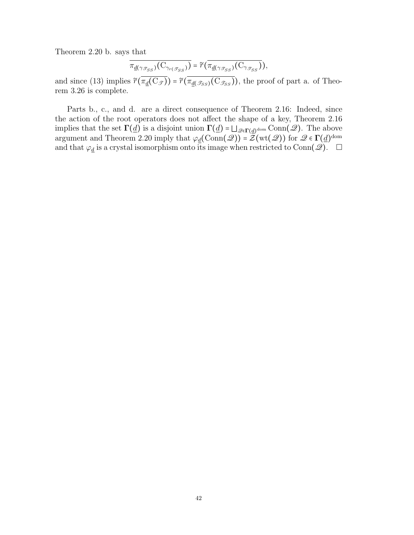Theorem 2.20 b. says that

$$
\overline{\pi_{\underline{d}(\gamma_{\mathscr{T}_{SS}})}(C_{\gamma_{r(\mathscr{T}_{SS})}})} = \widetilde{r}(\overline{\pi_{\underline{d}(\gamma_{\mathscr{T}_{SS}})}(C_{\gamma_{\mathscr{T}_{SS}}})}),
$$

and since (13) implies  $\widetilde{r}(\overline{\pi_{d}(C_{\mathscr{T}})}) = \widetilde{r}(\overline{\pi_{d}(\mathscr{T}_{SS})(C_{\mathscr{T}_{SS}})})$ , the proof of part a. of Theorem 3.26 is complete.

Parts b., c., and d. are a direct consequence of Theorem 2.16: Indeed, since the action of the root operators does not affect the shape of a key, Theorem 2.16 implies that the set  $\Gamma(\underline{d})$  is a disjoint union  $\Gamma(\underline{d}) = \bigsqcup_{\mathscr{Q} \in \Gamma(\underline{d})^{\text{dom}}} \text{Conn}(\mathscr{Q})$ . The above argument and Theorem 2.20 imply that  $\varphi_{\underline{d}}(\text{Conn}({\mathscr{Q}})) = \mathcal{Z}(\text{wt}({\mathscr{Q}}))$  for  ${\mathscr{Q}} \in \Gamma(\underline{d})^{\text{dom}}$ and that  $\varphi_{\underline{d}}$  is a crystal isomorphism onto its image when restricted to Conn( $\mathscr{Q}$ ).  $\Box$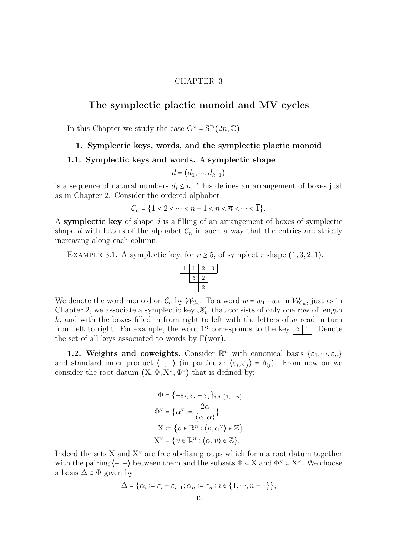## CHAPTER 3

# The symplectic plactic monoid and MV cycles

In this Chapter we study the case  $G^{\vee} = SP(2n, \mathbb{C})$ .

## 1. Symplectic keys, words, and the symplectic plactic monoid

## 1.1. Symplectic keys and words. A symplectic shape

$$
\underline{d} = (d_1, \cdots, d_{k+1})
$$

is a sequence of natural numbers  $d_i \leq n$ . This defines an arrangement of boxes just as in Chapter 2. Consider the ordered alphabet

$$
\mathcal{C}_n = \{1 < 2 < \dots < n - 1 < n < \overline{n} < \dots < \overline{1}\}.
$$

A symplectic key of shape  $\underline{d}$  is a filling of an arrangement of boxes of symplectic shape  $\underline{d}$  with letters of the alphabet  $\mathcal{C}_n$  in such a way that the entries are strictly increasing along each column.

EXAMPLE 3.1. A symplectic key, for  $n \geq 5$ , of symplectic shape  $(1,3,2,1)$ .



We denote the word monoid on  $\mathcal{C}_n$  by  $\mathcal{W}_{\mathcal{C}_n}$ . To a word  $w = w_1 \cdots w_k$  in  $\mathcal{W}_{\mathcal{C}_n}$ , just as in Chapter 2, we associate a symplectic key  $\mathscr{K}_w$  that consists of only one row of length k, and with the boxes filled in from right to left with the letters of  $w$  read in turn from left to right. For example, the word 12 corresponds to the key  $|2|1|$ . Denote the set of all keys associated to words by  $\Gamma(\text{wor})$ .

**1.2. Weights and coweights.** Consider  $\mathbb{R}^n$  with canonical basis  $\{\varepsilon_1, \dots, \varepsilon_n\}$ and standard inner product  $\langle -, - \rangle$  (in particular  $\langle \varepsilon_i, \varepsilon_j \rangle = \delta_{ij}$ ). From now on we consider the root datum  $(X, \Phi, X^{\vee}, \Phi^{\vee})$  that is defined by:

$$
\Phi = \{ \pm \varepsilon_i, \varepsilon_i \pm \varepsilon_j \}_{i,j \in \{1,\cdots,n\}}
$$

$$
\Phi^{\vee} = \{ \alpha^{\vee} := \frac{2\alpha}{\langle \alpha, \alpha \rangle} \}
$$

$$
X := \{ v \in \mathbb{R}^n : \langle v, \alpha^{\vee} \rangle \in \mathbb{Z} \}
$$

$$
X^{\vee} = \{ v \in \mathbb{R}^n : \langle \alpha, v \rangle \in \mathbb{Z} \}.
$$

Indeed the sets X and  $X^{\vee}$  are free abelian groups which form a root datum together with the pairing  $\langle -, - \rangle$  between them and the subsets  $\Phi \subset X$  and  $\Phi^{\vee} \subset X^{\vee}$ . We choose a basis  $\Delta \subset \Phi$  given by

$$
\Delta = \{\alpha_i := \varepsilon_i - \varepsilon_{i+1}; \alpha_n := \varepsilon_n : i \in \{1, \cdots, n-1\}\},\
$$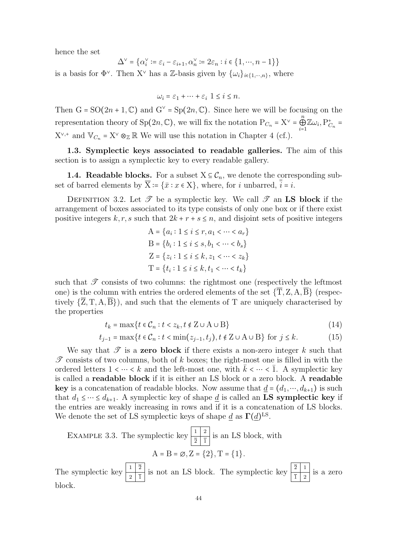hence the set

$$
\Delta^{\vee} = \{ \alpha_i^{\vee} \coloneqq \varepsilon_i - \varepsilon_{i+1}, \alpha_n^{\vee} \coloneqq 2\varepsilon_n : i \in \{1, \cdots, n-1\} \}
$$

is a basis for  $\Phi^{\vee}$ . Then X<sup> $\vee$ </sup> has a Z-basis given by  $\{\omega_i\}_{i\in\{1,\cdots,n\}}$ , where

$$
\omega_i = \varepsilon_1 + \dots + \varepsilon_i \ \ 1 \leq i \leq n.
$$

Then  $G = SO(2n + 1, \mathbb{C})$  and  $G^{\vee} = Sp(2n, \mathbb{C})$ . Since here we will be focusing on the representation theory of Sp(2n, C), we will fix the notation  $P_{C_n} = X^{\vee} = \bigoplus_{n=1}^{n} P_{C_n}$  $\bigoplus_{i=1}^n \mathbb{Z} \omega_i$ ,  $P_{C_n}^+$  =  $X^{\vee,+}$  and  $\mathbb{V}_{C_n}$  =  $X^{\vee} \otimes_{\mathbb{Z}} \mathbb{R}$  We will use this notation in Chapter 4 (cf.).

1.3. Symplectic keys associated to readable galleries. The aim of this section is to assign a symplectic key to every readable gallery.

**1.4. Readable blocks.** For a subset  $X \subseteq \mathcal{C}_n$ , we denote the corresponding subset of barred elements by  $\overline{X} = \{\overline{x} : x \in X\}$ , where, for i unbarred,  $\overline{i} = i$ .

DEFINITION 3.2. Let  $\mathscr T$  be a symplectic key. We call  $\mathscr T$  an LS block if the arrangement of boxes associated to its type consists of only one box or if there exist positive integers k, r, s such that  $2k + r + s \leq n$ , and disjoint sets of positive integers

$$
A = \{a_i : 1 \le i \le r, a_1 < \dots < a_r\}
$$
\n
$$
B = \{b_i : 1 \le i \le s, b_1 < \dots < b_s\}
$$
\n
$$
Z = \{z_i : 1 \le i \le k, z_1 < \dots < z_k\}
$$
\n
$$
T = \{t_i : 1 \le i \le k, t_1 < \dots < t_k\}
$$

such that  $\mathscr T$  consists of two columns: the rightmost one (respectively the leftmost one) is the column with entries the ordered elements of the set  $\{\overline{T}, Z, A, \overline{B}\}$  (respectively  $\{\overline{Z}, T, A, \overline{B}\}\)$ , and such that the elements of T are uniquely characterised by the properties

$$
t_k = \max\{t \in \mathcal{C}_n : t < z_k, t \notin \mathcal{Z} \cup \mathcal{A} \cup \mathcal{B}\}\tag{14}
$$

$$
t_{j-1} = \max\{t \in \mathcal{C}_n : t < \min(z_{j-1}, t_j), t \notin \mathbb{Z} \cup \mathbb{A} \cup \mathbb{B}\} \text{ for } j \le k. \tag{15}
$$

We say that  $\mathscr T$  is a zero block if there exists a non-zero integer k such that  $\mathscr T$  consists of two columns, both of k boxes; the right-most one is filled in with the ordered letters  $1 \lt \cdots \lt k$  and the left-most one, with  $\bar{k} \lt \cdots \lt \bar{1}$ . A symplectic key is called a readable block if it is either an LS block or a zero block. A readable **key** is a concatenation of readable blocks. Now assume that  $\underline{d} = (d_1, \dots, d_{k+1})$  is such that  $d_1 \leq \cdots \leq d_{k+1}$ . A symplectic key of shape d is called an **LS symplectic key** if the entries are weakly increasing in rows and if it is a concatenation of LS blocks. We denote the set of LS symplectic keys of shape  $\underline{d}$  as  $\Gamma(\underline{d})^{\text{LS}}$ .

EXAMPLE 3.3. The symplectic key  $\frac{1}{\sqrt{2}} \frac{2}{\sqrt{1}}$  is an LS block, with  $A = B = \emptyset, Z = \{2\}, T = \{1\}.$ 

The symplectic key  $\frac{1}{2}$   $\frac{2}{1}$  is not an LS block. The symplectic key  $\frac{2}{1}$  is a zero block.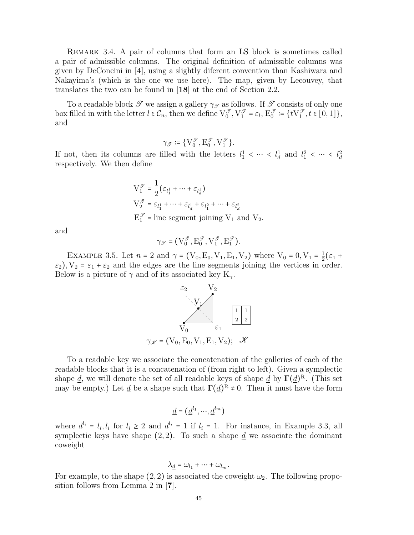Remark 3.4. A pair of columns that form an LS block is sometimes called a pair of admissible columns. The original definition of admissible columns was given by DeConcini in [4], using a slightly diferent convention than Kashiwara and Nakayima's (which is the one we use here). The map, given by Lecouvey, that translates the two can be found in [18] at the end of Section 2.2.

To a readable block  $\mathscr T$  we assign a gallery  $\gamma_{\mathscr T}$  as follows. If  $\mathscr T$  consists of only one box filled in with the letter  $l \in \mathcal{C}_n$ , then we define  $\bigvee_0^{\mathcal{T}}, \bigvee_1^{\mathcal{T}} = \varepsilon_l$ ,  $E_0^{\mathcal{T}} := \{t \bigvee_1^{\mathcal{T}}, t \in [0, 1]\},\$ and

$$
\gamma_{\mathscr{T}} \coloneqq \{ \mathcal{V}^{\mathscr{T}}_0, \mathcal{E}^{\mathscr{T}}_0, \mathcal{V}^{\mathscr{T}}_1 \}.
$$

If not, then its columns are filled with the letters  $l_1^1 < \cdots < l_d^1$  and  $l_1^2 < \cdots < l_d^2$ respectively. We then define

$$
V_1^{\mathcal{T}} = \frac{1}{2} (\varepsilon_{l_1^1} + \dots + \varepsilon_{l_d^1})
$$
  
\n
$$
V_2^{\mathcal{T}} = \varepsilon_{l_1^1} + \dots + \varepsilon_{l_d^1} + \varepsilon_{l_1^2} + \dots + \varepsilon_{l_d^2}
$$
  
\n
$$
E_1^{\mathcal{T}} = \text{line segment joining } V_1 \text{ and } V_2.
$$

and

$$
\gamma_{\mathscr{T}} = (V_0^{\mathscr{T}}, E_0^{\mathscr{T}}, V_1^{\mathscr{T}}, E_1^{\mathscr{T}}).
$$

EXAMPLE 3.5. Let  $n = 2$  and  $\gamma = (V_0, E_0, V_1, E_1, V_2)$  where  $V_0 = 0, V_1 = \frac{1}{2}$  $\frac{1}{2}(\varepsilon_1 +$  $\varepsilon_2$ ),  $V_2 = \varepsilon_1 + \varepsilon_2$  and the edges are the line segments joining the vertices in order. Below is a picture of  $\gamma$  and of its associated key K<sub> $\gamma$ </sub>.



To a readable key we associate the concatenation of the galleries of each of the readable blocks that it is a concatenation of (from right to left). Given a symplectic shape <u>d</u>, we will denote the set of all readable keys of shape <u>d</u> by  $\Gamma(\underline{d})^{\text{R}}$ . (This set may be empty.) Let <u>d</u> be a shape such that  $\Gamma(\underline{d})^R \neq 0$ . Then it must have the form

$$
\underline{d} = (\underline{d}^{l_1}, \cdots, \underline{d}^{l_m})
$$

where  $\underline{d}^{l_i} = l_i, l_i$  for  $l_i \geq 2$  and  $\underline{d}^{l_i} = 1$  if  $l_i = 1$ . For instance, in Example 3.3, all symplectic keys have shape  $(2, 2)$ . To such a shape  $d$  we associate the dominant coweight

$$
\lambda_{\underline{d}} = \omega_{l_1} + \cdots + \omega_{l_m}.
$$

For example, to the shape  $(2, 2)$  is associated the coweight  $\omega_2$ . The following proposition follows from Lemma 2 in [7].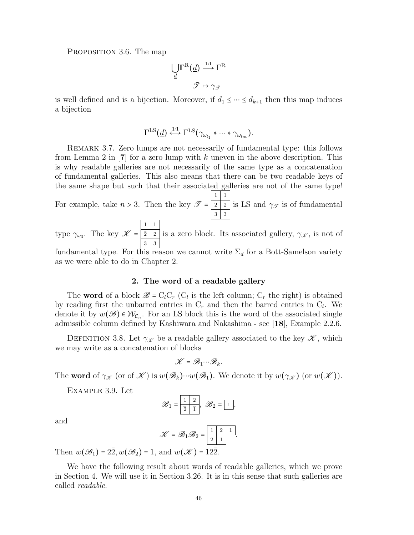PROPOSITION 3.6. The map

$$
\bigcup_{\underline{d}} \Gamma^{\mathcal{R}}(\underline{d}) \stackrel{\text{1:1}}{\longrightarrow} \Gamma^{\mathcal{R}}
$$

$$
\mathscr{T} \mapsto \gamma_{\mathscr{T}}
$$

is well defined and is a bijection. Moreover, if  $d_1 \leq \cdots \leq d_{k+1}$  then this map induces a bijection

$$
\Gamma^{\operatorname{LS}}(\underline{d})\stackrel{1:1}{\longleftrightarrow}\Gamma^{\operatorname{LS}}(\gamma_{\omega_{l_1}}\ast\cdots\ast\gamma_{\omega_{l_m}}).
$$

Remark 3.7. Zero lumps are not necessarily of fundamental type: this follows from Lemma 2 in  $[7]$  for a zero lump with k uneven in the above description. This is why readable galleries are not necessarily of the same type as a concatenation of fundamental galleries. This also means that there can be two readable keys of the same shape but such that their associated galleries are not of the same type!

For example, take  $n > 3$ . Then the key  $\mathscr{T} =$  $1 \mid 1$  $2 \mid 2$  $3 \mid 3$ is LS and  $\gamma_{\mathscr{T}}$  is of fundamental

type  $\gamma_{\omega_3}$ . The key  $\mathscr{K}$  =  $\bar{1}$  | 1  $\bar{2}$  |  $2$  $\bar{3}$  3 is a zero block. Its associated gallery,  $\gamma_{\mathscr{K}}$ , is not of

fundamental type. For this reason we cannot write  $\Sigma_{d}$  for a Bott-Samelson variety as we were able to do in Chapter 2.

## 2. The word of a readable gallery

The word of a block  $\mathscr{B} = C_l C_r$  ( $C_l$  is the left column;  $C_r$  the right) is obtained by reading first the unbarred entries in  $C_r$  and then the barred entries in  $C_l$ . We denote it by  $w(\mathscr{B}) \in \mathcal{W}_{\mathcal{C}_n}$ . For an LS block this is the word of the associated single admissible column defined by Kashiwara and Nakashima - see [18], Example 2.2.6.

DEFINITION 3.8. Let  $\gamma_{\mathscr{K}}$  be a readable gallery associated to the key  $\mathscr{K}$ , which we may write as a concatenation of blocks

$$
\mathscr{K}=\mathscr{B}_{1}\!\cdots\!\mathscr{B}_{k}.
$$

The **word** of  $\gamma_{\mathscr{K}}$  (or of  $\mathscr{K}$ ) is  $w(\mathscr{B}_k)\cdots w(\mathscr{B}_1)$ . We denote it by  $w(\gamma_{\mathscr{K}})$  (or  $w(\mathscr{K})$ ).

Example 3.9. Let

$$
\mathscr{B}_1 = \boxed{\frac{1}{2} \boxed{1}}, \ \mathscr{B}_2 = \boxed{1},
$$

and

$$
\mathscr{K} = \mathscr{B}_1 \mathscr{B}_2 = \boxed{\frac{1}{\frac{1}{2} \left| \frac{2}{1} \right|} \cdot \frac{1}{2}}.
$$

Then  $w(\mathscr{B}_1) = 2\overline{2}, w(\mathscr{B}_2) = 1$ , and  $w(\mathscr{K}) = 12\overline{2}$ .

We have the following result about words of readable galleries, which we prove in Section 4. We will use it in Section 3.26. It is in this sense that such galleries are called readable.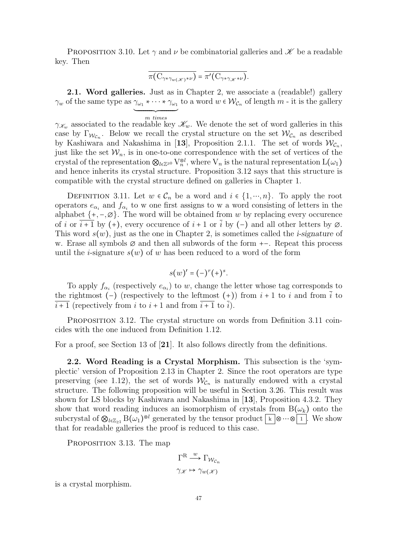PROPOSITION 3.10. Let  $\gamma$  and  $\nu$  be combinatorial galleries and  $\mathscr K$  be a readable key. Then

$$
\overline{\pi(C_{\gamma * \gamma_{w(\mathscr{K})} * \nu})} = \overline{\pi'(C_{\gamma * \gamma_{\mathscr{K}} * \nu})}.
$$

**2.1. Word galleries.** Just as in Chapter 2, we associate a (readable!) gallery  $\gamma_w$  of the same type as  $\gamma_{\omega_1} * \cdots * \gamma_{\omega_1}$  to a word  $w \in \mathcal{W}_{\mathcal{C}_n}$  of length  $m$  - it is the gallery ´ ¹¹¹¹¹¹¹¹¹¹¹¹¹¹¹¹¸ ¹¹¹¹¹¹¹¹¹¹¹¹¹¹¹¹¶

m times  $\gamma_{\mathcal{K}_w}$  associated to the readable key  $\mathcal{K}_w$ . We denote the set of word galleries in this case by  $\Gamma_{\mathcal{W}_{C_n}}$ . Below we recall the crystal structure on the set  $\mathcal{W}_{C_n}$  as described by Kashiwara and Nakashima in [13], Proposition 2.1.1. The set of words  $\mathcal{W}_{\mathcal{C}_n}$ , just like the set  $W_n$ , is in one-to-one correspondence with the set of vertices of the crystal of the representation  $\otimes_{l\in\mathbb{Z}^{\geq 0}} V_n^{\otimes l}$ , where  $V_n$  is the natural representation  $L(\omega_1)$ and hence inherits its crystal structure. Proposition 3.12 says that this structure is compatible with the crystal structure defined on galleries in Chapter 1.

DEFINITION 3.11. Let  $w \in C_n$  be a word and  $i \in \{1, \dots, n\}$ . To apply the root operators  $e_{\alpha_i}$  and  $f_{\alpha_i}$  to w one first assigns to w a word consisting of letters in the alphabet  $\{+,-,\varnothing\}$ . The word will be obtained from w by replacing every occurence of i or i + 1 by (+), every occurence of i + 1 or i by (-) and all other letters by  $\varnothing$ . This word  $s(w)$ , just as the one in Chapter 2, is sometimes called the *i-signature* of w. Erase all symbols ∅ and then all subwords of the form +−. Repeat this process until the *i*-signature  $s(w)$  of w has been reduced to a word of the form

$$
s(w)' = (-)^r (+)^s.
$$

To apply  $f_{\alpha_i}$  (respectively  $e_{\alpha_i}$ ) to w, change the letter whose tag corresponds to the rightmost (−) (respectively to the leftmost (+)) from  $i + 1$  to i and from i to  $\overline{i+1}$  (repectively from i to  $i+1$  and from  $\overline{i+1}$  to  $\overline{i}$ ).

Proposition 3.12. The crystal structure on words from Definition 3.11 coincides with the one induced from Definition 1.12.

For a proof, see Section 13 of [21]. It also follows directly from the definitions.

2.2. Word Reading is a Crystal Morphism. This subsection is the 'symplectic' version of Proposition 2.13 in Chapter 2. Since the root operators are type preserving (see 1.12), the set of words  $W_{\mathcal{C}_n}$  is naturally endowed with a crystal structure. The following proposition will be useful in Section 3.26. This result was shown for LS blocks by Kashiwara and Nakashima in [13], Proposition 4.3.2. They show that word reading induces an isomorphism of crystals from  $B(\omega_k)$  onto the subcrystal of  $\mathcal{Q}_{l\in\mathbb{Z}_{\geq 1}}$  B $(\omega_1)^{\otimes l}$  generated by the tensor product  $\kappa \otimes 1$ . We show that for readable galleries the proof is reduced to this case.

PROPOSITION 3.13. The map

$$
\Gamma^R \xrightarrow{w} \Gamma_{\mathcal{W}_{C_n}}
$$

$$
\gamma_{\mathscr{K}} \mapsto \gamma_{w(\mathscr{K})}
$$

is a crystal morphism.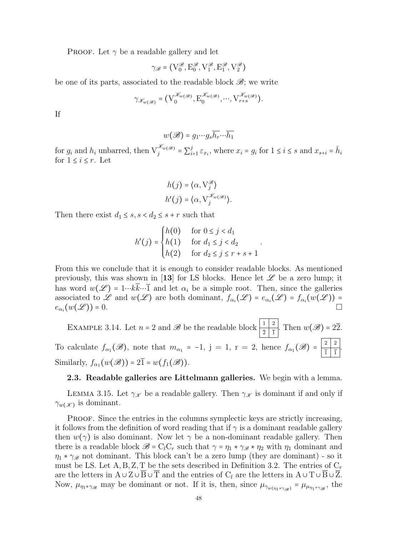**PROOF.** Let  $\gamma$  be a readable gallery and let

$$
\gamma_{\mathscr{B}} = \left( \mathbf{V}^{\mathscr{B}}_0, \mathbf{E}^{\mathscr{B}}_0, \mathbf{V}^{\mathscr{B}}_1, \mathbf{E}^{\mathscr{B}}_1, \mathbf{V}^{\mathscr{B}}_2 \right)
$$

be one of its parts, associated to the readable block  $\mathscr{B}$ ; we write

$$
\gamma_{\mathscr{K}_{w(\mathscr{B})}} = (\mathbf{V}_{0}^{\mathscr{K}_{w(\mathscr{B})}}, \mathbf{E}_{0}^{\mathscr{K}_{w(\mathscr{B})}}, \cdots, \mathbf{V}_{r+s}^{\mathscr{K}_{w(\mathscr{B})}}).
$$

If

$$
w(\mathscr{B}) = g_1 \cdots g_s \overline{h_r} \cdots \overline{h_1}
$$

for  $g_i$  and  $h_i$  unbarred, then  $V_j^{\mathscr{K}_{w(\mathscr{B})}} = \sum_i^j$  $i=1 \epsilon_{x_i}$ , where  $x_i = g_i$  for  $1 \leq i \leq s$  and  $x_{s+i} = \bar{h}_i$ for  $1 \leq i \leq r$ . Let

$$
h(j) = \langle \alpha, \nabla_j^{\mathscr{B}} \rangle
$$
  
 
$$
h'(j) = \langle \alpha, \nabla_j^{\mathscr{K}_{w(\mathscr{B})}} \rangle.
$$

Then there exist  $d_1 \leq s, s < d_2 \leq s + r$  such that

$$
h'(j) = \begin{cases} h(0) & \text{for } 0 \le j < d_1 \\ h(1) & \text{for } d_1 \le j < d_2 \\ h(2) & \text{for } d_2 \le j \le r + s + 1 \end{cases}
$$

.

From this we conclude that it is enough to consider readable blocks. As mentioned previously, this was shown in [13] for LS blocks. Hence let  $\mathscr L$  be a zero lump; it has word  $w(\mathscr{L}) = 1 \cdots k \overline{k} \cdots \overline{1}$  and let  $\alpha_i$  be a simple root. Then, since the galleries associated to L and  $w(\mathcal{L})$  are both dominant,  $f_{\alpha_i}(\mathcal{L}) = e_{\alpha_i}(\mathcal{L}) = f_{\alpha_i}(w(\mathcal{L}))$  $e_{\alpha_i}(w(\mathscr{L})) = 0.$ 

EXAMPLE 3.14. Let  $n = 2$  and  $\mathscr{B}$  be the readable block  $\left|\frac{1}{2}, \frac{1}{2}\right|$ . Then  $w(\mathscr{B}) = 2\overline{2}$ . To calculate  $f_{\alpha_1}(\mathscr{B})$ , note that  $m_{\alpha_1} = -1$ ,  $j = 1$ ,  $r = 2$ , hence  $f_{\alpha_1}(\mathscr{B}) = \frac{\lfloor 2 \rfloor 2}{\lfloor \frac{1}{2} \rfloor}$  $\frac{2}{1}$  $\frac{2}{1}$ . Similarly,  $f_{\alpha_1}(w(\mathscr{B})) = 2\overline{1} = w(f_1(\mathscr{B})).$ 

#### 2.3. Readable galleries are Littelmann galleries. We begin with a lemma.

LEMMA 3.15. Let  $\gamma_{\mathscr{K}}$  be a readable gallery. Then  $\gamma_{\mathscr{K}}$  is dominant if and only if  $\gamma_{w(X)}$  is dominant.

PROOF. Since the entries in the columns symplectic keys are strictly increasing, it follows from the definition of word reading that if  $\gamma$  is a dominant readable gallery then  $w(\gamma)$  is also dominant. Now let  $\gamma$  be a non-dominant readable gallery. Then there is a readable block  $\mathscr{B} = C_l C_r$  such that  $\gamma = \eta_1 * \gamma_{\mathscr{B}} * \eta_2$  with  $\eta_1$  dominant and  $\eta_1 * \gamma_{\mathscr{B}}$  not dominant. This block can't be a zero lump (they are dominant) - so it must be LS. Let A, B, Z, T be the sets described in Definition 3.2. The entries of  $C_r$ are the letters in  $A \cup Z \cup B \cup T$  and the entries of  $C_l$  are the letters in  $A \cup T \cup B \cup Z$ . Now,  $\mu_{\eta_1 * \gamma_{\mathscr{B}}}$  may be dominant or not. If it is, then, since  $\mu_{\gamma_{w(\eta_1 * \gamma_{\mathscr{B}})}} = \mu_{\mu_{\eta_1 * \gamma_{\mathscr{B}}}}$ , the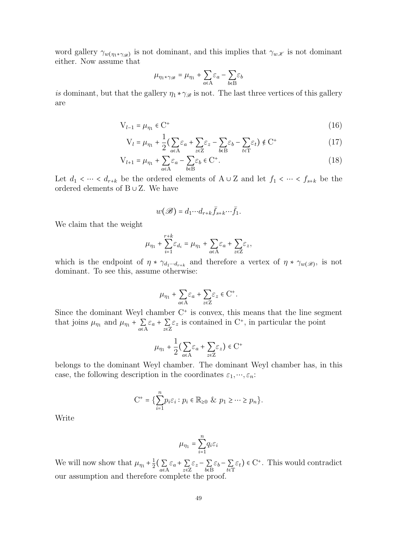word gallery  $\gamma_{w(\eta_1*\gamma_{\mathscr{B}})}$  is not dominant, and this implies that  $\gamma_{w,K}$  is not dominant either. Now assume that

$$
\mu_{\eta_1 * \gamma_{\mathscr{B}}} = \mu_{\eta_1} + \sum_{a \in A} \varepsilon_a - \sum_{b \in B} \varepsilon_b
$$

is dominant, but that the gallery  $\eta_1 \star \gamma_{\mathscr{B}}$  is not. The last three vertices of this gallery are

$$
V_{l-1} = \mu_{\eta_1} \in C^+ \tag{16}
$$

$$
V_l = \mu_{\eta_1} + \frac{1}{2} \left( \sum_{a \in A} \varepsilon_a + \sum_{z \in Z} \varepsilon_z - \sum_{b \in B} \varepsilon_b - \sum_{t \in T} \varepsilon_t \right) \notin C^+ \tag{17}
$$

$$
V_{l+1} = \mu_{\eta_1} + \sum_{a \in A} \varepsilon_a - \sum_{b \in B} \varepsilon_b \in C^+.
$$
 (18)

Let  $d_1 < \cdots < d_{r+k}$  be the ordered elements of  $A \cup Z$  and let  $f_1 < \cdots < f_{s+k}$  be the ordered elements of B ∪ Z. We have

$$
w(\mathscr{B}) = d_1 \cdots d_{r+k} \bar{f}_{s+k} \cdots \bar{f}_1.
$$

We claim that the weight

$$
\mu_{\eta_1} + \sum_{i=1}^{r+k} \varepsilon_{d_i} = \mu_{\eta_1} + \sum_{a \in A} \varepsilon_a + \sum_{z \in Z} \varepsilon_z,
$$

which is the endpoint of  $\eta * \gamma_{d_1 \cdots d_{r+k}}$  and therefore a vertex of  $\eta * \gamma_{w(\mathscr{B})}$ , is not dominant. To see this, assume otherwise:

$$
\mu_{\eta_1} + \sum_{a \in A} \varepsilon_a + \sum_{z \in Z} \varepsilon_z \in C^+.
$$

Since the dominant Weyl chamber  $C^+$  is convex, this means that the line segment that joins  $\mu_{\eta_1}$  and  $\mu_{\eta_1} + \sum_{\alpha \in A} \varepsilon_\alpha + \sum_{z \in \mathbb{Z}} \varepsilon_z$  is contained in C<sup>+</sup>, in particular the point

$$
\mu_{\eta_1} + \frac{1}{2} \left( \sum_{a \in A} \varepsilon_a + \sum_{z \in Z} \varepsilon_z \right) \in \mathcal{C}^+
$$

belongs to the dominant Weyl chamber. The dominant Weyl chamber has, in this case, the following description in the coordinates  $\varepsilon_1, \dots, \varepsilon_n$ :

$$
C^+ = \{ \sum_{i=1}^n p_i \varepsilon_i : p_i \in \mathbb{R}_{\geq 0} \& p_1 \geq \cdots \geq p_n \}.
$$

Write

$$
\mu_{\eta_1}=\sum_{i=1}^n q_i\varepsilon_i
$$

We will now show that  $\mu_{\eta_1} + \frac{1}{2}$  $\frac{1}{2} \Big( \sum_{a \in A} \varepsilon_a + \sum_{z \in Z} \varepsilon_z - \sum_{b \in B} \varepsilon_b - \sum_{t \in T} \varepsilon_t \Big) \in C^+$ . This would contradict our assumption and therefore complete the proof.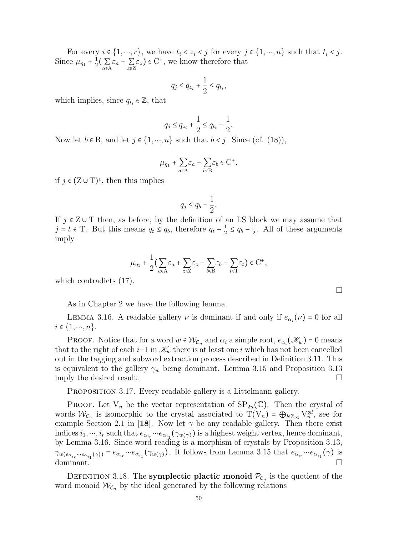For every  $i \in \{1, \dots, r\}$ , we have  $t_i < z_i < j$  for every  $j \in \{1, \dots, n\}$  such that  $t_i < j$ . Since  $\mu_{\eta_1} + \frac{1}{2}$  $\frac{1}{2}(\sum_{a\in A}\varepsilon_a+\sum_{z\in Z}\varepsilon_z)\in C^+$ , we know therefore that

$$
q_j \leq q_{z_i} + \frac{1}{2} \leq q_{t_i},
$$

which implies, since  $q_{t_i} \in \mathbb{Z}$ , that

$$
q_j \leq q_{z_i} + \frac{1}{2} \leq q_{t_i} - \frac{1}{2}
$$

.

Now let  $b \in B$ , and let  $j \in \{1, \dots, n\}$  such that  $b < j$ . Since (cf. (18)),

$$
\mu_{\eta_1} + \sum_{a \in A} \varepsilon_a - \sum_{b \in B} \varepsilon_b \in C^+,
$$

if  $j \in (Z \cup T)^c$ , then this implies

$$
q_j \le q_b - \frac{1}{2}.
$$

If  $j \in \mathbb{Z} \cup \mathbb{T}$  then, as before, by the definition of an LS block we may assume that  $j = t \in \mathcal{T}$ . But this means  $q_t \leq q_b$ , therefore  $q_t - \frac{1}{2}$  $\frac{1}{2} \le q_b - \frac{1}{2}$  $\frac{1}{2}$ . All of these arguments imply

$$
\mu_{\eta_1} + \frac{1}{2} \Big( \sum_{a \in A} \varepsilon_a + \sum_{z \in Z} \varepsilon_z - \sum_{b \in B} \varepsilon_b - \sum_{t \in T} \varepsilon_t \Big) \in \mathcal{C}^+,
$$

which contradicts (17).

As in Chapter 2 we have the following lemma.

LEMMA 3.16. A readable gallery  $\nu$  is dominant if and only if  $e_{\alpha_i}(\nu) = 0$  for all  $i \in \{1, \cdots, n\}.$ 

**PROOF.** Notice that for a word  $w \in \mathcal{W}_{\mathcal{C}_n}$  and  $\alpha_i$  a simple root,  $e_{\alpha_i}(\mathscr{K}_w) = 0$  means that to the right of each  $i+1$  in  $\mathcal{K}_w$  there is at least one i which has not been cancelled out in the tagging and subword extraction process described in Definition 3.11. This is equivalent to the gallery  $\gamma_w$  being dominant. Lemma 3.15 and Proposition 3.13 imply the desired result.

PROPOSITION 3.17. Every readable gallery is a Littelmann gallery.

**PROOF.** Let  $V_n$  be the vector representation of  $SP_{2n}(\mathbb{C})$ . Then the crystal of words  $W_{\mathcal{C}_n}$  is isomorphic to the crystal associated to  $T(V_n) = \bigoplus_{l \in \mathbb{Z}_{\geq 1}} V_{n,l}^{\otimes l}$ , see for example Section 2.1 in [18]. Now let  $\gamma$  be any readable gallery. Then there exist indices  $i_1, ..., i_r$  such that  $e_{\alpha_{i_r}} \cdots e_{\alpha_{i_1}}(\gamma_{w(\gamma)})$  is a highest weight vertex, hence dominant, by Lemma 3.16. Since word reading is a morphism of crystals by Proposition 3.13,  $\gamma_{w(e_{\alpha_{i_r}}\cdots e_{\alpha_{i_1}}(\gamma))}=e_{\alpha_{i_r}}\cdots e_{\alpha_{i_1}}(\gamma_{w(\gamma)})$ . It follows from Lemma 3.15 that  $e_{\alpha_{i_r}}\cdots e_{\alpha_{i_1}}(\gamma)$  is  $\Box$ dominant.

DEFINITION 3.18. The **symplectic plactic monoid**  $P_{\mathcal{C}_n}$  is the quotient of the word monoid  $W_{\mathcal{C}_n}$  by the ideal generated by the following relations

 $\Box$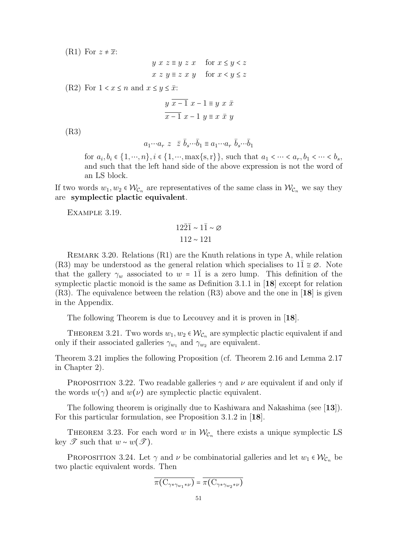$(R1)$  For  $z \neq \overline{x}$ :

$$
y x z \equiv y z x \quad \text{for } x \le y < z
$$
  

$$
x z y \equiv z x y \quad \text{for } x < y \le z
$$

(R2) For  $1 < x \leq n$  and  $x \leq y \leq \overline{x}$ :

$$
y \overline{x-1} x - 1 \equiv y x \overline{x}
$$

$$
\overline{x-1} x - 1 y \equiv x \overline{x} y
$$

(R3)

$$
a_1 \cdots a_r \ z \ \ \bar{z} \ \bar{b}_s \cdots \bar{b}_1 \equiv a_1 \cdots a_r \ \bar{b}_s \cdots \bar{b}_1
$$

for  $a_i, b_i \in \{1, \cdots, n\}, i \in \{1, \cdots, \max\{s, r\}\}\$ , such that  $a_1 < \cdots < a_r, b_1 < \cdots < b_s$ , and such that the left hand side of the above expression is not the word of an LS block.

If two words  $w_1, w_2 \in \mathcal{W}_{C_n}$  are representatives of the same class in  $\mathcal{W}_{C_n}$  we say they are symplectic plactic equivalent.

Example 3.19.

$$
\begin{aligned} 12\bar{2}\bar{1} &\sim 1\bar{1} \sim \varnothing \\ 112 &\sim 121 \end{aligned}
$$

Remark 3.20. Relations (R1) are the Knuth relations in type A, while relation (R3) may be understood as the general relation which specialises to  $11 \approx \emptyset$ . Note that the gallery  $\gamma_w$  associated to  $w = 11$  is a zero lump. This definition of the symplectic plactic monoid is the same as Definition 3.1.1 in [18] except for relation (R3). The equivalence between the relation (R3) above and the one in [18] is given in the Appendix.

The following Theorem is due to Lecouvey and it is proven in [18].

THEOREM 3.21. Two words  $w_1, w_2 \in \mathcal{W}_{\mathcal{C}_n}$  are symplectic plactic equivalent if and only if their associated galleries  $\gamma_{w_1}$  and  $\gamma_{w_2}$  are equivalent.

Theorem 3.21 implies the following Proposition (cf. Theorem 2.16 and Lemma 2.17 in Chapter 2).

PROPOSITION 3.22. Two readable galleries  $\gamma$  and  $\nu$  are equivalent if and only if the words  $w(\gamma)$  and  $w(\nu)$  are symplectic plactic equivalent.

The following theorem is originally due to Kashiwara and Nakashima (see [13]). For this particular formulation, see Proposition 3.1.2 in [18].

THEOREM 3.23. For each word w in  $\mathcal{W}_{\mathcal{C}_n}$  there exists a unique symplectic LS key  $\mathscr{T}$  such that  $w \sim w(\mathscr{T})$ .

PROPOSITION 3.24. Let  $\gamma$  and  $\nu$  be combinatorial galleries and let  $w_1 \in \mathcal{W}_{\mathcal{C}_n}$  be two plactic equivalent words. Then

$$
\overline{\pi(\mathcal{C}_{\gamma * \gamma_{w_1} * \nu})} = \overline{\pi(\mathcal{C}_{\gamma * \gamma_{w_2} * \nu})}
$$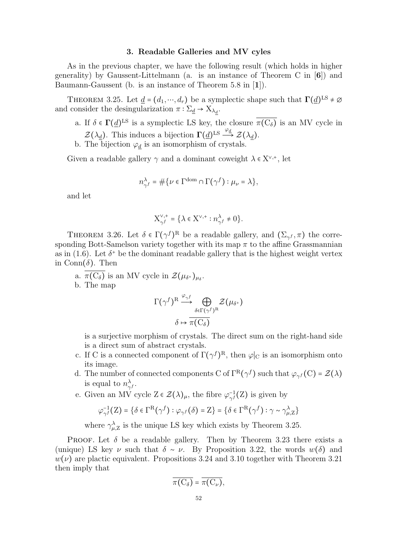## 3. Readable Galleries and MV cyles

As in the previous chapter, we have the following result (which holds in higher generality) by Gaussent-Littelmann (a. is an instance of Theorem C in [6]) and Baumann-Gaussent (b. is an instance of Theorem 5.8 in [1]).

THEOREM 3.25. Let  $\underline{d} = (d_1, \dots, d_r)$  be a symplectic shape such that  $\Gamma(\underline{d})^{\text{LS}} \neq \emptyset$ and consider the desingularization  $\pi : \Sigma_{\underline{d}} \to X_{\lambda_{\underline{d}}}$ .

- a. If  $\delta \in \Gamma(\underline{d})^{\text{LS}}$  is a symplectic LS key, the closure  $\pi(C_{\delta})$  is an MV cycle in  $\mathcal{Z}(\lambda_d)$ . This induces a bijection  $\Gamma(d)^{\text{LS}} \stackrel{\varphi_d}{\longrightarrow} \mathcal{Z}(\lambda_d)$ .
- b. The bijection  $\varphi_d$  is an isomorphism of crystals.

Given a readable gallery  $\gamma$  and a dominant coweight  $\lambda \in X^{\vee,+}$ , let

$$
n_{\gamma^f}^\lambda=\#\big\{\nu\in \Gamma^{\mathrm{dom}}\cap \Gamma\big(\gamma^f\big): \mu_\nu=\lambda\big\},
$$

and let

$$
X_{\gamma^f}^{\vee,+} = \{ \lambda \in X^{\vee,+} : n_{\gamma^f}^{\lambda} \neq 0 \}.
$$

THEOREM 3.26. Let  $\delta \in \Gamma(\gamma^f)^R$  be a readable gallery, and  $(\Sigma_{\gamma^f}, \pi)$  the corresponding Bott-Samelson variety together with its map  $\pi$  to the affine Grassmannian as in (1.6). Let  $\delta^+$  be the dominant readable gallery that is the highest weight vertex in  $Conn(\delta)$ . Then

a.  $\pi(C_{\delta})$  is an MV cycle in  $\mathcal{Z}(\mu_{\delta^+})_{\mu_{\delta}}$ .

b. The map

$$
\Gamma(\gamma^f)^{\text{R}}\stackrel{\varphi_{\gamma^f}}{\longrightarrow}\bigoplus_{\delta\in\Gamma(\gamma^f)^{\text{R}}}\mathcal{Z}(\mu_{\delta^+})
$$

$$
\delta\mapsto\overline{\pi(C_\delta)}
$$

is a surjective morphism of crystals. The direct sum on the right-hand side is a direct sum of abstract crystals.

- c. If C is a connected component of  $\Gamma(\gamma^f)^R$ , then  $\varphi|_C$  is an isomorphism onto its image.
- d. The number of connected components C of  $\Gamma^R(\gamma^f)$  such that  $\varphi_{\gamma^f}(C) = \mathcal{Z}(\lambda)$ is equal to  $n_{\infty}^{\lambda}$  $_{\gamma ^{f}}^{\lambda }.$
- e. Given an MV cycle  $Z \in \mathcal{Z}(\lambda)_{\mu}$ , the fibre  $\varphi_{\gamma}^{-1}$  $\frac{-1}{\gamma^f}(Z)$  is given by

$$
\varphi_{\gamma^f}^{-1}\big(Z\big)=\big\{\delta\in\Gamma^{\text{R}}\big(\gamma^f\big):\varphi_{\gamma^f}\big(\delta\big)=Z\big\}=\big\{\delta\in\Gamma^{\text{R}}\big(\gamma^f\big):\gamma\sim\gamma_{\mu,Z}^\lambda\big\}
$$

where  $\gamma_{\mu,\mathrm{Z}}^{\lambda}$  is the unique LS key which exists by Theorem 3.25.

**PROOF.** Let  $\delta$  be a readable gallery. Then by Theorem 3.23 there exists a (unique) LS key  $\nu$  such that  $\delta \sim \nu$ . By Proposition 3.22, the words  $w(\delta)$  and  $w(\nu)$  are plactic equivalent. Propositions 3.24 and 3.10 together with Theorem 3.21 then imply that

$$
\overline{\pi(C_{\delta})} = \overline{\pi(C_{\nu})},
$$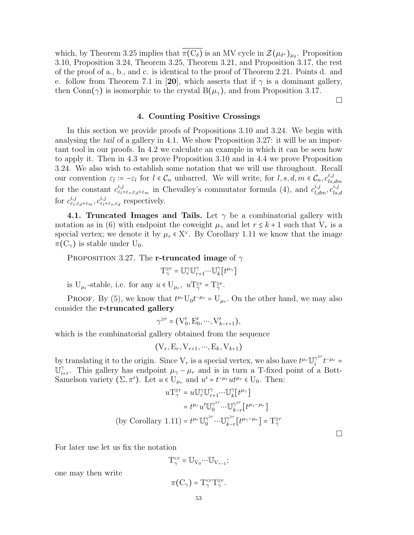which, by Theorem 3.25 implies that  $\pi(C_{\delta})$  is an MV cycle in  $\mathcal{Z}(\mu_{\delta^+})_{\mu_{\delta}}$ . Proposition 3.10, Proposition 3.24, Theorem 3.25, Theorem 3.21, and Proposition 3.17, the rest of the proof of a., b., and c. is identical to the proof of Theorem 2.21. Points d. and e. follow from Theorem 7.1 in [20], which asserts that if  $\gamma$  is a dominant gallery, then Conn( $\gamma$ ) is isomorphic to the crystal B( $\mu_{\gamma}$ ), and from Proposition 3.17.

 $\Box$ 

## 4. Counting Positive Crossings

In this section we provide proofs of Propositions 3.10 and 3.24. We begin with analysing the *tail* of a gallery in 4.1. We show Proposition 3.27: it will be an important tool in our proofs. In 4.2 we calculate an example in which it can be seen how to apply it. Then in 4.3 we prove Proposition 3.10 and in 4.4 we prove Proposition 3.24. We also wish to establish some notation that we will use throughout. Recall our convention  $\varepsilon_{\bar{l}} = -\varepsilon_l$  for  $l \in \mathcal{C}_n$  unbarred. We will write, for  $l, s, d, m \in \mathcal{C}_n, c_{ls}^{i,j}$ ls,dm for the constant  $c_{\varepsilon_l+\varepsilon_s,\varepsilon_d+\varepsilon_m}^{i,j}$  in Chevalley's commutator formula (4), and  $c_{l,dm}^{i,j}, c_{ls}^{i,j}$ ls,d for  $c_{\varepsilon_l,\varepsilon_d+\varepsilon_m}^{i,j}, c_{\varepsilon_l+\varepsilon_s,\varepsilon_d}^{i,j}$  respectively.

4.1. Truncated Images and Tails. Let  $\gamma$  be a combinatorial gallery with notation as in (6) with endpoint the coweight  $\mu_{\gamma}$  and let  $r \leq k+1$  such that  $V_r$  is a special vertex; we denote it by  $\mu_r \in X^{\vee}$ . By Corollary 1.11 we know that the image  $\pi(\mathcal{C}_{\gamma})$  is stable under  $\mathcal{U}_0$ .

PROPOSITION 3.27. The r-truncated image of  $\gamma$ 

$$
\mathbf{T}_{\gamma}^{\geq r}=\mathbb{U}_{r}^{\gamma}\mathbb{U}_{r+1}^{\gamma} \!\cdots\! \mathbb{U}_{k}^{\gamma}\big[t^{\mu_{\gamma}}\big]
$$

is  $U_{\mu_r}$ -stable, i.e. for any  $u \in U_{\mu_r}$ ,  $uT_{\gamma}^{\geq r} = T_{\gamma}^{\geq r}$ .

PROOF. By (5), we know that  $t^{\mu_r}U_0t^{-\mu_r} = U_{\mu_r}$ . On the other hand, we may also consider the r-truncated gallery

$$
\gamma^{\geq r} = (V_0', E_0', \cdots, V_{k-r+1}'),
$$

which is the combinatorial gallery obtained from the sequence

$$
(\mathbf{V}_r, \mathbf{E}_r, \mathbf{V}_{r+1}, \cdots, \mathbf{E}_k, \mathbf{V}_{k+1})
$$

by translating it to the origin. Since  $V_r$  is a special vertex, we also have  $t^{\mu_r} \mathbb{U}_i^{\gamma^{2r}}$  $\int_{i}^{\gamma} t^{-\mu} r =$  $\check{\mathbb{U}}$  $\gamma_{i+r}^{\gamma}$ . This gallery has endpoint  $\mu_{\gamma} - \mu_r$  and is in turn a T-fixed point of a Bott-Samelson variety  $(\Sigma, \pi')$ . Let  $u \in U_{\mu_r}$  and  $u' = t^{-\mu_r} u t^{\mu_r} \in U_0$ . Then:

$$
\begin{aligned} u\mathbf{T}^{\geq r}_{\gamma}&=u\mathbb{U}^{\gamma}_{r}\mathbb{U}^{\gamma}_{r+1} \cdots \mathbb{U}^{\gamma}_{k} \big[ t^{\mu_{\gamma}}\big] \\ &=t^{\mu_{r}}u'\mathbb{U}^{\gamma^{\geq r}}_{0} \cdots \mathbb{U}^{\gamma^{\geq r}}_{k-r} \big[ t^{\mu_{\gamma}-\mu_{r}}\big] \\ \text{(by Corollary 1.11)}&=t^{\mu_{r}}\mathbb{U}^{\gamma^{\geq r}}_{0} \cdots \mathbb{U}^{\gamma^{\geq r}}_{k-r} \big[ t^{\mu_{\gamma}-\mu_{r}}\big] =\mathbf{T}^{\geq r}_{\gamma} \end{aligned}
$$

For later use let us fix the notation

$$
\mathbf{T}_{\gamma}^{
$$

one may then write

$$
\pi\big({\rm C}_{\gamma}\big)= {\rm T}_{\gamma}^{
$$

 $\Box$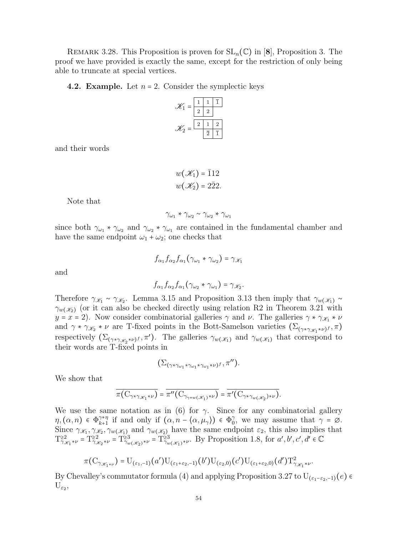REMARK 3.28. This Proposition is proven for  $SL_n(\mathbb{C})$  in [8], Proposition 3. The proof we have provided is exactly the same, except for the restriction of only being able to truncate at special vertices.

## **4.2. Example.** Let  $n = 2$ . Consider the symplectic keys

| $\mathscr{K}_1$<br>$=$ |                |                |                |
|------------------------|----------------|----------------|----------------|
|                        | $\overline{2}$ | $\overline{2}$ |                |
| $\mathscr{K}_2$<br>=   | $\overline{2}$ |                | $\mathfrak{D}$ |
|                        |                | 2              |                |

and their words

$$
w(\mathcal{K}_1) = \overline{1}12
$$
  

$$
w(\mathcal{K}_2) = 2\overline{2}2.
$$

Note that

$$
\gamma_{\omega_1} * \gamma_{\omega_2} \sim \gamma_{\omega_2} * \gamma_{\omega_1}
$$

since both  $\gamma_{\omega_1} * \gamma_{\omega_2}$  and  $\gamma_{\omega_2} * \gamma_{\omega_1}$  are contained in the fundamental chamber and have the same endpoint  $\omega_1 + \omega_2$ ; one checks that

and

$$
f_{\alpha_1} f_{\alpha_2} f_{\alpha_1} (\gamma_{\omega_2} * \gamma_{\omega_1}) = \gamma_{\mathscr{K}_2}.
$$

 $f_{\alpha_1} f_{\alpha_2} f_{\alpha_1} (\gamma_{\omega_1} * \gamma_{\omega_2}) = \gamma_{\mathscr{K}_1}$ 

Therefore  $\gamma_{\mathscr{K}_1} \sim \gamma_{\mathscr{K}_2}$ . Lemma 3.15 and Proposition 3.13 then imply that  $\gamma_{w(\mathscr{K}_1)} \sim$  $\gamma_{w(X_2)}$  (or it can also be checked directly using relation R2 in Theorem 3.21 with  $y = x = 2$ ). Now consider combinatorial galleries  $\gamma$  and  $\nu$ . The galleries  $\gamma * \gamma_{\mathscr{K}_1} * \nu$ and  $\gamma * \gamma_{\mathscr{K}_2} * \nu$  are T-fixed points in the Bott-Samelson varieties  $(\Sigma_{(\gamma * \gamma_{\mathscr{K}_1} * \nu)^f}, \pi)$ respectively  $(\Sigma_{(\gamma * \gamma_{\mathscr{K}_{2}} * \nu)^f}, \pi')$ . The galleries  $\gamma_{w(\mathscr{K}_{1})}$  and  $\gamma_{w(\mathscr{K}_{1})}$  that correspond to their words are T-fixed points in

$$
(\Sigma_{(\gamma * \gamma_{\omega_1} * \gamma_{\omega_1} * \gamma_{\omega_1} * \nu)^f}, \pi'').
$$

We show that

$$
\overline{\pi(C_{\gamma*\gamma_{\mathscr{K}_{1}}*\nu})} = \overline{\pi''(C_{\gamma_{\gamma*\omega}(\mathscr{K}_{1})*\nu})} = \overline{\pi'(C_{\gamma*\gamma_{\omega}(\mathscr{K}_{2})*\nu})}.
$$

We use the same notation as in (6) for  $\gamma$ . Since for any combinatorial gallery  $\eta,(\alpha,n) \in \Phi_{k+1}^{\gamma*\eta}$  $\gamma_{k+1}^{\gamma*\eta}$  if and only if  $(\alpha, n - \langle \alpha, \mu_\gamma \rangle) \in \Phi_0^{\gamma}$  $\gamma_0^{\gamma}$ , we may assume that  $\gamma = \emptyset$ . Since  $\gamma_{\mathscr{K}_1}, \gamma_{\mathscr{K}_2}, \gamma_{w(\mathscr{K}_1)}$  and  $\gamma_{w(\mathscr{K}_2)}$  have the same endpoint  $\varepsilon_2$ , this also implies that  $T_{\gamma_{\mathscr{K}_{1}}*\nu}^{22} = T_{\gamma_{\mathscr{K}_{2}}*\nu}^{23} = T_{\gamma_{w(\mathscr{K}_{2})}*\nu}^{23} = T_{\gamma_{w(\mathscr{K}_{1})}*\nu}^{23}$ . By Proposition 1.8, for  $a', b', c', d' \in \mathbb{C}$ 

$$
\pi(C_{\gamma_{\mathscr{K}_{1}*\nu}})=\mathrm{U}_{(\varepsilon_{1},-1)}(a')\mathrm{U}_{(\varepsilon_{1}+\varepsilon_{2},-1)}(b')\mathrm{U}_{(\varepsilon_{2},0)}(c')\mathrm{U}_{(\varepsilon_{1}+\varepsilon_{2},0)}(d')\mathrm{T}_{\gamma_{\mathscr{K}_{1}}*\nu}^{2}.
$$

By Chevalley's commutator formula (4) and applying Proposition 3.27 to  $U_{(\varepsilon_1-\varepsilon_2,-1)}(e)$  $U_{\varepsilon_2}$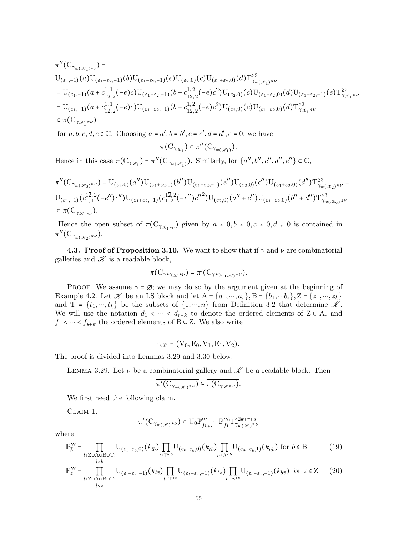$$
\begin{split} &\pi''(C_{\gamma_{w(\mathscr{K}_{1})*\nu}}) = \\ &U_{(\varepsilon_{1},-1)}(a)U_{(\varepsilon_{1}+\varepsilon_{2},-1)}(b)U_{(\varepsilon_{1}-\varepsilon_{2},-1)}(e)U_{(\varepsilon_{2},0)}(c)U_{(\varepsilon_{1}+\varepsilon_{2},0)}(d)T^{\geq 3}_{\gamma_{w(\mathscr{K}_{1})}*\nu} \\ &= U_{(\varepsilon_{1},-1)}(a+c_{1;1}^{1,1}(a+c_{1;2}^{1,1}(-e)c)U_{(\varepsilon_{1}+\varepsilon_{2},-1)}(b+c_{1;2}^{1,2}(-e)c^{2})U_{(\varepsilon_{2},0)}(c)U_{(\varepsilon_{1}+\varepsilon_{2},0)}(d)U_{(\varepsilon_{1}-\varepsilon_{2},-1)}(e)T^{\geq 2}_{\gamma_{\mathscr{K}_{1}}*\nu} \\ &= U_{(\varepsilon_{1},-1)}(a+c_{1;1}^{1,1}(a+c_{1;2}^{1,1}(-e)c)U_{(\varepsilon_{1}+\varepsilon_{2},-1)}(b+c_{1;2}^{1,2}(-e)c^{2})U_{(\varepsilon_{2},0)}(c)U_{(\varepsilon_{1}+\varepsilon_{2},0)}(d)T^{\geq 2}_{\gamma_{\mathscr{K}_{1}}*\nu} \\ &\subset \pi(C_{\gamma_{\mathscr{K}_{1}}*\nu}) \end{split}
$$

for  $a, b, c, d, e \in \mathbb{C}$ . Choosing  $a = a', b = b', c = c', d = d', e = 0$ , we have

$$
\pi({\rm C}_{\gamma_{\mathscr{K}_{1}}}) \subset \pi''({\rm C}_{\gamma_{w(\mathscr{K}_{1})}}).
$$

Hence in this case  $\pi(C_{\gamma_{\mathscr{K}_{1}}}) = \pi''(C_{\gamma_{w(\mathscr{K}_{1})}})$ . Similarly, for  $\{a'', b'', c'', d'', e''\} \subset \mathbb{C}$ ,

$$
\pi''(C_{\gamma_{w(\mathscr{K}_{2})}\ast\nu}) = U_{(\varepsilon_{2},0)}(a'')U_{(\varepsilon_{1}+\varepsilon_{2},0)}(b'')U_{(\varepsilon_{1}-\varepsilon_{2},-1)}(e'')U_{(\varepsilon_{2},0)}(c'')U_{(\varepsilon_{1}+\varepsilon_{2},0)}(d'')T^{23}_{\gamma_{w(\mathscr{K}_{2})}\ast\nu} = U_{(\varepsilon_{1},-1)}(c_{1,1}^{1\overline{2},2}(-e'')C'')U_{(\varepsilon_{1}+\varepsilon_{2},-1)}(c_{1,2}^{1\overline{2},2}(-e'')c''^{2})U_{(\varepsilon_{2},0)}(a''+c'')U_{(\varepsilon_{1}+\varepsilon_{2},0)}(b''+d'')T^{23}_{\gamma_{w(\mathscr{K}_{2})}\ast\nu}
$$
  

$$
\subset \pi(C_{\gamma_{\mathscr{K}_{1}\ast\nu}}).
$$

Hence the open subset of  $\pi(C_{\gamma_{\mathscr{K}_{1}*\nu}})$  given by  $a \neq 0, b \neq 0, c \neq 0, d \neq 0$  is contained in  $\pi''(\mathrm{C}_{\gamma_{w}(\mathscr{K}_2)^*\nu}).$ 

4.3. Proof of Proposition 3.10. We want to show that if  $\gamma$  and  $\nu$  are combinatorial galleries and  $\mathscr K$  is a readable block,

$$
\overline{\pi(\mathbf{C}_{\gamma*\gamma_{\mathscr{K}}*\nu})} = \overline{\pi'(\mathbf{C}_{\gamma*\gamma_{w(\mathscr{K})}*\nu})}.
$$

PROOF. We assume  $\gamma = \emptyset$ ; we may do so by the argument given at the beginning of Example 4.2. Let  $\mathscr K$  be an LS block and let  $A = \{a_1, \dots, a_r\}$ ,  $B = \{b_1, \dots, b_s\}$ ,  $Z = \{z_1, \dots, z_k\}$ and T =  $\{t_1, ..., t_k\}$  be the subsets of  $\{1, ..., n\}$  from Definition 3.2 that determine  $\mathscr{K}$ . We will use the notation  $d_1 \langle \cdots \langle d_{r+k} \rangle$  to denote the ordered elements of Z ∪ A, and  $f_1 < \cdots < f_{s+k}$  the ordered elements of B ∪ Z. We also write

$$
\gamma_{\mathscr{K}} = (V_0, E_0, V_1, E_1, V_2).
$$

The proof is divided into Lemmas 3.29 and 3.30 below.

LEMMA 3.29. Let  $\nu$  be a combinatorial gallery and  $\mathscr K$  be a readable block. Then

$$
\overline{\pi'(C_{\gamma_{w(\mathscr{K})}*\nu})} \subseteq \overline{\pi(C_{\gamma_{\mathscr{K}}*\nu})}.
$$

We first need the following claim.

Claim 1.

$$
\pi'(\mathrm{C}_{\gamma_{w(\mathscr{K})}*\nu}) \subset \mathrm{U}_0 \mathbb{P}'''_{\bar{f}_{k+s}} \cdots \mathbb{P}'''_{\bar{f}_1} \mathrm{T}^{\geq 2k + r + s}_{\gamma_{w(\mathscr{K})}*\nu}
$$

where

$$
\mathbb{P}_{\overline{b}}^{\prime\prime\prime} = \prod_{\substack{l \notin \text{Z} \cup \text{A} \cup \text{B} \cup \text{T}; \\ l < b}} \text{U}_{(\varepsilon_l - \varepsilon_b, 0)}(k_{l\overline{b}}) \prod_{t \in \text{T}^{< b}} \text{U}_{(\varepsilon_t - \varepsilon_b, 0)}(k_{t\overline{b}}) \prod_{a \in \text{A}^{< b}} \text{U}_{(\varepsilon_a - \varepsilon_b, 1)}(k_{a\overline{b}}) \text{ for } b \in \text{B}
$$
 (19)

$$
\mathbb{P}'''_{\overline{z}} = \prod_{\substack{l \notin \text{Z} \cup \text{A} \cup \text{B} \cup \text{T}; \\ l < z}} U_{(\varepsilon_l - \varepsilon_z, -1)}(k_{l\overline{z}}) \prod_{t \in \text{T}^{< z}} U_{(\varepsilon_t - \varepsilon_z, -1)}(k_{t\overline{z}}) \prod_{b \in \text{B}^{< z}} U_{(\varepsilon_b - \varepsilon_z, -1)}(k_{b\overline{z}}) \text{ for } z \in \mathbb{Z} \tag{20}
$$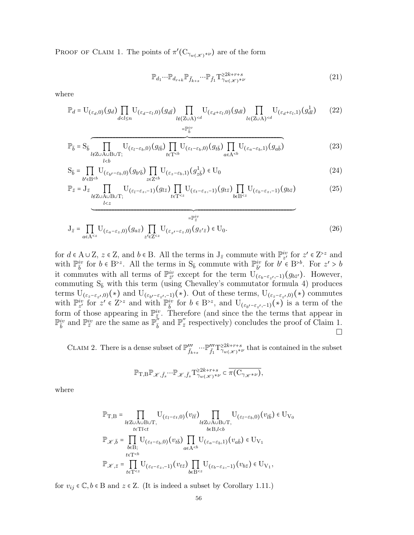PROOF OF CLAIM 1. The points of  $\pi'(\mathcal{C}_{\gamma_{w(\mathscr{K})}*\nu})$  are of the form

$$
\mathbb{P}_{d_1} \cdots \mathbb{P}_{d_{r+k}} \mathbb{P}_{\bar{f}_{k+s}} \cdots \mathbb{P}_{\bar{f}_1} T_{\gamma_w(\mathcal{K})^{*\nu}}^{22k+r+s}
$$
(21)

where

$$
\mathbb{P}_d = \mathcal{U}_{(\varepsilon_d,0)}(g_d) \prod_{d < l \le n} \mathcal{U}_{(\varepsilon_d - \varepsilon_l,0)}(g_{d\bar{l}}) \prod_{\substack{l \notin (\mathbf{Z} \cup \mathbf{A})^{< d} \\ = \mathbb{P}_{\bar{b}}^{iv}}} \mathcal{U}_{(\varepsilon_d + \varepsilon_l,0)}(g_{dl}) \prod_{l \in (\mathbf{Z} \cup \mathbf{A})^{< d}} \mathcal{U}_{(\varepsilon_d + \varepsilon_l,1)}(g_{dl}^1) \tag{22}
$$

$$
\mathbb{P}_{\overline{b}} = \mathcal{S}_{\overline{b}} \prod_{\substack{l \notin \mathbb{Z} \cup \mathcal{A} \cup \mathcal{B} \cup \mathcal{T} \\ l < b}} \mathcal{U}_{(\varepsilon_l - \varepsilon_b, 0)}(g_{l\overline{b}}) \prod_{t \in \mathcal{T}^{(23)
$$

$$
S_{\overline{b}} = \prod_{b' \in B^{\n(24)
$$

$$
\mathbb{P}_{\bar{z}} = J_{\bar{z}} \prod_{\substack{l \notin Z \cup A \cup B \cup T; \\ l < z}} U_{(\varepsilon_l - \varepsilon_z, -1)}(g_{l\bar{z}}) \prod_{t \in T^{(25)
$$

$$
\mathbf{J}_{\bar{z}} = \prod_{a \in A^{\n(26)
$$

for  $d \in A \cup Z$ ,  $z \in Z$ , and  $b \in B$ . All the terms in  $J_{\bar{z}}$  commute with  $\mathbb{P}_{z'}^{iv}$  for  $z' \in Z^{>z}$  and with  $\mathbb{P}_{\bar{b}}^{iv}$  for  $b \in B^{>z}$ . All the terms in  $S_{\bar{b}}$  commute with  $\mathbb{P}_{\bar{b}'}^{iv}$  for  $b'\in B^{>b}$ . For  $z' > b$ it commutes with all terms of  $\mathbb{P}^{iv}_{\bar{z}'}$  except for the term  $\mathcal{U}(\varepsilon_b-\varepsilon_{z'},-1)(g_{b\bar{z}'})$ . However, commuting  $S_{\bar{b}}$  with this term (using Chevalley's commutator formula 4) produces terms  $U_{(\varepsilon_z-\varepsilon_{z'},0)}(*)$  and  $U_{(\varepsilon_{b'}-\varepsilon_{z'},-1)}(*)$ . Out of these terms,  $U_{(\varepsilon_z-\varepsilon_{z'},0)}(*)$  commutes with  $\mathbb{P}_{z'}^{iv}$  for  $z' \in \mathbb{Z}^{>z}$  and with  $\mathbb{P}_{\bar{b}}^{iv}$  for  $b \in \mathbb{B}^{>z}$ , and  $\mathbb{U}_{(\varepsilon_{b'}-\varepsilon_{z'},-1)}(\star)$  is a term of the form of those appearing in  $\mathbb{P}^{iv}_{\bar{z}}$ . Therefore (and since the the terms that appear in  $\mathbb{P}_{\bar{b}}^{iv}$  and  $\mathbb{P}_{\bar{z}}^{iv}$  are the same as  $\mathbb{P}_{\bar{b}}^{v}$  and  $\mathbb{P}_{\bar{z}}^{v}$  respectively) concludes the proof of Claim 1.  $\Box$ 

CLAIM 2. There is a dense subset of  $\mathbb{P}''_{\bar{f}_{k+s}} \cdots \mathbb{P}''_{\bar{f}_{1}} T^{\geq 2k+r+s}_{\gamma_w(\mathscr{K})^{*\nu}}$  that is contained in the subset

$$
\mathbb{P}_{T,B}\mathbb{P}_{\mathscr{K},\bar{f}_s}\cdots\mathbb{P}_{\mathscr{K},\bar{f}_s}T^{\geq 2k+r+s}_{\gamma_w(\mathscr{K})^{*\nu}}\subset \overline{\pi(C_{\gamma_{\mathscr{K}}*\nu})},
$$

where

$$
\begin{aligned} \mathbb{P}_{\mathrm{T,B}} = & \prod_{l \notin \mathrm{Z} \cup \mathrm{A} \cup \mathrm{B} \cup \mathrm{T},} \mathrm{U}_{(\varepsilon_l - \varepsilon_t,0)}(v_{l\bar{t}}) \prod_{l \notin \mathrm{Z} \cup \mathrm{A} \cup \mathrm{B} \cup \mathrm{T},} \mathrm{U}_{(\varepsilon_l - \varepsilon_b,0)}(v_{l\bar{b}}) \in \mathrm{U}_{\mathrm{V}_0} \\ & \underset{t \in \mathrm{T} < b}{\mathrm{max}} \mathrm{U}_{\{\varepsilon_t - \varepsilon_b,0\}}(v_{t\bar{b}}) \prod_{a \in \mathrm{A}^{< b}} \mathrm{U}_{(\varepsilon_a - \varepsilon_b,1)}(v_{a\bar{b}}) \in \mathrm{U}_{\mathrm{V}_1} \\ & \underset{t \in \mathrm{T} < b}{\mathrm{max}} \mathrm{U}_{\{\varepsilon_t - \varepsilon_b,0\}}(v_{t\bar{b}}) \prod_{a \in \mathrm{A}^{< b}} \mathrm{U}_{(\varepsilon_a - \varepsilon_b,1)}(v_{a\bar{b}}) \in \mathrm{U}_{\mathrm{V}_1} \\ & \mathbb{P}_{\mathscr{K},\bar{z}} = \prod_{t \in \mathrm{T}^{< z}} \mathrm{U}_{(\varepsilon_t - \varepsilon_z, -1)}(v_{t\bar{z}}) \prod_{b \in \mathrm{B}^{< z}} \mathrm{U}_{(\varepsilon_b - \varepsilon_z, -1)}(v_{b\bar{z}}) \in \mathrm{U}_{\mathrm{V}_1}, \end{aligned}
$$

for  $v_{ij} \in \mathbb{C}, b \in B$  and  $z \in Z$ . (It is indeed a subset by Corollary 1.11.)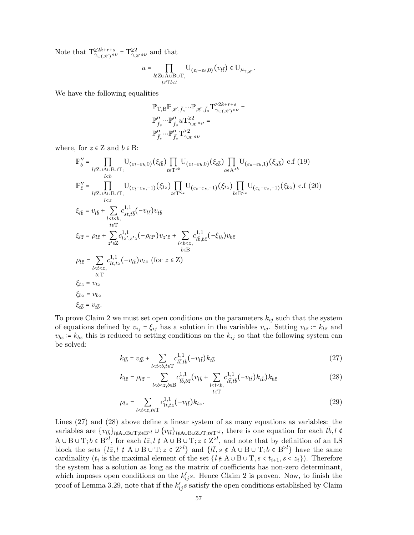Note that  $T^{\geq 2k+r+s}_{\gamma_w(\mathcal{X})^{\star\nu}} = T^{\geq 2}_{\gamma_{\mathcal{X}}^{\star\nu}}$  and that

$$
u=\prod_{\substack{l\notin{\rm Z}\cup{\rm A}\cup{\rm B}\cup{\rm T},\\t\in{\rm T}l
$$

We have the following equalities

$$
\begin{aligned} &\mathbb{P}_{\mathrm{T,B}}\mathbb{P}_{\mathscr{K},\bar{f}_s}\cdots\mathbb{P}_{\mathscr{K},\bar{f}_s}\mathrm{T}_{\gamma_w(\mathscr{K})^{*\nu}}^{ \geq 2k+r+s}= \\ &\mathbb{P}_{\bar{f}_s}''\cdots\mathbb{P}_{\bar{f}_s}''u\mathrm{T}_{\gamma_{\mathscr{K}}^{*\nu}}^{ \geq 2}= \\ &\mathbb{P}_{\bar{f}_s}''\cdots\mathbb{P}_{\bar{f}_s}''\mathrm{T}_{\gamma_{\mathscr{K}}^{*\nu}}^{ \geq 2} \end{aligned}
$$

where, for  $z \in \mathbb{Z}$  and  $b \in \mathbb{B}$ :

$$
\mathbb{P}_{\bar{b}}^{\prime\prime} = \prod_{\substack{l \notin Z \cup A \cup B \cup T; \\ l < b}} U_{(\varepsilon_l - \varepsilon_b, 0)}(\xi_{l\bar{b}}) \prod_{t \in T^{\n
$$
\mathbb{P}_{\bar{z}}^{\prime\prime} = \prod_{\substack{l \notin Z \cup A \cup B \cup T; \\ l < z}} U_{(\varepsilon_l - \varepsilon_z, -1)}(\xi_{l\bar{z}}) \prod_{t \in T^{\n
$$
\xi_{l\bar{b}} = v_{l\bar{b}} + \sum_{\substack{l < t < b \\ t \in T}} c_{l\bar{t}}^{1,1} (-v_{l\bar{t}}) v_{t\bar{b}}
$$
\n
$$
\xi_{l\bar{z}} = \rho_{l\bar{z}} + \sum_{z' \in Z} c_{l\bar{z}^l, z'z}^{1,1} (-v_{l\bar{t}}) v_{z'\bar{z}} + \sum_{\substack{l < b < z, \\ b \in B \\ b \in B}} c_{l\bar{b}}^{1,1} (\xi_{l\bar{b}}) v_{b\bar{z}}
$$
\n
$$
\rho_{l\bar{z}} = \sum_{\substack{l < t < z, \\ t \in T}} c_{l\bar{t}, t\bar{z}}^{1,1} (-v_{l\bar{t}}) v_{t\bar{z}} \text{ (for } z \in Z)
$$
\n
$$
\xi_{t\bar{z}} = v_{t\bar{z}}
$$
\n
$$
\xi_{b\bar{z}} = v_{b\bar{z}}
$$
\n
$$
\xi_{b\bar{z}} = v_{b\bar{z}}
$$
$$
$$

To prove Claim 2 we must set open conditions on the parameters  $k_{ij}$  such that the system of equations defined by  $v_{ij} = \xi_{ij}$  has a solution in the variables  $v_{ij}$ . Setting  $v_{t\bar{z}} \coloneqq k_{t\bar{z}}$  and  $v_{b\bar{z}} = k_{b\bar{z}}$  this is reduced to setting conditions on the  $k_{ij}$  so that the following system can be solved:

$$
k_{l\bar{b}} = v_{l\bar{b}} + \sum_{l < t < b, t \in \mathcal{T}} c_{l\bar{t}, t\bar{b}}^{1,1} (-v_{l\bar{t}}) k_{t\bar{b}}
$$
(27)

$$
k_{l\bar{z}} = \rho_{l\bar{z}} - \sum_{l < b < z, b \in B} c_{l\bar{b}, b\bar{z}}^{1,1} (v_{l\bar{b}} + \sum_{\substack{l < t < b, \\ t \in \mathcal{T}}} c_{l\bar{t}, t\bar{b}}^{1,1} (-v_{l\bar{t}}) k_{t\bar{b}}) k_{b\bar{z}}
$$
(28)

$$
\rho_{l\bar{z}} = \sum_{l < t < z, t \in \mathcal{T}} c_{l\bar{t}, t\bar{z}}^{1,1}(-v_{l\bar{t}}) k_{t\bar{z}}.\tag{29}
$$

Lines (27) and (28) above define a linear system of as many equations as variables: the variables are  $\{v_{l\bar{b}}\}_{l\notin A\cup B\cup T; b\in B^{\ge l}} \cup \{v_{l\bar{t}}\}_{l\notin A\cup B\cup Z\cup T; t\in T^{\ge l}}$ , there is one equation for each  $l\bar{b}, l \notin$  $A \cup B \cup T; b \in B^{>l}$ , for each  $l\bar{z}, l \notin A \cup B \cup T; z \in Z^{>l}$ , and note that by definition of an LS block the sets  $\{l\bar{z}, l \notin A \cup B \cup T; z \in \mathbb{Z}^{\geq l}\}\$  and  $\{l\bar{t}, s \notin A \cup B \cup T; b \in \mathbb{B}^{\geq l}\}\$  have the same cardinality  $(t_i$  is the maximal element of the set  $\{l \notin A \cup B \cup T, s < t_{i+1}, s < z_i\}$ . Therefore the system has a solution as long as the matrix of coefficients has non-zero determinant, which imposes open conditions on the  $k'_{ij}s$ . Hence Claim 2 is proven. Now, to finish the proof of Lemma 3.29, note that if the  $k'_{ij}s$  satisfy the open conditions established by Claim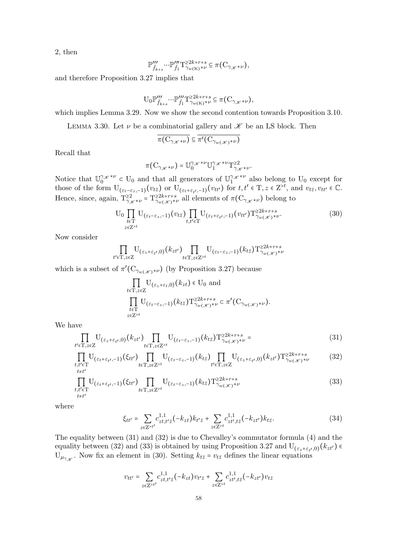2, then

$$
\mathbb{P}'''_{\bar{f}_{k+s}} \cdots \mathbb{P}'''_{\bar{f}_1} T^{\geq 2k+r+s}_{\gamma_w(\mathbf{K})^{*\nu}} \subseteq \pi\big(\mathbf{C}_{\gamma_{\mathscr{K}}*\nu}\big),
$$

and therefore Proposition 3.27 implies that

$$
\mathbf{U}_0 \mathbb{P}'''_{\bar{f}_{k+s}} \cdots \mathbb{P}'''_{\bar{f}_1} \mathbf{T}^{\geq 2k+r+s}_{\gamma_w(\mathbf{K})^{\ast \nu}} \subseteq \pi(\mathbf{C}_{\gamma_{\mathscr{K}} \ast \nu}),
$$

which implies Lemma 3.29. Now we show the second contention towards Proposition 3.10.

LEMMA 3.30. Let  $\nu$  be a combinatorial gallery and  $\mathscr K$  be an LS block. Then

$$
\overline{\pi(\mathrm{C}_{\gamma_{\mathscr{K}}*\nu})} \subseteq \overline{\pi'(\mathrm{C}_{\gamma_{w(\mathscr{K})}*\nu})}
$$

Recall that

$$
\pi(\mathbf{C}_{\gamma_{\mathscr{K}}*\nu}) = \mathbb{U}_{0}^{\gamma_{\mathscr{K}}*\nu} \mathbb{U}_{1}^{\gamma_{\mathscr{K}}*\nu} \mathbf{T}_{\gamma_{\mathscr{K}}*\nu}^{\geq 2}.
$$

Notice that  $\mathbb{U}_0^{\gamma_{\mathscr{K}}*\nu} \subset U_0$  and that all generators of  $\mathbb{U}_1^{\gamma_{\mathscr{K}}*\nu}$  also belong to  $U_0$  except for those of the form  $U_{(\varepsilon_t-\varepsilon_z,-1)}(v_{t\bar{z}})$  or  $U_{(\varepsilon_t+\varepsilon_{t'},-1)}(v_{tt'})$  for  $t,t' \in T, z \in \mathbb{Z}^{>t}$ , and  $v_{t\bar{z}}, v_{tt'} \in \mathbb{C}$ . Hence, since, again,  $T_{\gamma_{\mathscr{K}}*\nu}^{\geq 2} = T_{\gamma_{w(\mathscr{K})}*\nu}^{\geq 2k+r+s}$  all elements of  $\pi(C_{\gamma_{\mathscr{K}}*\nu})$  belong to

$$
U_0 \prod_{\substack{t \in \mathcal{T} \\ z \in \mathbb{Z}^{>t}}} U_{(\varepsilon_t - \varepsilon_z, -1)}(v_{t\bar{z}}) \prod_{t, t' \in \mathcal{T}} U_{(\varepsilon_t + \varepsilon_{t'}, -1)}(v_{tt'}) \mathcal{T}_{\gamma_w(\mathscr{K})^{\star \nu}}^{22k + r + s}.
$$
 (30)

Now consider

$$
\prod_{t' \in \mathrm{T}, z \in \mathrm{Z}} \mathrm{U}_{(\varepsilon_z + \varepsilon_{t'}, 0)}(k_{zt'}) \prod_{t \in \mathrm{T}, z \in \mathrm{Z}^{>t}} \mathrm{U}_{(\varepsilon_t - \varepsilon_z, -1)}(k_{t\bar{z}}) \mathrm{T}_{\gamma_w(\mathscr{K})^{\ast \nu}}^{>2k + r + s}
$$

which is a subset of  $\pi'(\mathcal{C}_{\gamma_{w(\mathscr{K})}*\nu})$  (by Proposition 3.27) because

$$
\prod_{t \in \mathcal{T}, z \in \mathcal{Z}} \mathcal{U}_{(\varepsilon_z + \varepsilon_t, 0)}(k_{zt}) \in \mathcal{U}_0 \text{ and}
$$
\n
$$
\prod_{t \in \mathcal{T}} \mathcal{U}_{(\varepsilon_t - \varepsilon_z, -1)}(k_{t\bar{z}}) \mathcal{T}_{\gamma_w(\mathcal{K})^{\ast \nu}}^{22k + r + s} \subset \pi'(\mathcal{C}_{\gamma_w(\mathcal{K})^{\ast \nu}}).
$$
\n
$$
_{z \in \mathcal{Z}^{\geq t}}
$$

We have

$$
\prod_{t' \in \mathcal{T}, z \in \mathcal{Z}} \mathcal{U}_{(\varepsilon_z + \varepsilon_{t'}, 0)}(k_{zt'}) \prod_{t \in \mathcal{T}, z \in \mathcal{Z}^{>t}} \mathcal{U}_{(\varepsilon_t - \varepsilon_z, -1)}(k_{t\bar{z}}) \mathcal{T}_{\gamma_w(\mathcal{K})^{\star \nu}}^{22k + r + s} = \tag{31}
$$

$$
\prod_{\substack{t,t'\in\mathcal{T} \\ t\neq t'}} U_{(\varepsilon_t+\varepsilon_{t'},-1)}(\xi_{tt'}) \prod_{t\in\mathcal{T},z\in\mathcal{Z}^{>t}} U_{(\varepsilon_t-\varepsilon_z,-1)}(k_{t\bar{z}}) \prod_{t'\in\mathcal{T},z\in\mathcal{Z}} U_{(\varepsilon_z+\varepsilon_{t'},0)}(k_{zt'}) \mathcal{T}^{\geq 2k+r+s}_{\gamma_w(\mathscr{K})^{*\nu}} \tag{32}
$$

$$
\prod_{\substack{t,t'\in\mathcal{T} \\ t\neq t'}} \mathcal{U}_{(\varepsilon_t+\varepsilon_{t'},-1)}(\xi_{tt'}) \prod_{t\in\mathcal{T},z\in\mathcal{Z}^{>t}} \mathcal{U}_{(\varepsilon_t-\varepsilon_z,-1)}(k_{t\bar{z}}) \mathcal{T}^{\geq 2k+r+s}_{\gamma_w(\mathscr{K})^{\ast\nu}}
$$
(33)

where

$$
\xi_{tt'} = \sum_{z \in Z^{>t'}} c_{zt,t'\bar{z}}^{1,1}(-k_{zt}) k_{t'\bar{z}} + \sum_{z \in Z^{>t}} c_{zt',t\bar{z}}^{1,1}(-k_{zt'}) k_{t\bar{z}}.
$$
 (34)

The equality between (31) and (32) is due to Chevalley's commutator formula (4) and the equality between (32) and (33) is obtained by using Proposition 3.27 and  $U_{(\varepsilon_z+\varepsilon_{t'},0)}(k_{zt'}) \in$  $U_{\mu_{\gamma_{\mathscr{K}}}}$ . Now fix an element in (30). Setting  $k_{t\bar{z}} = v_{t\bar{z}}$  defines the linear equations

$$
v_{tt'}=\sum_{z\in Z^{>t'}}c^{1,1}_{zt,t'\bar{z}}(-k_{zt})v_{t'\bar{z}}+\sum_{z\in Z^{>t}}c^{1,1}_{zt',t\bar{z}}(-k_{zt'})v_{t\bar{z}}
$$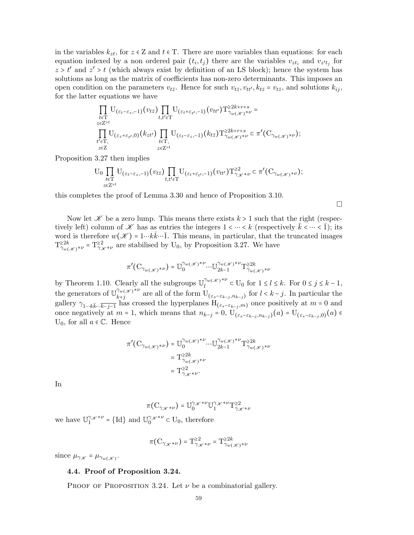in the variables  $k_{zt}$ , for  $z \in \mathbb{Z}$  and  $t \in \mathbb{T}$ . There are more variables than equations: for each equation indexed by a non ordered pair  $(t_i, t_j)$  there are the variables  $v_{zt_i}$  and  $v_{z't_j}$  for  $z > t'$  and  $z' > t$  (which always exist by definition of an LS block); hence the system has solutions as long as the matrix of coefficients has non-zero determinants. This imposes an open condition on the parameters  $v_{t\bar{z}}$ . Hence for such  $v_{t\bar{z}}$ ,  $v_{tt'}$ ,  $k_{t\bar{z}} = v_{t\bar{z}}$ , and solutions  $k_{ij}$ , for the latter equations we have

$$
\prod_{\substack{t\in\mathcal{T}\\ z\in Z^{>t}}} \mathcal{U}_{(\varepsilon_{t}-\varepsilon_{z}, -1)}(v_{t\bar{z}}) \prod_{t,t'\in\mathcal{T}} \mathcal{U}_{(\varepsilon_{t}+\varepsilon_{t'}, -1)}(v_{tt'}) \mathcal{T}_{\gamma_{w(\mathscr{K})}*\nu}^{22k+r+s} =\\ \prod_{\substack{z\in Z^{>t}\\ t'\in\mathcal{T},\\ z\in Z}} \mathcal{U}_{(\varepsilon_{z}+\varepsilon_{t'}, 0)}(k_{zt'}) \prod_{t\in\mathcal{T},} \mathcal{U}_{(\varepsilon_{t}-\varepsilon_{z}, -1)}(k_{t\bar{z}}) \mathcal{T}_{\gamma_{w(\mathscr{K})}*\nu}^{22k+r+s} \subset \pi'(C_{\gamma_{w(\mathscr{K})}*\nu});
$$

Proposition 3.27 then implies

$$
\mathcal{U}_0\prod_{\substack{t\in\mathcal{T}\\ z\in Z^{>t}}} \mathcal{U}_{(\varepsilon_t-\varepsilon_z,-1)}(v_{t\bar z})\prod_{t,t'\in\mathcal{T}} \mathcal{U}_{(\varepsilon_t+\varepsilon_{t'},-1)}(v_{tt'})\mathcal{T}_{\gamma_{\mathscr{K}}*\nu}^{\geq 2}\subset \pi'(C_{\gamma_{w(\mathscr{K})}*\nu});
$$

 $\Box$ 

this completes the proof of Lemma 3.30 and hence of Proposition 3.10.

Now let  $K$  be a zero lump. This means there exists  $k > 1$  such that the right (respectively left) column of  $\mathscr K$  has as entries the integers  $1 \lt \cdots \lt k$  (respectively  $\bar k \lt \cdots \lt \bar 1$ ); its word is therefore  $w(\mathscr{K}) = 1 \cdots k \bar{k} \cdots \bar{1}$ . This means, in particular, that the truncated images  $T_{\gamma_w(\mathcal{K})^{\ast \nu}}^{>2k} = T_{\gamma_{\mathcal{K}}^{\ast \nu}}^{>2}$  are stabilised by U<sub>0</sub>, by Proposition 3.27. We have

$$
\pi' \big( \mathrm{C}_{\gamma_w(\mathcal{K})^{*\nu}} \big) = \mathbb{U}^{\gamma_w(\mathcal{K})^{*\nu}}_0 ... \mathbb{U}^{\gamma_w(\mathcal{K})^{*\nu}}_{2k-1} \mathrm{T}^{\geq 2k}_{\gamma_w(\mathcal{K})^{*\nu}}
$$

by Theorem 1.10. Clearly all the subgroups  $\mathbb{U}_l^{\gamma_w(\mathscr{K})^{\ast \nu}} \subset \mathbb{U}_0$  for  $1 \leq l \leq k$ . For  $0 \leq j \leq k-1$ , the generators of  $\mathbb{U}_{k+j}^{\gamma_w(\mathcal{K})^{\ast \nu}}$  are all of the form  $\mathbb{U}_{(\varepsilon_s-\varepsilon_{k-j},n_{k-j})}$  for  $l < k-j$ . In particular the gallery  $\gamma_{1\cdots k\bar{k}\cdots\bar{k}-j-1}$  has crossed the hyperplanes  $H_{(\varepsilon_{s}-\varepsilon_{k-j},m)}$  once positively at  $m=0$  and once negatively at  $m = 1$ , which means that  $n_{k-j} = 0$ ,  $U_{(\varepsilon_s - \varepsilon_{k-j}, n_{k-j})}(a) = U_{(\varepsilon_s - \varepsilon_{k-j}, 0)}(a) \in$  $U_0$ , for all  $a \in \mathbb{C}$ . Hence

$$
\pi'(C_{\gamma_w(\mathcal{K})^{\ast \nu}}) = \mathbb{U}_0^{\gamma_w(\mathcal{K})^{\ast \nu}} \cdots \mathbb{U}_{2k-1}^{\gamma_w(\mathcal{K})^{\ast \nu}} \mathbb{T}_{\gamma_w(\mathcal{K})^{\ast \nu}}^{\geq 2k}
$$

$$
= \mathbb{T}_{\gamma_w(\mathcal{K})^{\ast \nu}}^{\geq 2k}
$$

$$
= \mathbb{T}_{\gamma_{\mathcal{K}}^{\ast \nu}}^{\geq 2}.
$$

In

$$
\pi\big(\mathbf{C}_{\gamma_{\mathscr{K}}*\nu}\big) = \mathbb{U}^{\gamma_{\mathscr{K}}*\nu}_{0}\mathbb{U}^{\gamma_{\mathscr{K}}*\nu}_{1}\mathbf{T}^{\geq 2}_{\gamma_{\mathscr{K}}*\nu}
$$

we have  $\mathbb{U}^{\gamma_{\mathscr{K}}*\nu}_{1}=\{\mathrm{Id}\}$  and  $\mathbb{U}^{\gamma_{\mathscr{K}}*\nu}_{0}\subset {\rm U}_{0},$  therefore

$$
\pi(\mathbf{C}_{\gamma_{\mathscr{K}}*\nu}) = \mathbf{T}_{\gamma_{\mathscr{K}}*\nu}^{\geq 2} = \mathbf{T}_{\gamma_w(\mathscr{K})*\nu}^{\geq 2k}
$$

since  $\mu_{\gamma_{\mathscr{K}}} = \mu_{\gamma_{w(\mathscr{K})}}$ .

## 4.4. Proof of Proposition 3.24.

PROOF OF PROPOSITION 3.24. Let  $\nu$  be a combinatorial gallery.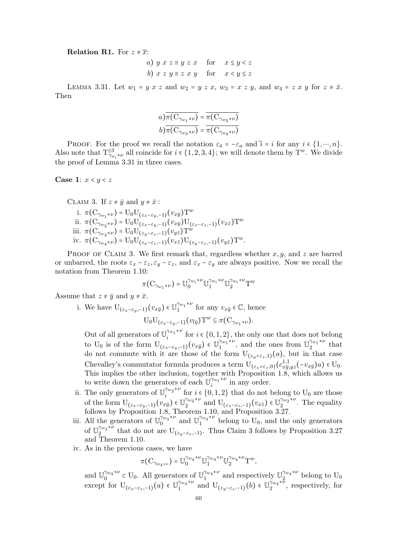**Relation R1.** For  $z \neq \overline{x}$ :

a) 
$$
y x z \equiv y z x
$$
 for  $x \le y < z$   
b)  $x z y \equiv z x y$  for  $x < y \le z$ 

LEMMA 3.31. Let  $w_1 = y x z$  and  $w_2 = y z x$ ,  $w_3 = x z y$ , and  $w_4 = z x y$  for  $z \neq \overline{x}$ . Then

$$
a) \overline{\pi(C_{\gamma_{w_1}*\nu})} = \overline{\pi(C_{\gamma_{w_2}*\nu})}
$$
  

$$
b) \overline{\pi(C_{\gamma_{w_3}*\nu})} = \overline{\pi(C_{\gamma_{w_4}*\nu})}
$$

PROOF. For the proof we recall the notation  $\varepsilon_{\bar{a}} = -\varepsilon_a$  and  $\bar{i} = i$  for any  $i \in \{1, \dots, n\}$ . Also note that  $T_{\gamma_{w_i}*\nu}^{>3}$  all coincide for  $i \in \{1,2,3,4\}$ ; we will denote them by  $T^w$ . We divide the proof of Lemma 3.31 in three cases.

#### Case 1:  $x < y < z$

CLAIM 3. If 
$$
z \neq \bar{y}
$$
 and  $y \neq \bar{x}$ :

\ni.  $\pi(C_{\gamma_{w_1}*\nu}) = U_0 U_{(\varepsilon_x-\varepsilon_y,-1)}(v_{x\bar{y}}) T^w$ 

\nii.  $\pi(C_{\gamma_{w_2}*\nu}) = U_0 U_{(\varepsilon_x-\varepsilon_y,-1)}(v_{x\bar{y}}) U_{(\varepsilon_x-\varepsilon_z,-1)}(v_{x\bar{z}}) T^w$ 

\niii.  $\pi(C_{\gamma_{w_3}*\nu}) = U_0 U_{(\varepsilon_y-\varepsilon_z,-1)}(v_{y\bar{z}}) T^w$ 

\niv.  $\pi(C_{\gamma_{w_4}*\nu}) = U_0 U_{(\varepsilon_x-\varepsilon_z,-1)}(v_{x\bar{z}}) U_{(\varepsilon_y-\varepsilon_z,-1)}(v_{y\bar{z}}) T^w$ .

PROOF OF CLAIM 3. We first remark that, regardless whether  $x, y$ , and z are barred or unbarred, the roots  $\varepsilon_x - \varepsilon_z$ ,  $\varepsilon_y - \varepsilon_z$ , and  $\varepsilon_x - \varepsilon_y$  are always positive. Now we recall the notation from Theorem 1.10:

$$
\pi(\mathbf{C}_{\gamma_{w_1}*\nu}) = \mathbb{U}^{\gamma_{w_i}*\nu}_{0} \mathbb{U}^{\gamma_{w_i}*\nu}_{1} \mathbb{U}^{\gamma_{w_i}*\nu}_{2} \mathbf{T}^{w}
$$

Assume that  $z \neq \bar{y}$  and  $y \neq \bar{x}$ .

i. We have  $\mathbf{U}_{(\varepsilon_x-\varepsilon_y,-1)}(v_{x\bar{y}}) \in \mathbb{U}_{1}^{\gamma_{w_1}*w_2}$  $\gamma_{w_1}^{\gamma_{w_1}*\nu}$  for any  $v_{x\bar{y}} \in \mathbb{C}$ , hence  $U_0U_{(\varepsilon_x-\varepsilon_y,-1)}(v_{l\bar{y}})T^w \subseteq \pi(C_{\gamma_{w_1}*w}).$ 

Out of all generators of  $\mathbb{U}^{\gamma_{w_1}* \nu}_{i}$  $\sum_{i=1}^{m_1}$  for  $i \in \{0,1,2\}$ , the only one that does not belong to U<sub>0</sub> is of the form  $U_{(\varepsilon_x-\varepsilon_y,-1)}(v_{x\bar{y}}) \in \mathbb{U}_1^{\gamma_{w_1}* \nu}$  $\int_1^{\gamma_{w_1}*\nu}$ , and the ones from  $\mathbb{U}_2^{\gamma_{w_1}*\nu}$  $2^{w_1 \star \nu}$  that do not commute with it are those of the form  $U_{(\varepsilon_n+\varepsilon_z,1)}(a)$ , but in that case Chevalley's commutator formula produces a term  $U_{(\varepsilon_x+\varepsilon_z,0)}(c_{x\bar{y}_z}^{1,1})$  $\frac{1,1}{x\bar{y},yz}(-v_{x\bar{y}})a) \in U_0.$ This implies the other inclusion, together with Proposition 1.8, which allows us to write down the generators of each  $\mathbb{U}_i^{\gamma_{w_1}* \nu}$  $i^{(w_1 * \nu)}$  in any order.

- ii. The only generators of  $\mathbb{U}^{\gamma_{w_2}*\nu}_{i}$  $\sum_{i=1}^{m_2}$  for  $i \in \{0, 1, 2\}$  that do not belong to U<sub>0</sub> are those of the form  $\mathrm{U}_{(\varepsilon_x-\varepsilon_y,-1)}(v_{x\bar{y}}) \in \mathbb{U}_{2}^{\gamma_{w_2}* \nu}$  $\int_2^{\gamma_{w_2}*\nu}$  and  $\mathbf{U}_{(\varepsilon_x-\varepsilon_z,-1)}(v_{x\bar{z}}) \in \mathbb{U}_2^{\gamma_{w_2}*\nu}$  $2^{w_2 \star \nu}$ . The equality follows by Proposition 1.8, Theorem 1.10, and Proposition 3.27.
- iii. All the generators of  $\mathbb{U}_0^{\gamma_{w_3}* \nu}$  $\int_0^{\gamma_{w_3}*\nu}$  and  $\mathbb{U}_1^{\gamma_{w_3}*\nu}$  $1^{\gamma w_3 \star \nu}$  belong to U<sub>0</sub>, and the only generators of  $\mathbb{U}^{\gamma_{w_{3}}* \overline{\nu}}_{2}$  $\frac{1}{2}$ <sup>tw<sub>3</sub><sup> $\sim$ </sup> that do not are U<sub>( $\varepsilon_y$ - $\varepsilon_z$ ,-1)</sub>. Thus Claim 3 follows by Proposition 3.27</sup> and Theorem 1.10.
- iv. As in the previous cases, we have

$$
\pi(C_{\gamma_{w_4*\nu}}) = \mathbb{U}_0^{\gamma_{w_4}*\nu} \mathbb{U}_1^{\gamma_{w_4}*\nu} \mathbb{U}_2^{\gamma_{w_4}*\nu} \mathbb{T}^w,
$$

and  $\mathbb{U}_{0}^{\gamma_{w_{4}}*\nu}$  $v_0^{\gamma_{w_4}*\nu} \subset U_0$ . All generators of  $\mathbb{U}_1^{\gamma_{w_4}*\nu}$  $\int_1^{\gamma_{w_4}*\nu}$  and respectively  $\mathbb{U}_2^{\gamma_{w_4}*\nu}$  $\frac{2}{2}$  belong to  $U_0$ except for  $\mathbf{U}_{(\varepsilon_x-\varepsilon_z,-1)}(a) \in \mathbb{U}_{1}^{\gamma_{w_4}* \nu}$  $\int_1^{\gamma_{w_4}*\nu}$  and  $U_{(\varepsilon_y-\varepsilon_z,-1)}(b) \in \mathbb{U}_2^{\gamma_{w_4}*\tilde{\nu}}$  $i^{w_4}$ , respectively, for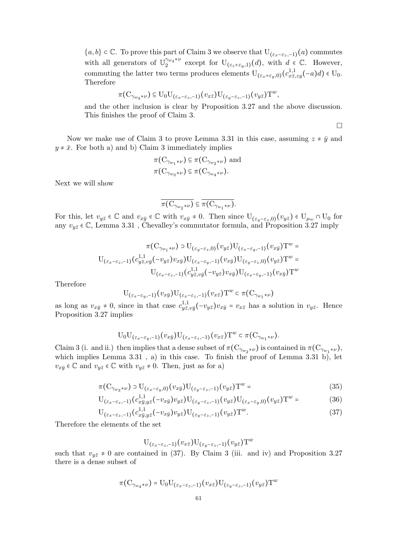${a, b} \in \mathbb{C}$ . To prove this part of Claim 3 we observe that  $U_{(\varepsilon_x-\varepsilon_y,-1)}(a)$  commutes with all generators of  $\mathbb{U}_{2}^{\gamma_{w_{4}}*\nu}$  $\gamma_{w_4}^{w_4*\nu}$  except for  $U_{(\varepsilon_z+\varepsilon_y,1)}(d)$ , with  $d \in \mathbb{C}$ . However, commuting the latter two terms produces elements  $U_{(\varepsilon_x+\varepsilon_y,0)}(c_{x\bar{z},x}^{1,1})$  $_{x\bar{z},zy}^{1,1}(-a)d) \in U_0.$ Therefore

$$
\pi(C_{\gamma_{w_4}*\nu}) \subseteq U_0U_{(\varepsilon_x-\varepsilon_z,-1)}(v_{x\bar{z}})U_{(\varepsilon_y-\varepsilon_z,-1)}(v_{y\bar{z}})T^w,
$$

and the other inclusion is clear by Proposition 3.27 and the above discussion. This finishes the proof of Claim 3.

 $\Box$ 

Now we make use of Claim 3 to prove Lemma 3.31 in this case, assuming  $z \neq \bar{y}$  and  $y \neq \bar{x}$ . For both a) and b) Claim 3 immediately implies

$$
\pi(\mathcal{C}_{\gamma_{w_1}*\nu}) \subseteq \pi(\mathcal{C}_{\gamma_{w_2}*\nu})
$$
 and  

$$
\pi(\mathcal{C}_{\gamma_{w_3}*\nu}) \subseteq \pi(\mathcal{C}_{\gamma_{w_4}*\nu}).
$$

Next we will show

$$
\overline{\pi\big(C_{\gamma_{w_{2}}*\nu}\big)}\subseteq\overline{\pi\big(C_{\gamma_{w_{1}}*\nu}\big)}.
$$

For this, let  $v_{y\bar{z}} \in \mathbb{C}$  and  $v_{x\bar{y}} \in \mathbb{C}$  with  $v_{x\bar{y}} \neq 0$ . Then since  $U_{(\varepsilon_y-\varepsilon_z,0)}(v_{y\bar{z}}) \in U_{\mu_w} \cap U_0$  for any  $v_{y\bar z}\in\mathbb{C},$  Lemma 3.31 , Chevalley's commutator formula, and Proposition 3.27 imply

$$
\pi(\mathbf{C}_{\gamma_{w_1}\star \nu})\supset \mathbf{U}_{(\varepsilon_y-\varepsilon_z,0)}(v_{y\bar z})\mathbf{U}_{(\varepsilon_x-\varepsilon_y,-1)}(v_{x\bar y})\mathbf{T}^w=\newline \mathbf{U}_{(\varepsilon_x-\varepsilon_z,-1)}(c^{1,1}_{y\bar z,v\bar y}(-v_{y\bar z})v_{x\bar y})\mathbf{U}_{(\varepsilon_x-\varepsilon_y,-1)}(v_{x\bar y})\mathbf{U}_{(\varepsilon_y-\varepsilon_z,0)}(v_{y\bar z})\mathbf{T}^w=\newline \mathbf{U}_{(\varepsilon_x-\varepsilon_z,-1)}(c^{1,1}_{y\bar z,v\bar y}(-v_{y\bar z})v_{x\bar y})\mathbf{U}_{(\varepsilon_x-\varepsilon_y,-1)}(v_{x\bar y})\mathbf{T}^w
$$

Therefore

$$
\mathbf{U}_{(\varepsilon_x-\varepsilon_y,-1)}(v_{x\bar{y}})\mathbf{U}_{(\varepsilon_x-\varepsilon_z,-1)}(v_{x\bar{z}})\mathbf{T}^w \subset \pi(\mathbf{C}_{\gamma_{w_1}*\nu})
$$

as long as  $v_{x\bar{y}} \neq 0$ , since in that case  $c_{u\bar{z}}^{1,1}$ .  $y_{\bar{z},v\bar{y}}^{1,1}(-v_{y\bar{z}})v_{x\bar{y}}=v_{x\bar{z}}$  has a solution in  $v_{y\bar{z}}$ . Hence Proposition 3.27 implies

$$
\mathrm{U}_0\mathrm{U}_{(\varepsilon_x-\varepsilon_y,-1)}(v_{x\bar y})\mathrm{U}_{(\varepsilon_x-\varepsilon_z,-1)}(v_{x\bar z})\mathrm{T}^w\subset \pi(\mathrm{C}_{\gamma_{w_1}\star\nu}).
$$

Claim 3 (i. and ii.) then implies that a dense subset of  $\pi(C_{\gamma_{w_2}*\nu})$  is contained in  $\pi(C_{\gamma_{w_1}*\nu})$ , which implies Lemma 3.31 , a) in this case. To finish the proof of Lemma 3.31 b), let  $v_{x\bar{y}} \in \mathbb{C}$  and  $v_{y\bar{z}} \in \mathbb{C}$  with  $v_{y\bar{z}} \neq 0$ . Then, just as for a)

$$
\pi(C_{\gamma_{w_3}*\nu}) \supset U_{(\varepsilon_x-\varepsilon_y,0)}(v_{x\bar{y}})U_{(\varepsilon_y-\varepsilon_z,-1)}(v_{y\bar{z}})T^w =
$$
\n(35)

$$
U_{(\varepsilon_x - \varepsilon_z, -1)}(c_{x\bar{y}, y\bar{z}}^{1,1}(-v_{x\bar{y}})v_{y\bar{z}})U_{(\varepsilon_y - \varepsilon_z, -1)}(v_{y\bar{z}})U_{(\varepsilon_x - \varepsilon_y, 0)}(v_{y\bar{z}})T^w = (36)
$$

$$
U_{(\varepsilon_x - \varepsilon_z, -1)}(c_{x\bar{y}, y\bar{z}}^{1,1}(-v_{x\bar{y}})v_{y\bar{z}})U_{(\varepsilon_y - \varepsilon_z, -1)}(v_{y\bar{z}})T^w.
$$
\n(37)

Therefore the elements of the set

$$
\mathop{\rm U}\nolimits_{(\varepsilon_{x}-\varepsilon_{z}, -1)}(v_{x\bar z})\mathop{\rm U}\nolimits_{(\varepsilon_{y}-\varepsilon_{z}, -1)}(v_{y\bar z}){\rm T}^{w}
$$

such that  $v_{y\bar{z}} \neq 0$  are contained in (37). By Claim 3 (iii. and iv) and Proposition 3.27 there is a dense subset of

$$
\pi(\mathbf{C}_{\gamma_{w_4}* \nu}) = \mathbf{U}_0 \mathbf{U}_{(\varepsilon_x - \varepsilon_z, -1)}(v_{x \bar z}) \mathbf{U}_{(\varepsilon_y - \varepsilon_z, -1)}(v_{y \bar z}) \mathbf{T}^w
$$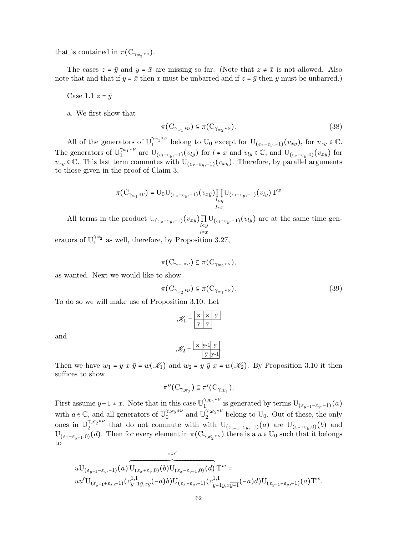that is contained in  $\pi(C_{\gamma_{w_3}* \nu}).$ 

The cases  $z = \bar{y}$  and  $y = \bar{x}$  are missing so far. (Note that  $z \neq \bar{x}$  is not allowed. Also note that and that if  $y = \bar{x}$  then x must be unbarred and if  $z = \bar{y}$  then y must be unbarred.)

Case 1.1  $z = \bar{y}$ 

a. We first show that

$$
\overline{\pi(\mathcal{C}_{\gamma_{w_1}\ast\nu})} \subseteq \overline{\pi(\mathcal{C}_{\gamma_{w_2}\ast\nu})}.
$$
\n(38)

All of the generators of  $\mathbb{U}^{\gamma_{w_1}* \nu}_{1}$  $\gamma_{w_1}^{w_1*\nu}$  belong to U<sub>0</sub> except for U<sub>( $\varepsilon_x-\varepsilon_y,-1$ )( $v_{x\bar{y}}$ ), for  $v_{x\bar{y}} \in \mathbb{C}$ .</sub> The generators of  $\mathbb{U}_1^{\gamma_{w_1}*\nu}$  $\int_1^{\gamma_{w_1}*\nu}$  are  $U_{(\varepsilon_l-\varepsilon_y,-1)}(v_{l\bar{y}})$  for  $l \neq x$  and  $v_{l\bar{y}} \in \mathbb{C}$ , and  $U_{(\varepsilon_x-\varepsilon_y,0)}(v_{x\bar{y}})$  for  $v_{x\bar{y}}\in\mathbb{C}$ . This last term commutes with  $U_{(\varepsilon_x-\varepsilon_y,-1)}(v_{x\bar{y}})$ . Therefore, by parallel arguments to those given in the proof of Claim 3,

$$
\pi(\mathcal{C}_{\gamma_{w_1}* \nu}) = \mathcal{U}_0 \mathcal{U}_{(\varepsilon_x - \varepsilon_y, -1)}(v_{x\bar{y}}) \prod_{\substack{l < y \\ l \neq x}} \mathcal{U}_{(\varepsilon_l - \varepsilon_y, -1)}(v_{l\bar{y}}) \mathcal{T}^w
$$

All terms in the product  $U_{(\varepsilon_x-\varepsilon_y,-1)}(v_{x\bar{y}})\prod_{l\leq y}U_{(\varepsilon_l-\varepsilon_y,-1)}(v_{l\bar{y}})$  are at the same time gen-

erators of  $\mathbb{U}_{1}^{\gamma_{w_{2}}}$  as well, therefore, by Proposition 3.27,

$$
\pi(\mathrm{C}_{\gamma_{w_1}*\nu}) \subseteq \pi(\mathrm{C}_{\gamma_{w_2}*\nu}),
$$

as wanted. Next we would like to show

$$
\overline{\pi(\mathcal{C}_{\gamma_{w_2}*\nu})} \subseteq \overline{\pi(\mathcal{C}_{\gamma_{w_1}*\nu})}.
$$
\n(39)

To do so we will make use of Proposition 3.10. Let

$$
\mathcal{K}_1 = \begin{array}{|c|c|} \hline x & x & y \\ \hline \overline{y} & \overline{y} \end{array}
$$

and

$$
\mathscr{K}_2 = \frac{\boxed{\mathbf{x} \ \mathbf{y} \cdot \mathbf{1} \ \mathbf{y}}}{\overline{\mathbf{y}} \ \overline{\mathbf{y}} \cdot \mathbf{1}}.
$$

Then we have  $w_1 = y \times \bar{y} = w(\mathcal{K}_1)$  and  $w_2 = y \bar{y} \times w(\mathcal{K}_2)$ . By Proposition 3.10 it then suffices to show

$$
\overline{\pi''(\mathcal{C}_{\gamma_{\mathscr{K}_{2}}})} \subseteq \overline{\pi'(\mathcal{C}_{\gamma_{\mathscr{K}_{1}}})}.
$$

First assume  $y-1 \neq x$ . Note that in this case  $\mathbb{U}_1^{\gamma_{\mathscr{K}_2}*\nu}$  $\prod_{1 \leq y \leq x}^{1 \times 2^{x}}$  is generated by terms  $U_{(\varepsilon_{y-1}-\varepsilon_y,-1)}(a)$ with  $a \in \mathbb{C}$ , and all generators of  $\mathbb{U}_0^{\gamma_{\mathscr{K}_2} \ast \nu}$  $\int_0^{\gamma_{\mathscr{K}_{2}}*\nu}$  and  $\mathbb{U}^{\gamma_{\mathscr{K}_{2}}*\nu}_{2}$  $\int_2^{\pi/2}$  belong to U<sub>0</sub>. Out of these, the only ones in  $\mathbb{U}_2^{\gamma_{\mathscr{K}_2}*\nu}$ <sup>1, $x_2$ </sup><sup>2</sup> that do not commute with with  $U_{(\varepsilon_{y-1}-\varepsilon_y,-1)}(a)$  are  $U_{(\varepsilon_x+\varepsilon_y,0)}(b)$  and  $U_{(\varepsilon_x-\varepsilon_{y-1},0)}(d)$ . Then for every element in  $\pi(C_{\gamma_{\mathscr{K}_{2}}*\nu})$  there is a  $u \in U_0$  such that it belongs to

$$
uU_{(\varepsilon_{y-1}-\varepsilon_{y},-1)}(a)\overbrace{U_{(\varepsilon_{x}+\varepsilon_{y},0)}(b)}^{=:u'}(b)U_{(\varepsilon_{x}-\varepsilon_{y-1},0)}(d)T^w =\\uu'U_{(\varepsilon_{y-1}+\varepsilon_{x},-1)}(c^{1,1}_{y-1\bar{y},xy}(-a)b)U_{(\varepsilon_{x}-\varepsilon_{y},-1)}(c^{1,1}_{y-1\bar{y},x\bar{y}-1}(-a)d)U_{(\varepsilon_{y-1}-\varepsilon_{y},-1)}(a)T^w.
$$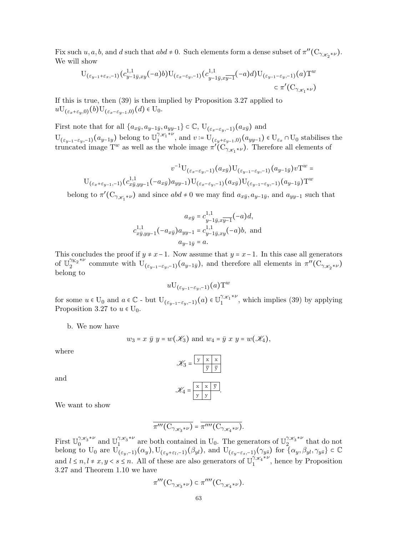Fix such  $u, a, b$ , and  $d$  such that  $abd \neq 0$ . Such elements form a dense subset of  $\pi''(\mathcal{C}_{\gamma_{\mathscr{K}_{2}}*\nu})$ . We will show

$$
U_{(\varepsilon_{y-1}+\varepsilon_x,-1)}(c_{y-1\bar{y},xy}^{1,1}(-a)b)U_{(\varepsilon_x-\varepsilon_y,-1)}(c_{y-1\bar{y},xy-1}^{1,1}(-a)d)U_{(\varepsilon_{y-1}-\varepsilon_y,-1)}(a)T^w
$$
  

$$
\subset \pi'(C_{\gamma_{\mathscr{K}_{1}}*\nu})
$$

If this is true, then (39) is then implied by Proposition 3.27 applied to  $uU_{(\varepsilon_x+\varepsilon_y,0)}(b)U_{(\varepsilon_x-\varepsilon_{y-1},0)}(d) \in U_0.$ 

First note that for all  $\{a_{x\bar{y}}, a_{y-1\bar{y}}, a_{yy-1}\}\subset \mathbb{C}$ ,  $U_{(\varepsilon_x-\varepsilon_y,-1)}(a_{x\bar{y}})$  and  $U_{(\varepsilon_{y-1}-\varepsilon_y,-1)}(a_{y-1y})$  belong to  $\mathbb{U}_1^{\gamma_{\mathscr{K}_1}*\nu}$  $1^{7k_1 \gamma \nu}$ , and  $v = U_{(\varepsilon_y + \varepsilon_{y-1},0)}(a_{yy-1}) \in U_{\varepsilon_x} \cap U_0$  stabilises the truncated image  $T^w$  as well as the whole image  $\pi'(\overline{C_{\gamma_{\mathscr{K}_{1}}*\nu}})$ . Therefore all elements of

$$
v^{-1}\mathbf{U}_{(\varepsilon_x-\varepsilon_y,-1)}(a_{x\bar y})\mathbf{U}_{(\varepsilon_y-\varepsilon_y,-1)}(a_{y-1\bar y})v\mathbf{T}^w = \mathbf{U}_{(\varepsilon_x+\varepsilon_{y-1},-1)}(c_{x\bar y,yy-1}^{1,1}(-a_{x\bar y})a_{yy-1})\mathbf{U}_{(\varepsilon_x-\varepsilon_y,-1)}(a_{x\bar y})\mathbf{U}_{(\varepsilon_{y-1}-\varepsilon_y,-1)}(a_{y-1\bar y})\mathbf{T}^w
$$

belong to  $\pi'(C_{\gamma_{\mathscr{K}_{1}}*\nu})$  and since  $abd \neq 0$  we may find  $a_{x\bar{y}}, a_{y-1\bar{y}}$ , and  $a_{yy-1}$  such that

$$
a_{x\bar{y}} = c_{y-1\bar{y}, x\bar{y}}^{1,1}(-a)d,
$$
  

$$
c_{x\bar{y}, yy-1}^{1,1}(-a_{x\bar{y}})a_{yy-1} = c_{y-1\bar{y}, xy}^{1,1}(-a)b, \text{ and}
$$
  

$$
a_{y-1\bar{y}} = a.
$$

This concludes the proof if  $y \neq x-1$ . Now assume that  $y = x-1$ . In this case all generators of  $\mathbb{U}_{2}^{\gamma_{K_{2}}*\nu}$  $2^{\gamma_{K_2} \times \nu}$  commute with  $U_{(\varepsilon_{y-1}-\varepsilon_y,-1)}(a_{y-1\bar{y}})$ , and therefore all elements in  $\pi''(C_{\gamma_{\mathscr{K}_{2}}\ast\nu})$ belong to

$$
u {\rm U}_{(\varepsilon_{y-1}-\varepsilon_{y}, -1)}(a) {\rm T}^{w}
$$

for some  $u \in U_0$  and  $a \in \mathbb{C}$  - but  $U_{(\varepsilon_{y-1}-\varepsilon_y,-1)}(a) \in U_1^{(\varkappa_1+\nu)}$  $\binom{7x_1}{1}$ , which implies (39) by applying Proposition 3.27 to  $u \in U_0$ .

b. We now have

$$
w_3 = x \overline{y} y = w(\mathscr{K}_3)
$$
 and  $w_4 = \overline{y} x y = w(\mathscr{K}_4)$ ,

where

$$
\mathcal{K}_3 = \frac{\boxed{y \times x} \times \boxed{x}}{\frac{\overline{y}}{\overline{y}} \cdot \frac{\overline{y}}{\overline{y}}}
$$

$$
\mathcal{K}_4 = \frac{\boxed{x \times x} \cdot \boxed{y}}{\boxed{y \times y}}
$$

and

We want to show

$$
\overline{\pi'''(\mathcal{C}_{\gamma_{\mathscr{K}_{3}}*\nu})}=\overline{\pi''''(\mathcal{C}_{\gamma_{\mathscr{K}_{4}}*\nu})}.
$$

First  $\mathbb{U}_{0}^{\gamma_{\mathscr{K}_{3}}*\nu}$  $\int_0^{\gamma_{\mathscr{K}_3}*\nu}$  and  $\mathbb{U}_1^{\gamma_{\mathscr{K}_3}*\nu}$  $\int_1^{\gamma_{\mathscr{K}_3}\ast \nu}$  are both contained in U<sub>0</sub>. The generators of  $\mathbb{U}^{\gamma_{\mathscr{K}_3}\ast \nu}_{2}$  $\int_{2}^{7\mathcal{X}_{3}}$  that do not belong to U<sub>0</sub> are  $U_{(\varepsilon_y,-1)}(\alpha_y)$ ,  $U_{(\varepsilon_y+\varepsilon_l,-1)}(\beta_{yl})$ , and  $U_{(\varepsilon_y-\varepsilon_s,-1)}(\gamma_{y\bar{s}})$  for  $\{\alpha_y,\beta_{yl},\gamma_{y\bar{s}}\}\subset\mathbb{C}$ and  $l \leq n, l \neq x, y < s \leq n$ . All of these are also generators of  $\mathbb{U}_1^{\gamma_{\mathscr{K}_{4}}*\nu}$  $1^{\frac{7\mathcal{K}_4^{\mathcal{N}\nu}}{1}}$ , hence by Proposition 3.27 and Theorem 1.10 we have

$$
\pi'''\bigl(\mathrm{C}_{\gamma_{\mathscr{K}_{3}}*\nu}\bigr)\subset \pi''''\bigl(\mathrm{C}_{\gamma_{\mathscr{K}_{4}}*\nu}\bigr).
$$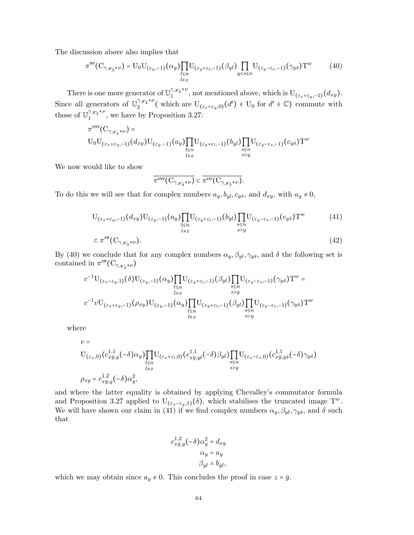The discussion above also implies that

$$
\pi'''(C_{\gamma_{\mathscr{K}_{3}}*\nu}) = U_0 U_{(\varepsilon_y,-1)}(\alpha_y) \prod_{\substack{l \le n \\ l \neq x}} U_{(\varepsilon_y+\varepsilon_l,-1)}(\beta_{yl}) \prod_{y < s \le n} U_{(\varepsilon_y-\varepsilon_s,-1)}(\gamma_{y\bar{s}}) T^w
$$
(40)

There is one more generator of  $\mathbb{U}^{\gamma_{\mathscr{K}_{4}}*\nu}_{1}$  $1/\mathscr{K}_4^{\gamma,\nu}$ , not mentioned above, which is  $U_{(\varepsilon_x+\varepsilon_y,-1)}(d_{xy})$ . Since all generators of  $\mathbb{U}_{2}^{\gamma_{\mathscr{K}_{4}}*\nu}$  $\int_2^{\gamma_{\mathscr{K}_{4}}*\nu}$  (which are  $U_{(\varepsilon_x+\varepsilon_y,0)}(d') \in U_0$  for  $d' \in \mathbb{C}$ ) commute with those of  $\mathbb{U}^{\gamma_{\mathscr{K}_{3}}*\nu}_{1}$  $1^{7\mathcal{X}_3^{\mathcal{X}_9}}$ , we have by Proposition 3.27:

$$
\pi^{\prime\prime\prime\prime}(C_{\gamma_{\mathscr{K}_{4}}*\nu}) = \text{U}_{0}\text{U}_{(\varepsilon_{x}+\varepsilon_{y}, -1)}(d_{xy})\text{U}_{(\varepsilon_{y}, -1)}(a_{y})\prod_{\substack{l\leq n\\l\neq x}}\text{U}_{(\varepsilon_{y}+\varepsilon_{l}, -1)}(b_{yl})\prod_{\substack{s\leq n\\s>y}}\text{U}_{(\varepsilon_{y}-\varepsilon_{s}, -1)}(c_{y\bar{s}})\text{T}^{w}
$$

We now would like to show

$$
\overline{\pi''''(\mathcal{C}_{\gamma_{\mathscr{K}_{4}}*\nu})}\subset \overline{\pi'''(\mathcal{C}_{\gamma_{\mathscr{K}_{3}}*\nu})}.
$$

To do this we will see that for complex numbers  $a_y, b_{yl}, c_{y\bar{s}},$  and  $d_{xy}$ , with  $a_y \neq 0$ ,

$$
U_{(\varepsilon_x + \varepsilon_y, -1)}(d_{xy})U_{(\varepsilon_y, -1)}(a_y) \prod_{\substack{l \le n \\ l \neq x}} U_{(\varepsilon_y + \varepsilon_l, -1)}(b_{yl}) \prod_{\substack{s \le n \\ s > y}} U_{(\varepsilon_y - \varepsilon_s, -1)}(c_{y\bar{s}})T^w
$$
(41)  

$$
\subset \pi'''(C_{\gamma_{\mathscr{K}_3}*\nu}).
$$

By (40) we conclude that for any complex numbers  $\alpha_y, \beta_{yl}, \gamma_{y\bar{s}}$ , and  $\delta$  the following set is contained in  $\pi'''(\mathcal{C}_{\gamma_{\mathscr{K}_{3}}*\nu})$ 

$$
v^{-1} \mathcal{U}_{(\varepsilon_x - \varepsilon_y, 1)}(\delta) \mathcal{U}_{(\varepsilon_y, -1)}(\alpha_y) \prod_{\substack{l \le n \\ l \neq x}} \mathcal{U}_{(\varepsilon_y + \varepsilon_l, -1)}(\beta_{yl}) \prod_{\substack{s \le n \\ s > y}} \mathcal{U}_{(\varepsilon_y - \varepsilon_s, -1)}(\gamma_{y\bar{s}}) \mathcal{T}^w =
$$
  

$$
v^{-1} v \mathcal{U}_{(\varepsilon_x + \varepsilon_y, -1)}(\rho_{xy}) \mathcal{U}_{(\varepsilon_y, -1)}(\alpha_y) \prod_{\substack{l \le n \\ l \neq x}} \mathcal{U}_{(\varepsilon_y + \varepsilon_l, -1)}(\beta_{yl}) \prod_{\substack{s \le n \\ s > y}} \mathcal{U}_{(\varepsilon_y - \varepsilon_s, -1)}(\gamma_{y\bar{s}}) \mathcal{T}^w
$$

where

$$
v = U_{(\varepsilon_x,0)}(c_{x\bar{y},y}^{1,1}(-\delta)\alpha_y)\prod_{l\leq n}U_{(\varepsilon_x+\varepsilon_l,0)}(c_{x\bar{y},yl}^{1,1}(-\delta)\beta_{yl})\prod_{\substack{s\leq n\\s>y}}U_{(\varepsilon_x-\varepsilon_s,0)}(c_{x\bar{y},y\bar{s}}^{1,1}(-\delta)\gamma_{yz})
$$
  

$$
\rho_{xy} = c_{x\bar{y},y}^{1,2}(-\delta)\alpha_y^2,
$$

and where the latter equality is obtained by applying Chevalley's commutator formula and Proposition 3.27 applied to  $U_{(\varepsilon_x-\varepsilon_y,1)}(\delta)$ , which stabilises the truncated image T<sup>w</sup>. We will have shown our claim in (41) if we find complex numbers  $\alpha_y$ ,  $\beta_{yl}$ ,  $\gamma_{y\bar{s}}$ , and  $\delta$  such that

$$
c_{x\bar{y},y}^{1,2}(-\delta)\alpha_y^2 = d_{xy}
$$

$$
\alpha_y = a_y
$$

$$
\beta_{yl} = b_{yl},
$$

which we may obtain since  $a_y \neq 0$ . This concludes the proof in case  $z = \bar{y}$ .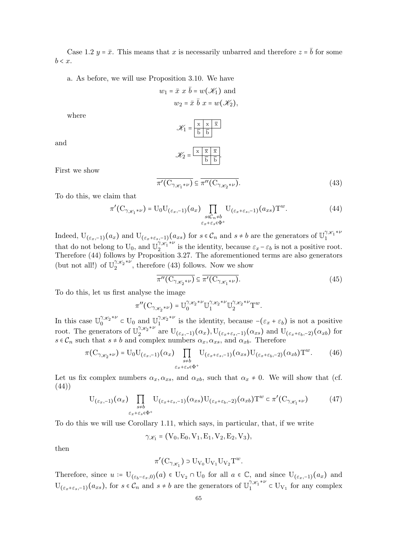Case 1.2  $y = \bar{x}$ . This means that x is necessarily unbarred and therefore  $z = \bar{b}$  for some  $b < x$ .

a. As before, we will use Proposition 3.10. We have

$$
w_1 = \bar{x} \ x \ \bar{b} = w(\mathcal{K}_1)
$$
 and  
 $w_2 = \bar{x} \ \bar{b} \ x = w(\mathcal{K}_2)$ ,

where

$$
\mathcal{K}_1 = \frac{\overline{x} \times \overline{x}}{\overline{b} \times \overline{b}}
$$

$$
\mathcal{K}_2 = \frac{\overline{x} \times \overline{x}}{\overline{b} \times \overline{b}}.
$$

and

First we show

$$
\overline{\pi'(C_{\gamma_{\mathscr{K}_{1}}*\nu})} \subseteq \overline{\pi''(C_{\gamma_{\mathscr{K}_{2}}*\nu})}.
$$
\n(43)

To do this, we claim that

$$
\pi'(C_{\gamma_{\mathscr{K}_{1}}*\nu}) = U_0 U_{(\varepsilon_x,-1)}(a_x) \prod_{\substack{s \in C_n \neq b \\ \varepsilon_x + \varepsilon_s \in \Phi^+}} U_{(\varepsilon_x + \varepsilon_s, -1)}(a_{xs}) T^w.
$$
\n(44)

Indeed,  $U_{(\varepsilon_x,-1)}(a_x)$  and  $U_{(\varepsilon_x+\varepsilon_s,-1)}(a_{xs})$  for  $s \in \mathcal{C}_n$  and  $s \neq b$  are the generators of  $\mathbb{U}_1^{\gamma_{\mathscr{K}_1}* \nu_{\mathscr{K}_2}}$ 1 that do not belong to U<sub>0</sub>, and  $\mathbb{U}_2^{\gamma_{\mathscr{K}_{1}}*\nu}$  $\sum_{i=1}^{7\mathcal{K}_{1}}$  is the identity, because  $\varepsilon_{x}-\varepsilon_{b}$  is not a positive root. Therefore (44) follows by Proposition 3.27. The aforementioned terms are also generators (but not all!) of  $\mathbb{U}_{2}^{\gamma_{\mathscr{K}_{2}}*\nu}$  $2^{7\mathscr{X}_2^{\prime\prime}}$ , therefore (43) follows. Now we show

$$
\overline{\pi''(\mathcal{C}_{\gamma_{\mathscr{K}_{2}}*\nu})} \subseteq \overline{\pi'(\mathcal{C}_{\gamma_{\mathscr{K}_{1}}*\nu})}.
$$
\n(45)

To do this, let us first analyse the image

$$
\pi''(\mathcal{C}_{\gamma_{\mathscr{K}_{2}}*\nu})=\mathbb{U}_{0}^{\gamma_{\mathscr{K}_{2}}*\nu}\mathbb{U}_{1}^{\gamma_{\mathscr{K}_{2}}*\nu}\mathbb{U}_{2}^{\gamma_{\mathscr{K}_{2}}*\nu}\mathcal{T}^{w}.
$$

In this case  $\mathbb{U}_{0}^{\gamma_{\mathscr{K}_{2}}*\nu}$  $\int_0^{\gamma_{\mathscr{K}_2}*\nu}$  c U<sub>0</sub> and  $\mathbb{U}_1^{\gamma_{\mathscr{K}_2}*\nu}$  $\int_1^{\pi/2}$  is the identity, because  $-(\varepsilon_x + \varepsilon_b)$  is not a positive root. The generators of  $\mathbb{U}_{2}^{\gamma_{\mathscr{K}_{2}}*\nu}$  $2^{7\mathscr{L}_2^{\times \nu}}$  are  $U_{(\varepsilon_x,-1)}(\alpha_x)$ ,  $U_{(\varepsilon_x+\varepsilon_s,-1)}(\alpha_{xs})$  and  $U_{(\varepsilon_x+\varepsilon_b,-2)}(\alpha_{xb})$  for  $s \in \mathcal{C}_n$  such that  $s \neq b$  and complex numbers  $\alpha_x, \alpha_{xs}$ , and  $\alpha_{xb}$ . Therefore

$$
\pi(C_{\gamma_{\mathscr{K}_{2}}*\nu}) = U_0 U_{(\varepsilon_x,-1)}(\alpha_x) \prod_{\substack{s \neq b \\ \varepsilon_x + \varepsilon_s \in \Phi^+}} U_{(\varepsilon_x + \varepsilon_s, -1)}(\alpha_x) U_{(\varepsilon_x + \varepsilon_b, -2)}(\alpha_x b) T^w.
$$
 (46)

Let us fix complex numbers  $\alpha_x, \alpha_{xs}$ , and  $\alpha_{xb}$ , such that  $\alpha_x \neq 0$ . We will show that (cf. (44))

$$
U_{(\varepsilon_x,-1)}(\alpha_x) \prod_{\substack{s=b\\ \varepsilon_x+\varepsilon_s\in\Phi^+}} U_{(\varepsilon_x+\varepsilon_s,-1)}(\alpha_{xs}) U_{(\varepsilon_x+\varepsilon_b,-2)}(\alpha_{xb}) T^w \subset \pi'(C_{\gamma_{\mathscr{K}_1}\ast\nu})
$$
(47)

To do this we will use Corollary 1.11, which says, in particular, that, if we write

$$
\gamma_{\mathscr{K}_1} = (V_0, E_0, V_1, E_1, V_2, E_2, V_3),
$$

then

$$
\pi'(\mathrm{C}_{\gamma_{\mathscr{K}_{1}}}) \supset \mathrm{U}_{\mathrm{V}_{0}}\mathrm{U}_{\mathrm{V}_{1}}\mathrm{U}_{\mathrm{V}_{2}}\mathrm{T}^{w}.
$$

Therefore, since  $u := U_{(\varepsilon_b - \varepsilon_x, 0)}(a) \in U_{V_2} \cap U_0$  for all  $a \in \mathbb{C}$ , and since  $U_{(\varepsilon_x, -1)}(a_x)$  and  $U_{(\varepsilon_x+\varepsilon_s,-1)}(a_{xs}),$  for  $s \in \mathcal{C}_n$  and  $s \neq b$  are the generators of  $\mathbb{U}_1^{\gamma_{\mathscr{K}_1}*\nu}$  $U_{V_1}$  for any complex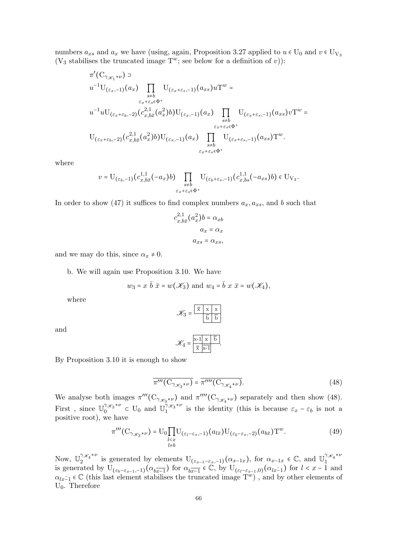numbers  $a_{xs}$  and  $a_x$  we have (using, again, Proposition 3.27 applied to  $u \in U_0$  and  $v \in U_{V_3}$ (V<sub>3</sub> stabilises the truncated image  $T^w$ ; see below for a definition of v)):

$$
\pi'(C_{\gamma_{\mathscr{K}_{1}}*\nu}) \supset
$$
\n
$$
u^{-1}U_{(\varepsilon_{x},-1)}(a_{x}) \prod_{\substack{s \neq b \\ \varepsilon_{x}+\varepsilon_{s} \in \Phi^{+}}} U_{(\varepsilon_{x}+\varepsilon_{s},-1)}(a_{xs}) u T^{w} =
$$
\n
$$
u^{-1}uU_{(\varepsilon_{x}+\varepsilon_{b},-2)}(c_{x,b\bar{x}}^{2,1}(a_{x}^{2})b)U_{(\varepsilon_{x},-1)}(a_{x}) \prod_{\substack{s \neq b \\ \varepsilon_{x}+\varepsilon_{s} \in \Phi^{+}}} U_{(\varepsilon_{x}+\varepsilon_{s},-1)}(a_{xs}) v T^{w} =
$$
\n
$$
U_{(\varepsilon_{x}+\varepsilon_{b},-2)}(c_{x,b\bar{x}}^{2,1}(a_{x}^{2})b)U_{(\varepsilon_{x},-1)}(a_{x}) \prod_{\substack{s \neq b \\ \varepsilon_{x}+\varepsilon_{s} \in \Phi^{+}}} U_{(\varepsilon_{x}+\varepsilon_{s},-1)}(a_{xs}) T^{w}.
$$

where

$$
v = \mathrm{U}_{(\varepsilon_b, -1)}(c_{x,b\bar{x}}^{1,1}(-a_x)b) \prod_{\substack{s \neq b \\ \varepsilon_x + \varepsilon_s \in \Phi^+}} \mathrm{U}_{(\varepsilon_b + \varepsilon_s, -1)}(c_{x,bs}^{1,1}(-a_{xs})b) \in \mathrm{U}_{\mathrm{V}_3}.
$$

In order to show (47) it suffices to find complex numbers  $a_x, a_{xs}$ , and b such that

$$
c_{x,b\bar{x}}^{2,1}(a_x^2)b = \alpha_{xb}
$$

$$
a_x = \alpha_x
$$

$$
a_{xs} = \alpha_{xs},
$$

and we may do this, since  $\alpha_x \neq 0$ .

b. We will again use Proposition 3.10. We have

$$
w_3 = x \overline{b} \overline{x} = w(\mathcal{K}_3)
$$
 and  $w_4 = \overline{b} x \overline{x} = w(\mathcal{K}_4)$ ,

where

$$
\mathcal{K}_3 = \frac{\boxed{\overline{x} \mid x \mid x}}{\boxed{\overline{b}} \mid \overline{b}}
$$

and

$$
\mathscr{K}_4 = \frac{\mathbf{x} \cdot \mathbf{1} \times \mathbf{5}}{\mathbf{x} \cdot \mathbf{x} \cdot \mathbf{1}}.
$$

By Proposition 3.10 it is enough to show

$$
\overline{\pi'''(C_{\gamma_{\mathscr{K}_{3}}*\nu})} = \overline{\pi''''(C_{\gamma_{\mathscr{K}_{4}}*\nu})}.
$$
\n(48)

We analyse both images  $\pi'''(C_{\gamma_{\mathscr{K}_{3}}*\nu})$  and  $\pi''''(C_{\gamma_{\mathscr{K}_{4}}*\nu})$  separately and then show (48). First, since  $\mathbb{U}_{0}^{\gamma_{\mathscr{K}_{3}}*\nu}$  $\int_0^{\gamma_{\mathscr{K}_3}*\nu}$  c U<sub>0</sub> and  $\mathbb{U}_1^{\gamma_{\mathscr{K}_3}*\nu}$  $\int_1^{\pi/3}$  is the identity (this is because  $\varepsilon_x - \varepsilon_b$  is not a positive root), we have

$$
\pi'''(C_{\gamma_{\mathscr{K}_{3}}*\nu}) = U_0 \prod_{\substack{l\n(49)
$$

Now,  $\mathbb{U}_{2}^{\gamma_{\mathscr{K}_{4}}*\nu}$  $\alpha_{\mathscr{X}_4}^{a_{\mathscr{X}_4}^{a_{\mathscr{X}_4}}}$  is generated by elements  $U_{(\varepsilon_{x-1}-\varepsilon_x,-1)}(\alpha_{x-1x})$ , for  $\alpha_{x-1x} \in \mathbb{C}$ , and  $\mathbb{U}_1^{a_{\mathscr{X}_4}^{a_{\mathscr{X}_4}}}$ is generated by U<sub>( $\varepsilon_b-\varepsilon_{x-1}$ ,−1)</sub>( $\alpha_{b\overline{x-1}}$ ) for  $\alpha_{b\overline{x-1}} \in \mathbb{C}$ , by U<sub>( $\varepsilon_l-\varepsilon_{x-1}$ ,0)</sub>( $\alpha_{lx-1}$ ) for  $l < x-1$  and  $l$  $\alpha_{lx-1} \in \mathbb{C}$  (this last element stabilises the truncated image  $T^w$ ), and by other elements of  $U_0$ . Therefore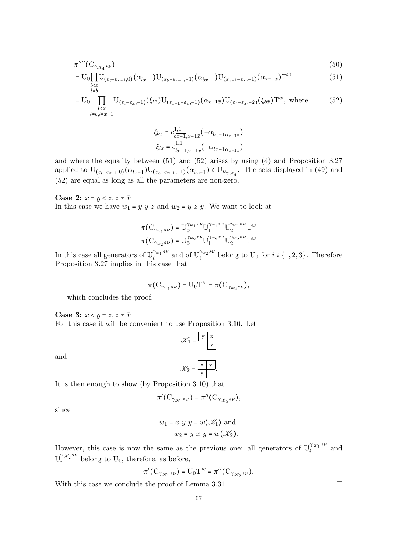$$
\pi^{\prime\prime\prime\prime}(\mathcal{C}_{\gamma_{\mathscr{K}_{4}}*\nu})\tag{50}
$$

$$
= U_0 \prod_{\substack{l(51)
$$

$$
= U_0 \prod_{\substack{l
$$

$$
\xi_{b\bar{x}} = c_{b\overline{x-1},x-1\overline{x}}^{1,1}(-\alpha_{b\overline{x-1}\alpha_{x-1\overline{x}}})
$$

$$
\xi_{l\overline{x}} = c_{l\overline{x-1},x-1\overline{x}}^{1,1}(-\alpha_{l\overline{x-1}\alpha_{x-1\overline{x}}})
$$

and where the equality between (51) and (52) arises by using (4) and Proposition 3.27 applied to  $U_{(\varepsilon_l-\varepsilon_{x-1},0)}(\alpha_{l\overline{x-1}})U_{(\varepsilon_b-\varepsilon_{x-1},-1)}(\alpha_{b\overline{x-1}}) \in U_{\mu_{\gamma_{\mathscr{K}_{4}}}}$ . The sets displayed in (49) and (52) are equal as long as all the parameters are non-zero.

#### **Case 2:**  $x = y \leq z, z \neq \overline{x}$

In this case we have  $w_1 = y \ y \ z$  and  $w_2 = y \ z \ y$ . We want to look at

$$
\pi(\mathbf{C}_{\gamma_{w_1}*\nu}) = \mathbb{U}_0^{\gamma_{w_1}*\nu} \mathbb{U}_1^{\gamma_{w_1}*\nu} \mathbb{U}_2^{\gamma_{w_1}*\nu} \mathbf{T}^w
$$

$$
\pi(\mathbf{C}_{\gamma_{w_2}*\nu}) = \mathbb{U}_0^{\gamma_{w_2}*\nu} \mathbb{U}_1^{\gamma_{w_2}*\nu} \mathbb{U}_2^{\gamma_{w_2}*\nu} \mathbf{T}^w
$$

In this case all generators of  $\mathbb{U}^{\gamma_{w_1}* \nu}_{i}$  $\int_i^{\gamma_{w_1}*\nu}$  and of  $\mathbb{U}_i^{\gamma_{w_2}*\nu}$  $\sum_{i=1}^{m_2}$ <sup>\*</sup> belong to U<sub>0</sub> for  $i \in \{1, 2, 3\}$ . Therefore Proposition 3.27 implies in this case that

$$
\pi(\mathrm{C}_{\gamma_{w_1}\ast \nu})=\mathrm{U}_0\mathrm{T}^w=\pi(\mathrm{C}_{\gamma_{w_2}\ast \nu}),
$$

which concludes the proof.

**Case 3:**  $x < y = z, z \neq \overline{x}$ 

For this case it will be convenient to use Proposition 3.10. Let

$$
\mathcal{K}_1 = \frac{\boxed{y \quad x}}{y}
$$

and

$$
\mathscr{K}_2 = \boxed{\frac{\mathbf{x} \mid \mathbf{y}}{\mathbf{y}}}.
$$

It is then enough to show (by Proposition 3.10) that

$$
\overline{\pi'(C_{\gamma_{\mathscr{K}_{1}}*\nu})} = \overline{\pi''(C_{\gamma_{\mathscr{K}_{2}}*\nu})},
$$

since

$$
w_1 = x \ y \ y = w(\mathscr{K}_1) \text{ and}
$$
  

$$
w_2 = y \ x \ y = w(\mathscr{K}_2).
$$

However, this case is now the same as the previous one: all generators of  $\mathbb{U}^{\gamma_{\mathscr{K}_{1}}*\nu}_{i}$  $\int_{i}^{i\mathcal{K}_{1}}$  and  $\mathbb{U}^{\gamma_{\mathscr{K}_{2}}*\nu}$  $\sum_{i=1}^{7\mathcal{X}_2}$  belong to U<sub>0</sub>, therefore, as before,

$$
\pi'(\mathrm{C}_{\gamma_{\mathscr{K}_{1}}*\nu})=\mathrm{U}_{0}\mathrm{T}^{w}=\pi''(\mathrm{C}_{\gamma_{\mathscr{K}_{2}}*\nu}).
$$

With this case we conclude the proof of Lemma 3.31.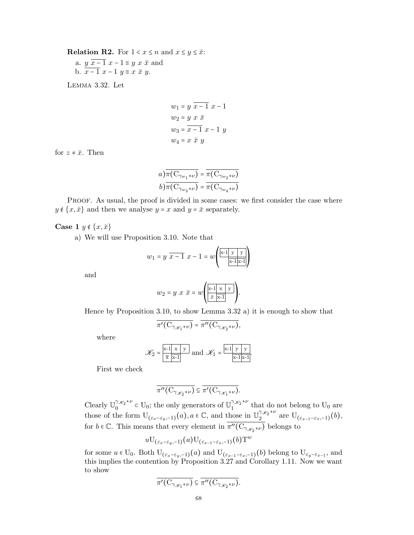**Relation R2.** For  $1 < x \leq n$  and  $x \leq y \leq \overline{x}$ :

a.  $y \overline{x-1} x - 1 \equiv y x \overline{x}$  and b.  $\overline{x-1}$   $x-1$   $y \equiv x \bar{x} y$ .

Lemma 3.32. Let

$$
w_1 = y \overline{x-1} x-1
$$
  
\n
$$
w_2 = y \overline{x} \overline{x}
$$
  
\n
$$
w_3 = \overline{x-1} x-1 y
$$
  
\n
$$
w_4 = x \overline{x} y
$$

for  $z \neq \overline{x}$ . Then

$$
a) \overline{\pi(\mathcal{C}_{\gamma_{w_1}*\nu})} = \overline{\pi(\mathcal{C}_{\gamma_{w_2}*\nu})}
$$

$$
b) \overline{\pi(\mathcal{C}_{\gamma_{w_3}*\nu})} = \overline{\pi(\mathcal{C}_{\gamma_{w_4}*\nu})}
$$

PROOF. As usual, the proof is divided in some cases: we first consider the case where  $y \notin \{x, \bar{x}\}\$ and then we analyse  $y = x$  and  $y = \bar{x}$  separately.

## Case 1  $y \notin \{x, \bar{x}\}\)$

a) We will use Proposition 3.10. Note that

$$
w_1 = y \overline{x-1} \ x - 1 = w \left( \frac{x-1 |y| y}{x-1 |x-1|} \right)
$$

 $\overline{a}$ 

and

$$
w_2 = y \times \bar{x} = w \left( \begin{array}{c|c} x-1 & x & y \\ \hline \bar{x} & x-1 & x \end{array} \right).
$$

Hence by Proposition 3.10, to show Lemma 3.32 a) it is enough to show that

$$
\overline{\pi'(C_{\gamma_{\mathscr{K}_{1}}*\nu})}=\overline{\pi''(C_{\gamma_{\mathscr{K}_{2}}*\nu})},
$$

where

$$
\mathcal{K}_2 = \frac{\mathbf{x} - \mathbf{1} \times \mathbf{y}}{\overline{\mathbf{x}} \cdot \overline{\mathbf{x}} - \mathbf{1}} \text{ and } \mathcal{K}_1 = \frac{\mathbf{x} - \mathbf{1} \times \mathbf{y}}{\mathbf{x} - \mathbf{1} \times \mathbf{1}}.
$$

First we check

$$
\overline{\pi''(\mathcal{C}_{\gamma_{\mathscr{K}_{2}}*\nu})} \subseteq \overline{\pi'(\mathcal{C}_{\gamma_{\mathscr{K}_{1}}*\nu})}.
$$

Clearly  $\mathbb{U}_{0}^{\gamma_{\mathscr{K}_{2}}*\nu}$  $\int_0^{\gamma_{\mathscr{K}_2}\ast \nu}$  c U<sub>0</sub>; the only generators of  $\mathbb{U}_1^{\gamma_{\mathscr{K}_2}\ast \nu}$  $\int_1^{\infty}$  that do not belong to U<sub>0</sub> are those of the form  $U_{(\varepsilon_x-\varepsilon_y,-1)}(a)$ ,  $a \in \mathbb{C}$ , and those in  $\mathbb{U}_2^{\gamma_{\mathscr{K}_2}*\nu}$  $\frac{2}{2}^{\pi x_2 \cdots}$  are  $U_{(\varepsilon_{x-1}-\varepsilon_x,-1)}(b)$ , for  $b \in \mathbb{C}$ . This means that every element in  $\overline{\pi''(\mathcal{C}_{\gamma_{\mathscr{K}_{2}}*\nu})}$  belongs to

$$
u {\rm U}_{(\varepsilon_{x}-\varepsilon_{y}, -1)}(a) {\rm U}_{(\varepsilon_{x-1}-\varepsilon_{x}, -1)}(b) {\rm T}^{w}
$$

for some  $u \in U_0$ . Both  $U_{(\varepsilon_x-\varepsilon_y,-1)}(a)$  and  $U_{(\varepsilon_{x-1}-\varepsilon_x,-1)}(b)$  belong to  $U_{\varepsilon_y-\varepsilon_{x-1}}$ , and this implies the contention by Proposition 3.27 and Corollary 1.11. Now we want to show

$$
\overline{\pi'(C_{\gamma_{\mathscr{K}_{1}}*\nu})} \subseteq \overline{\pi''(C_{\gamma_{\mathscr{K}_{2}}*\nu})}.
$$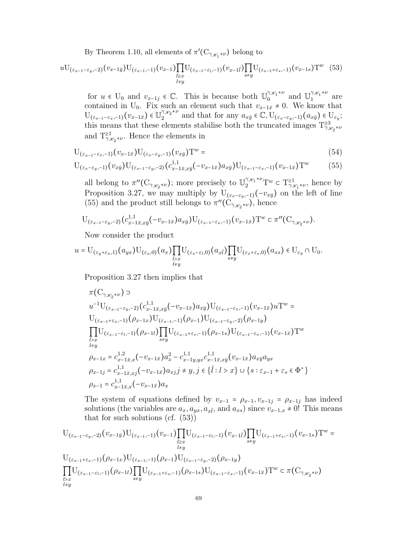By Theorem 1.10, all elements of  $\pi'(\mathrm{C}_{\gamma_{\mathscr{K}_{1}}*\nu})$  belong to

$$
uU_{(\varepsilon_{x-1}-\varepsilon_{y},-2)}(v_{x-1\bar{y}})U_{(\varepsilon_{x-1},-1)}(v_{x-1})\prod_{\substack{l\geq x\\l\neq y}}U_{(\varepsilon_{x-1}-\varepsilon_{l},-1)}(v_{x-1\bar{l}})\prod_{s\neq y}U_{(\varepsilon_{x-1}+\varepsilon_{s},-1)}(v_{x-1\bar{s}})T^{w}
$$
(53)

for  $u \in U_0$  and  $v_{x-1j} \in \mathbb{C}$ . This is because both  $\mathbb{U}_0^{\gamma_{\mathscr{K}_1}*\nu}$  $\int_0^{\gamma_{\mathscr{K}_{1}}*\nu}$  and  $\mathbb{U}_1^{\gamma_{\mathscr{K}_{1}}*\nu}$  $1^{\mathcal{X}_1^{\gamma \nu}}$  are contained in U<sub>0</sub>. Fix such an element such that  $v_{x-1\bar{x}} \neq 0$ . We know that  $U_{(\varepsilon_{x-1}-\varepsilon_{x}, -1)}(v_{x-1\bar{x}}) \in \mathbb{U}_{2}^{\gamma_{\mathscr{K}_{2}}*\nu}$  $a_2^{\gamma_{\mathscr{K}_{2}}*\nu}$  and that for any  $a_{x\bar{y}} \in \mathbb{C}$ ,  $U_{(\varepsilon_x-\varepsilon_y,-1)}(a_{x\bar{y}}) \in U_{\varepsilon_y};$ this means that these elements stabilise both the truncated images  $T^{≥3}_{\gamma_{\mathscr{K}_2}*\nu}$ and  $T^{\geq 1}_{\gamma_{\mathscr{K}_{2}}*\nu}$ . Hence the elements in

$$
U_{(\varepsilon_{x-1}-\varepsilon_x,-1)}(v_{x-1\bar{x}})U_{(\varepsilon_x-\varepsilon_y,-1)}(v_{x\bar{y}})T^w = (54)
$$

$$
U_{(\varepsilon_x-\varepsilon_y,-1)}(v_{x\bar{y}})U_{(\varepsilon_{x-1}-\varepsilon_y,-2)}(c_{x-1\bar{x},x\bar{y}}^{1,1}(-v_{x-1\bar{x}})a_{x\bar{y}})U_{(\varepsilon_{x-1}-\varepsilon_x,-1)}(v_{x-1\bar{x}})T^w
$$
(55)

all belong to  $\pi''(\mathcal{C}_{\gamma_{\mathscr{K}_{2}}*\nu})$ ; more precisely to  $\mathbb{U}_{2}^{\gamma_{\mathscr{K}_{1}}*\nu}\tau^{w} \subset T_{\gamma_{\mathscr{K}_{1}}*\nu}^{21}$ , hence by Proposition 3.27, we may multiply by  $U_{(\varepsilon_x-\varepsilon_y,-1)}(-v_{x\bar{y}})$  on the left of line (55) and the product still belongs to  $\pi''(\mathcal{C}_{\gamma_{\mathscr{K}_{2}}*\nu})$ , hence

$$
\mathcal{U}_{(\varepsilon_{x-1}-\varepsilon_y,-2)}(c_{x-1\bar{x},x\bar{y}}^{1,1}(-v_{x-1\bar{x}})a_{x\bar{y}})\mathcal{U}_{(\varepsilon_{x-1}-\varepsilon_x,-1)}(v_{x-1\bar{x}})\mathcal{T}^w \subset \pi''(\mathcal{C}_{\gamma_{\mathscr{K}_{2}}*\nu}).
$$

Now consider the product

$$
u= \mathrm{U}_{(\varepsilon_y+\varepsilon_x,1)}(a_{yx}) \mathrm{U}_{(\varepsilon_x,0)}(a_x) \prod_{\substack{l>x\\ l\neq y}} \mathrm{U}_{(\varepsilon_x-\varepsilon_l,0)}(a_{x\bar{l}}) \prod_{s\neq y} \mathrm{U}_{(\varepsilon_x+\varepsilon_s,0)}(a_{xs})\in \mathrm{U}_{\varepsilon_y}\cap \mathrm{U}_0.
$$

Proposition 3.27 then implies that

$$
\pi(C_{\gamma_{\mathscr{K}_{2}}*\nu}) \supset
$$
\n
$$
u^{-1}U_{(\varepsilon_{x-1}-\varepsilon_{y},-2)}(c_{x-1\bar{x},x\bar{y}}^{1,1}(-v_{x-1\bar{x}})a_{x\bar{y}})U_{(\varepsilon_{x-1}-\varepsilon_{x},-1)}(v_{x-1\bar{x}})uT^{w} =
$$
\n
$$
U_{(\varepsilon_{x-1}+\varepsilon_{x},-1)}(\rho_{x-1\bar{x}})U_{(\varepsilon_{x-1},-1)}(\rho_{x-1})U_{(\varepsilon_{x-1}-\varepsilon_{y},-2)}(\rho_{x-1\bar{y}})
$$
\n
$$
\prod_{\substack{l>x}} U_{(\varepsilon_{x-1}-\varepsilon_{l},-1)}(\rho_{x-1\bar{l}})\prod_{s\neq y} U_{(\varepsilon_{x-1}+\varepsilon_{s},-1)}(\rho_{x-1\bar{s}})U_{(\varepsilon_{x-1}-\varepsilon_{x},-1)}(v_{x-1\bar{x}})T^{w}
$$
\n
$$
\mu_{xy}
$$
\n
$$
\rho_{x-1x} = c_{x-1\bar{x},x}^{1,2}(-v_{x-1\bar{x}})a_{x}^{2} - c_{x-1y,yx}^{1,1}c_{x-1\bar{x},x\bar{y}}(v_{x-1\bar{x}})a_{x\bar{y}}a_{yx}
$$
\n
$$
\rho_{x-1\bar{j}} = c_{x-1\bar{x},x\bar{j}}^{1,1}(-v_{x-1\bar{x}})a_{x\bar{j}}\bar{j} \neq y, \bar{j} \in \{\bar{l}: l > x\} \cup \{s: \varepsilon_{x-1} + \varepsilon_{s} \in \Phi^{+}\}
$$
\n
$$
\rho_{x-1} = c_{x-1\bar{x},x}^{1,1}(-v_{x-1\bar{x}})a_{x}
$$

The system of equations defined by  $v_{x-1} = \rho_{x-1}, v_{x-1,j} = \rho_{x-1,j}$  has indeed solutions (the variables are  $a_x, a_{yx}, a_{x\bar{l}}$ , and  $a_{xs}$ ) since  $v_{x-1,x} \neq 0$ ! This means that for such solutions (cf.  $(53)$ )

$$
U_{(\varepsilon_{x-1}-\varepsilon_{y},-2)}(v_{x-1\bar{y}})U_{(\varepsilon_{x-1},-1)}(v_{x-1})\prod_{\substack{l\geq x\\l\neq y}}U_{(\varepsilon_{x-1}-\varepsilon_{l},-1)}(v_{x-1\bar{l}})\prod_{s\neq y}U_{(\varepsilon_{x-1}+\varepsilon_{s},-1)}(v_{x-1\bar{s}})T^w =
$$
  

$$
U_{(\varepsilon_{x-1}+\varepsilon_{x},-1)}(\rho_{x-1\bar{x}})U_{(\varepsilon_{x-1},-1)}(\rho_{x-1})U_{(\varepsilon_{x-1}-\varepsilon_{y},-2)}(\rho_{x-1\bar{y}})
$$
  

$$
\prod_{\substack{l>x\\l\geq x}}U_{(\varepsilon_{x-1}-\varepsilon_{l},-1)}(\rho_{x-1\bar{l}})\prod_{s\neq y}U_{(\varepsilon_{x-1}+\varepsilon_{s},-1)}(\rho_{x-1\bar{s}})U_{(\varepsilon_{x-1}-\varepsilon_{x},-1)}(v_{x-1\bar{x}})T^w \subset \pi(C_{\gamma_{\mathscr{K}_{2}}*\nu})
$$
  

$$
\lim_{l\neq y}
$$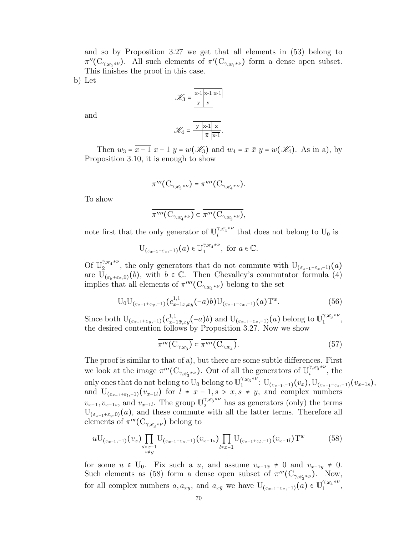and so by Proposition 3.27 we get that all elements in (53) belong to  $\pi''(\mathcal{C}_{\gamma_{\mathscr{K}_{2}}*\nu})$ . All such elements of  $\pi'(\mathcal{C}_{\gamma_{\mathscr{K}_{1}}*\nu})$  form a dense open subset. This finishes the proof in this case.

b) Let

$$
\mathcal{K}_3 = \frac{\mathbf{x} \cdot \mathbf{1} \cdot \mathbf{x} \cdot \mathbf{1} \cdot \mathbf{x} \cdot \mathbf{1}}{\mathbf{y} \cdot \mathbf{y}}
$$

and

$$
\mathscr{K}_4 = \frac{\boxed{y \times 1 \times x}}{\frac{1}{x} \cdot \frac{1}{x-1}}.
$$

Then  $w_3 = \overline{x-1} \ x-1 \ y = w(\mathscr{K}_3)$  and  $w_4 = x \ \overline{x} \ y = w(\mathscr{K}_4)$ . As in a), by Proposition 3.10, it is enough to show

$$
\overline{\pi'''(\mathcal{C}_{\gamma_{\mathscr{K}_{3}}*\nu})} = \overline{\pi''''(\mathcal{C}_{\gamma_{\mathscr{K}_{4}}*\nu})}.
$$

To show

$$
\overline{\pi''''(\mathcal{C}_{\gamma_{\mathscr{K}_{4}}*\nu})} \subset \overline{\pi'''(\mathcal{C}_{\gamma_{\mathscr{K}_{3}}*\nu})},
$$

note first that the only generator of  $\mathbb{U}^{\gamma_{\mathscr{K}_{4}}*\nu}_{i}$  $\sum_{i=1}^{N\mathcal{X}_4}$  that does not belong to  $U_0$  is

$$
\mathrm{U}_{(\varepsilon_{x-1}-\varepsilon_{x},-1)}(a) \in \mathbb{U}^{\gamma_{\mathscr{K}_{4}}*\nu}_{1}, \text{ for } a \in \mathbb{C}.
$$

Of  $\mathbb{U}_{2}^{\gamma_{\mathscr{K}_{4}}*\nu}$  $\sum_{z=1}^{n}$  the only generators that do not commute with  $U_{(\varepsilon_{x-1}-\varepsilon_{x},-1)}(a)$ are  $\overline{U}_{(\varepsilon_{v}+\varepsilon_{x},0)}(b)$ , with  $b \in \mathbb{C}$ . Then Chevalley's commutator formula (4) implies that all elements of  $\pi^{\prime\prime\prime\prime}(\mathrm{C}_{\gamma_{\mathscr{K}_{4}}*\nu})$  belong to the set

$$
U_0U_{(\varepsilon_{x-1}+\varepsilon_y,-1)}(c_{x-1\bar{x},xy}^{1,1}(-a)b)U_{(\varepsilon_{x-1}-\varepsilon_x,-1)}(a)T^w.
$$
 (56)

Since both  $\mathrm{U}_{(\varepsilon_{x-1}+\varepsilon_{y},-1)}(c_{x-1\bar{x},xy}^{1,1}(-a)b)$  and  $\mathrm{U}_{(\varepsilon_{x-1}-\varepsilon_{x},-1)}(a)$  belong to  $\mathbb{U}_{1}^{\gamma_{\mathscr{K}_{3}}*\nu}$  $\frac{1}{1}$ ,  $\frac{1}{1}$ , the desired contention follows by Proposition 3.27. Now we show

$$
\overline{\pi'''}(\mathcal{C}_{\gamma_{\mathscr{K}_{3}}}) \subset \overline{\pi''''}(\mathcal{C}_{\gamma_{\mathscr{K}_{4}}}).\tag{57}
$$

The proof is similar to that of a), but there are some subtle differences. First we look at the image  $\pi'''(\mathcal{C}_{\gamma_{\mathscr{K}_{3}}*\nu})$ . Out of all the generators of  $\mathbb{U}_{i}^{\gamma_{\mathscr{K}_{3}}*\nu}$  $\int_{i}^{\pi}$  is  $\int_{i}^{\pi}$  the only ones that do not belong to  $\mathbb{U}_0$  belong to  $\mathbb{U}_1^{\gamma_{\mathscr{K}_3}*\nu}$  $1^{\gamma_{\mathscr{X}_{3}}\star \nu} \colon {\rm U}_{(\varepsilon_{x-1}, -1)}(v_{x}), {\rm U}_{(\varepsilon_{x-1}-\varepsilon_{s}, -1)}(v_{x-1 s}),$ and  $U_{(\varepsilon_{x-1}+\varepsilon_l,-1)}(v_{x-1l})$  for  $l \neq x-1, s > x, s \neq y$ , and complex numbers  $v_{x-1}, v_{x-1s}$ , and  $v_{x-1l}$ . The group  $\mathbb{U}_{2}^{\gamma_{x_{3}}*\nu}$  has as generators (only) the terms  $U_{(\varepsilon_{x-1}+\varepsilon_{y},0)}(a)$ , and these commute with all the latter terms. Therefore all elements of  $\pi'''(\mathcal{C}_{\gamma_{\mathscr{K}_{3}}*\nu})$  belong to

$$
uU_{(\varepsilon_{x-1},-1)}(v_x)\prod_{\substack{s>x-1\\s\neq y}}U_{(\varepsilon_{x-1}-\varepsilon_s,-1)}(v_{x-1,s})\prod_{l\neq x-1}U_{(\varepsilon_{x-1}+\varepsilon_l,-1)}(v_{x-1,l})T^w
$$
(58)

for some  $u \in U_0$ . Fix such a u, and assume  $v_{x-1\bar{x}} \neq 0$  and  $v_{x-1y} \neq 0$ . Such elements as (58) form a dense open subset of  $\pi'''(\mathcal{C}_{\gamma_{\mathscr{K}_{3}}*\nu})$ . Now, for all complex numbers  $a, a_{xy}$ , and  $a_{x\bar{y}}$  we have  $U_{(\varepsilon_{x-1}-\varepsilon_x,-1)}(a) \in \mathbb{U}_{1}^{\gamma_{\mathscr{K}_{4}}*\nu}$  $\frac{1}{1}$ ,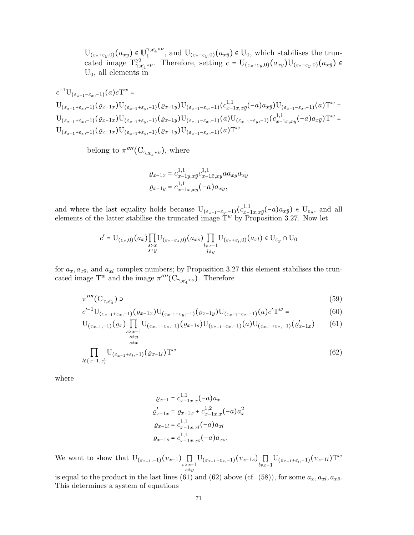$U_{(\varepsilon_x+\varepsilon_y,0)}(a_{xy}) \in \mathbb{U}_{1}^{\gamma_{\mathscr{K}_{4}}*\nu}$  $U_{(z_1,z_2,\ldots,z_{y,0})}(a_{x\bar{y}}) \in U_0$ , which stabilises the truncated image  $T_{\gamma_{\mathscr{K}_{4}}^{*}\ast \nu}^{22}$ . Therefore, setting  $c = U_{(\varepsilon_{x}+\varepsilon_{y},0)}(a_{xy})U_{(\varepsilon_{x}-\varepsilon_{y},0)}(a_{x\bar{y}})$  $U_0$ , all elements in

$$
c^{-1}U_{(\varepsilon_{x-1}+\varepsilon_{x},-1)}(a)cT^{w} =
$$
  
\n
$$
U_{(\varepsilon_{x-1}+\varepsilon_{x},-1)}(\varrho_{x-1x})U_{(\varepsilon_{x-1}+\varepsilon_{y},-1)}(\varrho_{x-1y})U_{(\varepsilon_{x-1}-\varepsilon_{y},-1)}(c_{x-1x,x\bar{y}}^{1,1}(-a)a_{x\bar{y}})U_{(\varepsilon_{x-1}-\varepsilon_{x},-1)}(a)T^{w} =
$$
  
\n
$$
U_{(\varepsilon_{x-1}+\varepsilon_{x},-1)}(\varrho_{x-1x})U_{(\varepsilon_{x-1}+\varepsilon_{y},-1)}(\varrho_{x-1y})U_{(\varepsilon_{x-1}-\varepsilon_{x},-1)}(a)U_{(\varepsilon_{x-1}-\varepsilon_{y},-1)}(c_{x-1x,x\bar{y}}^{1,1}(-a)a_{x\bar{y}})T^{w} =
$$
  
\n
$$
U_{(\varepsilon_{x-1}+\varepsilon_{x},-1)}(\varrho_{x-1x})U_{(\varepsilon_{x-1}+\varepsilon_{y},-1)}(\varrho_{x-1y})U_{(\varepsilon_{x-1}-\varepsilon_{x},-1)}(a)T^{w}
$$

belong to  $\pi^{\prime\prime\prime\prime}$  ( $C_{\gamma_{\mathscr{K}_{4}}*\nu}$ ), where

$$
\varrho_{x-1x} = c_{x-1y,xy}^{1,1} c_{x-1\bar{x},xy}^{1,1} a_{xy} a_{xy} a_{x\bar{y}}
$$

$$
\varrho_{x-1y} = c_{x-1\bar{x},xy}^{1,1} (-a) a_{xy},
$$

and where the last equality holds because  $U_{(\varepsilon_{x-1}-\varepsilon_{y},-1)}(c_{x-1}^{1,1})$  $_{x-1x,x\bar{y}}^{1,1}(-a)a_{x\bar{y}}$ ) ∈  $U_{\varepsilon_{y}},$  and all elements of the latter stabilise the truncated image  $T^w$  by Proposition 3.27. Now let

$$
c' = \mathcal{U}_{(\varepsilon_x,0)}(a_x) \prod_{\substack{s>x\\s\neq y}} \mathcal{U}_{(\varepsilon_x-\varepsilon_s,0)}(a_{x\bar{s}}) \prod_{\substack{l+x-1\\l\neq y}} \mathcal{U}_{(\varepsilon_x+\varepsilon_l,0)}(a_{xl}) \in \mathcal{U}_{\varepsilon_y} \cap \mathcal{U}_0
$$

for  $a_x, a_{x\bar{s}},$  and  $a_{xl}$  complex numbers; by Proposition 3.27 this element stabilises the truncated image  $T^w$  and the image  $\pi^{\prime\prime\prime\prime}(\mathrm{C}_{\gamma_{\mathscr{K}_{4}}*\nu})$ . Therefore

$$
\pi^{\prime\prime\prime\prime}(\mathcal{C}_{\gamma_{\mathscr{K}_{4}}})\supset\tag{59}
$$

$$
c'^{-1}U_{(\varepsilon_{x-1}+\varepsilon_x,-1)}(\varrho_{x-1x})U_{(\varepsilon_{x-1}+\varepsilon_y,-1)}(\varrho_{x-1y})U_{(\varepsilon_{x-1}-\varepsilon_x,-1)}(a)c'T^w = \qquad (60)
$$

$$
U_{(\varepsilon_{x-1},-1)}(\varrho_x) \prod_{\substack{s>x-1\\s\neq y}} U_{(\varepsilon_{x-1}-\varepsilon_s,-1)}(\varrho_{x-1,s}) U_{(\varepsilon_{x-1}-\varepsilon_x,-1)}(a) U_{(\varepsilon_{x-1}+\varepsilon_x,-1)}(\varrho'_{x-1,x}) \qquad (61)
$$

$$
\prod_{l \notin \{x-1, x\}} \mathcal{U}_{(\varepsilon_{x-1} + \varepsilon_l, -1)}(\varrho_{x-1 l}) \mathcal{T}^w
$$
\n(62)

where

$$
\varrho_{x-1} = c_{x-1,x,x}^{1,1}(-a)a_x
$$
  
\n
$$
\varrho'_{x-1x} = \varrho_{x-1x} + c_{x-1,x,x}^{1,2}(-a)a_x^2
$$
  
\n
$$
\varrho_{x-1l} = c_{x-1\bar{x},xl}^{1,1}(-a)a_{xl}
$$
  
\n
$$
\varrho_{x-1\bar{s}} = c_{x-1\bar{x},x\bar{s}}^{1,1}(-a)a_{x\bar{s}}.
$$

We want to show that  $U_{(\varepsilon_{x-1},-1)}(v_{x-1})\prod_{\substack{s>x-1 \ s \neq y}}$  $U_{(\varepsilon_{x-1}-\varepsilon_{s},-1)}(v_{x-1 s}) \prod_{l\neq x-1} U_{(\varepsilon_{x-1}+\varepsilon_{l},-1)}(v_{x-1 l}) T^{w}$ 

is equal to the product in the last lines (61) and (62) above (cf. (58)), for some  $a_x, a_{xl}, a_{x\bar{s}}$ . This determines a system of equations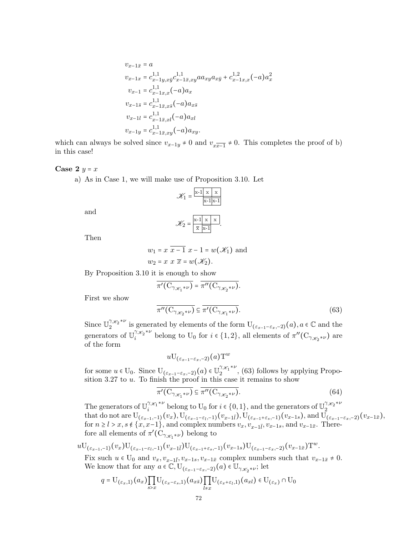$$
v_{x-1\bar{x}} = a
$$
  
\n
$$
v_{x-1x} = c_{x-1y,xy}^{1,1} c_{x-1\bar{x},xy}^{1,1} a_{xy} a_{x\bar{y}} + c_{x-1x,x}^{1,2} (-a) a_x^2
$$
  
\n
$$
v_{x-1} = c_{x-1x,x}^{1,1} (-a) a_x
$$
  
\n
$$
v_{x-1\bar{s}} = c_{x-1\bar{x},x\bar{s}}^{1,1} (-a) a_{x\bar{s}}
$$
  
\n
$$
v_{x-1l} = c_{x-1\bar{x},xl}^{1,1} (-a) a_{xl}
$$
  
\n
$$
v_{x-1y} = c_{x-1\bar{x},xy}^{1,1} (-a) a_{xy}.
$$

which can always be solved since  $v_{x-1y} \neq 0$  and  $v_{x\overline{x-1}} \neq 0$ . This completes the proof of b) in this case!

#### Case 2  $y = x$

a) As in Case 1, we will make use of Proposition 3.10. Let

$$
\mathcal{K}_1 = \frac{\|\mathbf{x} - \mathbf{1}\| \|\mathbf{x}\| \|\mathbf{x}\|}{\|\mathbf{x} - \mathbf{1}\| \|\mathbf{x} - \mathbf{1}\|}
$$

and

$$
\mathscr{K}_2 = \frac{\mathbf{x} \cdot \mathbf{1} \times \mathbf{x}}{\frac{\mathbf{x}}{\mathbf{x}} \cdot \mathbf{1}}.
$$

Then

$$
w_1 = x \overline{x-1} x - 1 = w(\mathcal{K}_1)
$$
 and  

$$
w_2 = x \overline{x} = w(\mathcal{K}_2).
$$

By Proposition 3.10 it is enough to show

$$
\overline{\pi'( \mathrm{C}_{\gamma_{\mathscr{K}_{1}}*\nu})}=\overline{\pi''( \mathrm{C}_{\gamma_{\mathscr{K}_{2}}*\nu})}.
$$

First we show

$$
\overline{\pi''(\mathcal{C}_{\gamma_{\mathscr{K}_{2}}*\nu})} \subseteq \overline{\pi'(\mathcal{C}_{\gamma_{\mathscr{K}_{1}}*\nu})}.
$$
\n(63)

Since  $\mathbb{U}_{2}^{\gamma_{\mathscr{K}_{2}}*\nu}$  $\int_2^{\gamma_{\mathscr{K}_{2}}*\nu}$  is generated by elements of the form  $U_{(\varepsilon_{x-1}-\varepsilon_{x},-2)}(a), a \in \mathbb{C}$  and the generators of  $\mathbb{U}^{\gamma_{\mathscr{K}_{2}}*\nu}_{i}$  $\gamma_{\mathscr{K}_{2}}^{*\nu}$  belong to U<sub>0</sub> for  $i \in \{1,2\}$ , all elements of  $\pi''(\mathcal{C}_{\gamma_{\mathscr{K}_{2}}*\nu})$  are of the form

$$
u {\rm U}_{(\varepsilon_{x-1}-\varepsilon_{x}, -2)}(a) {\rm T}^{w}
$$

for some  $u \in U_0$ . Since  $U_{(\varepsilon_{x-1}-\varepsilon_x,-2)}(a) \in U_2^{\gamma_{\mathscr{K}_1}*\nu}$  $2^{7x_1}$ , (63) follows by applying Proposition  $3.27$  to  $u$ . To finish the proof in this case it remains to show

$$
\overline{\pi'(C_{\gamma_{\mathscr{K}_{1}}*\nu})} \subseteq \overline{\pi''(C_{\gamma_{\mathscr{K}_{2}}*\nu})}.
$$
\n(64)

The generators of  $\mathbb{U}_{i}^{\gamma_{\mathscr{K}_{1}}*\nu}$  belong to  $\mathbb{U}_{0}$  for  $i \in \{0,1\}$ , and the generators of  $\mathbb{U}_{2}^{\gamma_{\mathscr{K}_{2}}*\nu}$ The generators of  $\cup_i$  belong to  $\cup_0$  for  $i \in \{0, 1\}$ , and the generators of  $\cup_2$ <br>that do not are  $U_{(\varepsilon_{x-1},-1)}(v_x)$ ,  $U_{(\varepsilon_{x-1}-\varepsilon_{t},-1)}(v_{x-1}\bar{i})$ ,  $U_{(\varepsilon_{x-1}+\varepsilon_{s},-1)}(v_{x-1}s)$ , and  $U_{(\varepsilon_{x-1}-\varepsilon_{x},-2)}$ for  $n \ge l > x$ ,  $s \notin \{x, x-1\}$ , and complex numbers  $v_x, v_{x-1\bar{l}}, v_{x-1s}$ , and  $v_{x-1\bar{x}}$ . Therefore all elements of  $\pi'(\mathrm{C}_{\gamma_{\mathscr{K}_{1}}*\nu})$  belong to

 $u {\rm U}_{(\varepsilon_{x-1}, -1)}(v_{x}) {\rm U}_{(\varepsilon_{x-1}-\varepsilon_{l}, -1)}(v_{x-1\bar l}) {\rm U}_{(\varepsilon_{x-1}+\varepsilon_{s}, -1)}(v_{x-1 s}) {\rm U}_{(\varepsilon_{x-1}-\varepsilon_{x}, -2)}(v_{x-1\bar x}){\rm T}^{w}.$ 

Fix such  $u \in U_0$  and  $v_x, v_{x-1\bar{l}}, v_{x-1s}, v_{x-1\bar{x}}$  complex numbers such that  $v_{x-1\bar{x}} \neq 0$ . We know that for any  $a \in \mathbb{C}$ ,  $\mathbb{U}_{(\varepsilon_{x-1}-\varepsilon_{x},-2)}(a) \in \mathbb{U}_{\gamma_{\mathscr{K}_{2}}*\nu}$ ; let

$$
q = \mathrm{U}_{(\varepsilon_x,1)}(a_x) \prod_{s>x} \mathrm{U}_{(\varepsilon_x - \varepsilon_s,1)}(a_{x\bar{s}}) \prod_{l \neq x} \mathrm{U}_{(\varepsilon_x + \varepsilon_l,1)}(a_{xl}) \in \mathrm{U}_{(\varepsilon_x)} \cap \mathrm{U}_0
$$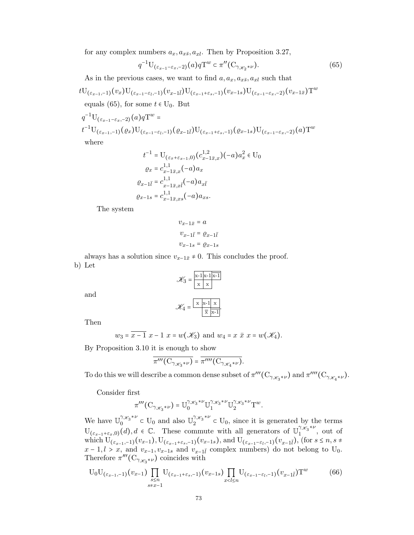for any complex numbers  $a_x, a_{x\bar{s}}, a_{xl}$ . Then by Proposition 3.27,

$$
q^{-1} \mathcal{U}_{(\varepsilon_{x-1}-\varepsilon_x,-2)}(a) q \mathcal{T}^w \subset \pi''(\mathcal{C}_{\gamma_{\mathscr{K}_{2}}*\nu}). \tag{65}
$$

As in the previous cases, we want to find  $a, a_x, a_{x\bar{s}}, a_{x\bar{l}}$  such that

$$
tU_{(\varepsilon_{x-1},-1)}(v_x)U_{(\varepsilon_{x-1}-\varepsilon_l,-1)}(v_{x-l\bar{l}})U_{(\varepsilon_{x-1}+\varepsilon_s,-1)}(v_{x-1s})U_{(\varepsilon_{x-1}-\varepsilon_x,-2)}(v_{x-l\bar{x}})T^w
$$
  
equals (65), for some  $t \in U_0$ . But

$$
q^{-1}U_{(\varepsilon_{x-1}-\varepsilon_x,-2)}(a)qT^w =
$$
  

$$
t^{-1}U_{(\varepsilon_{x-1},-1)}(\varrho_x)U_{(\varepsilon_{x-1}-\varepsilon_l,-1)}(\varrho_{x-1}\bar{l})U_{(\varepsilon_{x-1}+\varepsilon_s,-1)}(\varrho_{x-1}s)U_{(\varepsilon_{x-1}-\varepsilon_x,-2)}(a)T^w
$$
  
where

 $t^{-1} = \mathrm{U}_{(\varepsilon_x + \varepsilon_{x-1}, 0)}(c_{x-1\bar{x},x}^{1,2})(-a)a_x^2 \in \mathrm{U}_0$  $\varrho_x = c_{x-1\bar{x},x}^{1,1}(-a)a_x$  $\varrho_{x-1\bar{l}} = c_{x-1}^{1,1}$  $_{x-1\bar{x},x\bar{l}}^{1,1}(-a)a_{x\bar{l}}$  $\varrho_{x-1 s} = c_{x-1 \bar{x}, x s}^{1,1}(-a) a_{x s}.$ 

The system

$$
v_{x-1\bar{x}} = a
$$
  

$$
v_{x-1\bar{l}} = \varrho_{x-1\bar{l}}
$$
  

$$
v_{x-1s} = \varrho_{x-1s}
$$

always has a solution since  $v_{x-1\bar{x}} \neq 0$ . This concludes the proof. b) Let

$$
\mathcal{K}_3 = \frac{\mathbf{x} \cdot \mathbf{1} \mathbf{x} \cdot \mathbf{1} \mathbf{x} \cdot \mathbf{1}}{\mathbf{x} \cdot \mathbf{x}}
$$

and

$$
\mathcal{K}_4 = \frac{\boxed{\mathbf{x} \ \mathbf{x} \cdot \mathbf{1} \ \mathbf{x}}}{\boxed{\overline{\mathbf{x}} \ \mathbf{x} \cdot \mathbf{1}}}
$$

Then

$$
w_3 = \overline{x-1} \ x-1 \ x = w(\mathscr{K}_3) \ \text{and} \ w_4 = x \ \overline{x} \ x = w(\mathscr{K}_4).
$$

By Proposition 3.10 it is enough to show

$$
\overline{\pi'''(\mathcal{C}_{\gamma_{\mathscr{K}_{3}}*\nu})} = \overline{\pi''''(\mathcal{C}_{\gamma_{\mathscr{K}_{4}}*\nu})}.
$$

To do this we will describe a common dense subset of  $\pi'''(\mathrm{C}_{\gamma_{\mathscr{K}_{3}}*\nu})$  and  $\pi'''(\mathrm{C}_{\gamma_{\mathscr{K}_{4}}*\nu})$ .

Consider first

$$
\pi^{\prime\prime\prime}\big({\rm C}_{\gamma_{\mathscr{K}_{3}}*\nu}\big) = \mathbb{U}^{\gamma_{\mathscr{K}_{3}}*\nu}_{0}\mathbb{U}^{\gamma_{\mathscr{K}_{3}}*\nu}_{1}\mathbb{U}^{\gamma_{\mathscr{K}_{3}}*\nu}_{2}{\rm T}^{w}.
$$

We have  $\mathbb{U}_{0}^{\gamma_{\mathscr{K}_{3}}*\nu}$  $\int_0^{\gamma_{\mathscr{K}_3}*\nu}$  c U<sub>0</sub> and also  $\mathbb{U}_2^{\gamma_{\mathscr{K}_3}*\nu}$  $2^{7x_3}$ <sup> $\in U_0$ </sup>, since it is generated by the terms  $U_{(\varepsilon_{x-1}+\varepsilon_{x},0)}(d), d \in \mathbb{C}$ . These commute with all generators of  $\mathbb{U}_{1}^{\gamma_{\mathscr{K}_{3}}*\nu}$  $1^{x_3}$ , out of which  $U_{(\varepsilon_{x-1},-1)}(v_{x-1}), U_{(\varepsilon_{x-1}+\varepsilon_{s},-1)}(v_{x-1,s}),$  and  $U_{(\varepsilon_{x-1}-\varepsilon_{l},-1)}(v_{x-1}\bar{l}),$  (for  $s \leq n, s \neq 0$  $x - 1, l > x$ , and  $v_{x-1}, v_{x-1,s}$  and  $v_{x-1,l}$  complex numbers) do not belong to U<sub>0</sub>. Therefore  $\pi'''(\mathcal{C}_{\gamma_{\mathscr{K}_{3}}*\nu})$  coincides with

$$
U_0 U_{(\varepsilon_{x-1},-1)}(v_{x-1}) \prod_{\substack{s \le n \\ s \ne x-1}} U_{(\varepsilon_{x-1} + \varepsilon_s, -1)}(v_{x-1,s}) \prod_{x < l \le n} U_{(\varepsilon_{x-1} - \varepsilon_l, -1)}(v_{x-1\bar{l}}) T^w \tag{66}
$$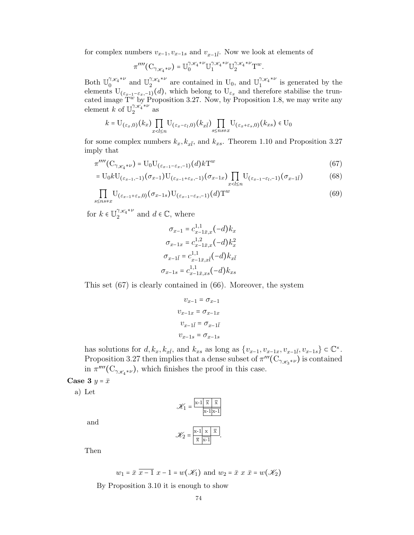for complex numbers  $v_{x-1}, v_{x-1s}$  and  $v_{x-1}\bar{l}$ . Now we look at elements of

$$
\pi^{\prime\prime\prime\prime}(\mathbf{C}_{\gamma_{\mathscr{K}_{4}}*\nu})=\mathbb{U}^{\gamma_{\mathscr{K}_{4}}*\nu}_{0}\mathbb{U}^{\gamma_{\mathscr{K}_{4}}*\nu}_{1}\mathbb{U}^{\gamma_{\mathscr{K}_{4}}*\nu}_{2}\mathbf{T}^{w}.
$$

Both  $\mathbb{U}_{0}^{\gamma_{\mathscr{K}_{4}}*\nu}$  $\int_0^{\gamma_{\mathscr{K}_{4}}*\nu}$  and  $\mathbb{U}^{\gamma_{\mathscr{K}_{4}}*\nu}_{2}$  $\int_2^{\gamma_{\mathscr{K}_{4}}*\nu}$  are contained in U<sub>0</sub>, and  $\mathbb{U}_1^{\gamma_{\mathscr{K}_{4}}*\nu}$  $\int_{1}^{1}$  is generated by the elements  $U_{(\varepsilon_{x-1}-\varepsilon_x,-1)}(d)$ , which belong to  $U_{\varepsilon_x}$  and therefore stabilise the truncated image  $T^{\dot{w}}$  by Proposition 3.27. Now, by Proposition 1.8, we may write any element k of  $\mathbb{U}_{2}^{\gamma_{\mathscr{K}_{4}}^{*_{\mathscr{K}_{4}}^{*_{\mathscr{V}}}}}$  $2^{1\mathcal{K}_4^{\wedge \nu}}$  as

$$
k=\mathrm{U}_{(\varepsilon_{x},0)}(k_{x})\prod_{x< l\leq n}\mathrm{U}_{(\varepsilon_{x}-\varepsilon_{l},0)}(k_{x\bar{l}})\prod_{s\leq n s\neq x}\mathrm{U}_{(\varepsilon_{x}+\varepsilon_{s},0)}(k_{xs})\in \mathrm{U}_{0}
$$

for some complex numbers  $k_x, k_{x\bar{i}}$ , and  $k_{xs}$ . Theorem 1.10 and Proposition 3.27 imply that

$$
\pi^{\prime\prime\prime\prime}(C_{\gamma_{\mathscr{K}_{4}}*\nu}) = U_0 U_{(\varepsilon_{x-1}-\varepsilon_x,-1)}(d)kT^w
$$
\n(67)

$$
= U_0 k U_{(\varepsilon_{x-1}, -1)}(\sigma_{x-1}) U_{(\varepsilon_{x-1} + \varepsilon_x, -1)}(\sigma_{x-1x}) \prod_{x < l \le n} U_{(\varepsilon_{x-1} - \varepsilon_l, -1)}(\sigma_{x-1\bar{l}}) \tag{68}
$$

$$
\prod_{s \leq n s \neq x} U_{(\varepsilon_{x-1} + \varepsilon_s, 0)}(\sigma_{x-1 s}) U_{(\varepsilon_{x-1} - \varepsilon_x, -1)}(d) T^w
$$
\n(69)

for  $k \in \mathbb{U}_{2}^{\gamma_{\mathscr{K}_{4}}*\nu}$  $\int_{2}^{\gamma_{\mathscr{K}_{4}}*\nu}$  and  $d \in \mathbb{C}$ , where

$$
\sigma_{x-1} = c_{x-1\bar{x},x}^{1,1}(-d)k_x
$$

$$
\sigma_{x-1x} = c_{x-1\bar{x},x}^{1,2}(-d)k_x^2
$$

$$
\sigma_{x-1\bar{l}} = c_{x-1\bar{x},x\bar{l}}^{1,1}(-d)k_{x\bar{l}}
$$

$$
\sigma_{x-1s} = c_{x-1\bar{x},xs}^{1,1}(-d)k_{xs}
$$

This set (67) is clearly contained in (66). Moreover, the system

$$
\begin{aligned} v_{x-1} &= \sigma_{x-1} \\ v_{x-1x} &= \sigma_{x-1x} \\ v_{x-1\bar{l}} &= \sigma_{x-1\bar{l}} \\ v_{x-1s} &= \sigma_{x-1s} \end{aligned}
$$

has solutions for  $d, k_x, k_{x\bar{i}}$ , and  $k_{xs}$  as long as  $\{v_{x-1}, v_{x-1x}, v_{x-1\bar{i}}, v_{x-1s}\} \subset \mathbb{C}^{\times}$ . Proposition 3.27 then implies that a dense subset of  $\pi'''(\mathrm{C}_{\gamma_{\mathscr{K}_{3}}*\nu})$  is contained in  $\pi^{\prime\prime\prime\prime}(\mathrm{C}_{\gamma_{\mathscr{K}_{4}}*\nu})$ , which finishes the proof in this case.

Case 3  $y = \bar{x}$ 

a) Let

$$
\mathscr{K}_1 = \frac{\boxed{\mathbf{x} \cdot \mathbf{1} \times \mathbf{1} \times \mathbf{1}}}{\mathbf{x} \cdot \mathbf{1} \times \mathbf{1}}
$$

and

$$
\mathscr{K}_2 = \frac{\mathbf{x} \cdot \mathbf{1} \times \overline{\mathbf{x}}}{\overline{\mathbf{x}} \cdot \overline{\mathbf{x}} \cdot \mathbf{1}}.
$$

Then

$$
w_1 = \overline{x} \overline{x-1} x - 1 = w(\mathcal{K}_1)
$$
 and  $w_2 = \overline{x} x \overline{x} = w(\mathcal{K}_2)$ 

By Proposition 3.10 it is enough to show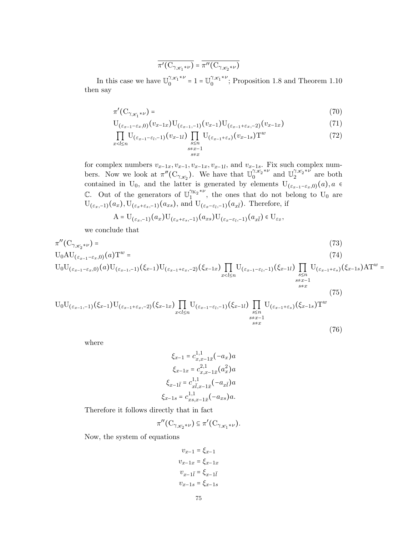$$
\overline{\pi'(C_{\gamma_{\mathscr{K}_{1}}*\nu})} = \overline{\pi''(C_{\gamma_{\mathscr{K}_{2}}*\nu})}
$$

In this case we have  $\mathbb{U}_{0}^{\gamma_{\mathscr{K}_{1}}*\nu}$  $0^{\gamma_{\mathcal{K}_{1}}*\nu} = 1 = \mathbb{U}_{0}^{\gamma_{\mathcal{K}_{1}}*\nu}$  $\binom{7\mathcal{X}_1}{0}$ ; Proposition 1.8 and Theorem 1.10 then say

$$
\pi'(\mathcal{C}_{\gamma_{\mathscr{K}_{1}}*\nu}) = \tag{70}
$$

$$
U_{(\varepsilon_{x-1}-\varepsilon_x,0)}(v_{x-1,x})U_{(\varepsilon_{x-1},-1)}(v_{x-1})U_{(\varepsilon_{x-1}+\varepsilon_x,-2)}(v_{x-1,x})
$$
\n(71)

$$
\prod_{x < l \le n} U_{(\varepsilon_{x-1} - \varepsilon_l, -1)}(v_{x-1l}) \prod_{\substack{s \le n \\ s \ne x-1}} U_{(\varepsilon_{x-1} + \varepsilon_s)}(v_{x-1s}) \mathcal{T}^w \tag{72}
$$

for complex numbers  $v_{x-1x}, v_{x-1}, v_{x-1x}, v_{x-1l}$ , and  $v_{x-1s}$ . Fix such complex numbers. Now we look at  $\pi''(\mathcal{C}_{\gamma_{\mathscr{K}_{2}}})$ . We have that  $\mathbb{U}_{0}^{\gamma_{\mathscr{K}_{2}}^{*_{2}*\nu}}$  $\widetilde{\mathbb{Q}}_0^{\chi_{\mathscr{L}_2}*\nu}$  and  $\mathbb{U}^{\gamma_{\mathscr{K}_2}*\nu}_{2}$  $2^{7\mathscr{X}_2^{\wedge \nu}}$  are both contained in U<sub>0</sub>, and the latter is generated by elements  $U_{(\varepsilon_{x-1}-\varepsilon_x,0)}(a), a \in$ C. Out of the generators of  $\mathbb{U}_1^{\gamma_{K_2}*\nu}$  $1^{16}$ , the ones that do not belong to U<sub>0</sub> are  $U_{(\varepsilon_x,-1)}(a_x)$ ,  $U_{(\varepsilon_x+\varepsilon_s,-1)}(a_{xs})$ , and  $U_{(\varepsilon_x-\varepsilon_l,-1)}(a_{x\bar{l}})$ . Therefore, if

$$
A = U_{(\varepsilon_x, -1)}(a_x)U_{(\varepsilon_x + \varepsilon_s, -1)}(a_{xs})U_{(\varepsilon_x - \varepsilon_t, -1)}(a_{x\overline{t}}) \in U_{\varepsilon_{\overline{x}}},
$$

we conclude that

$$
\pi''(C_{\gamma_{\mathscr{K}_{2}}*\nu}) = (73)
$$
\n
$$
U_{0}AU_{(\varepsilon_{x-1}-\varepsilon_{x},0)}(a)T^{w} = (74)
$$
\n
$$
U_{0}U_{(\varepsilon_{x-1}-\varepsilon_{x},0)}(a)U_{(\varepsilon_{x-1},-1)}(\xi_{x-1})U_{(\varepsilon_{x-1}+\varepsilon_{x},-2)}(\xi_{x-1x})\prod_{x\n
$$
U_{0}U_{(\varepsilon_{x-1},-1)}(\xi_{x-1})U_{(\varepsilon_{x-1}+\varepsilon_{x},-2)}(\xi_{x-1x})\prod_{x\n
$$
(75)
$$
$$
$$

 $s{\neq}x$ 

(76)

where

$$
\xi_{x-1} = c_{x,x-1\bar{x}}^{1,1}(-a_x)a
$$

$$
\xi_{x-1x} = c_{x,x-1\bar{x}}^{2,1}(a_x^2)a
$$

$$
\xi_{x-1\bar{l}} = c_{x\bar{l},x-1\bar{x}}^{1,1}(-a_{x\bar{l}})a
$$

$$
\xi_{x-1s} = c_{xs,x-1\bar{x}}^{1,1}(-a_{xs})a.
$$

Therefore it follows directly that in fact

$$
\pi''(\mathrm{C}_{\gamma_{\mathscr{K}_{2}}*\nu})\subseteq \pi'(\mathrm{C}_{\gamma_{\mathscr{K}_{1}}*\nu}).
$$

Now, the system of equations

$$
v_{x-1} = \xi_{x-1}
$$

$$
v_{x-1x} = \xi_{x-1x}
$$

$$
v_{x-1\bar{l}} = \xi_{x-1\bar{l}}
$$

$$
v_{x-1s} = \xi_{x-1s}
$$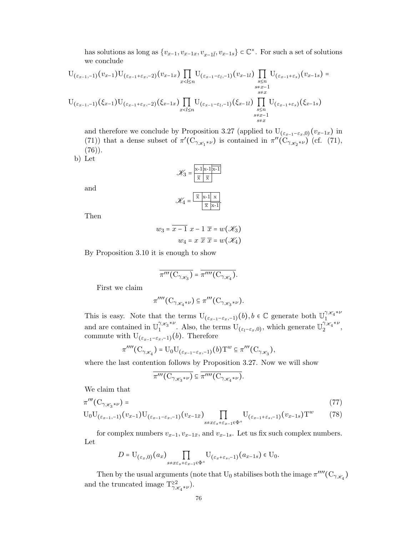has solutions as long as  $\{v_{x-1}, v_{x-1x}, v_{x-1\bar{l}}, v_{x-1s}\}\subset \mathbb{C}^{\times}$ . For such a set of solutions we conclude

$$
U_{(\varepsilon_{x-1},-1)}(v_{x-1})U_{(\varepsilon_{x-1}+\varepsilon_{x},-2)}(v_{x-1x})\prod_{x  

$$
U_{(\varepsilon_{x-1},-1)}(\xi_{x-1})U_{(\varepsilon_{x-1}+\varepsilon_{x},-2)}(\xi_{x-1x})\prod_{x
$$
$$

and therefore we conclude by Proposition 3.27 (applied to  $U_{(\varepsilon_{x-1}-\varepsilon_x,0)}(v_{x-1x})$  in (71)) that a dense subset of  $\pi'(C_{\gamma_{\mathscr{K}_{1}}*\nu})$  is contained in  $\pi''(C_{\gamma_{\mathscr{K}_{2}}*\nu})$  (cf. (71),  $(76)$ .

 $\overline{\mathbf{x}}$   $\mathbf{x-1}$ 

b) Let

$$
\mathcal{K}_3 = \frac{\overline{x} - 1 \overline{x} - 1 \overline{x} - 1}{\overline{x} - \overline{x}}
$$

$$
\mathcal{K}_4 = \frac{\overline{x} - 1 \overline{x} - 1 \overline{x}}{\overline{x} - \overline{x} - 1}
$$

Then

and

$$
w_3 = \overline{x-1} \ x - 1 \ \overline{x} = w(\mathcal{K}_3)
$$

$$
w_4 = x \ \overline{x} \ \overline{x} = w(\mathcal{K}_4)
$$

By Proposition 3.10 it is enough to show

$$
\overline{\pi'''(\mathcal{C}_{\gamma_{\mathscr{K}_{3}}})} = \overline{\pi''''(\mathcal{C}_{\gamma_{\mathscr{K}_{4}}})}.
$$

First we claim

$$
\pi''''(\mathrm{C}_{\gamma_{\mathscr{K}_{4}}*\nu})\subseteq \pi'''(\mathrm{C}_{\gamma_{\mathscr{K}_{3}}*\nu}).
$$

This is easy. Note that the terms  $U_{(\varepsilon_{x-1}-\varepsilon_{x},-1)}(b), b \in \mathbb{C}$  generate both  $U_{1}^{\gamma_{\mathscr{K}_{4}}*\nu}$ 1 and are contained in  $\mathbb{U}^{\gamma_{\mathscr{K}_{3}}*\nu}_{1}$  $\int_1^{\gamma_{\mathscr{K}_3}*\nu}$ . Also, the terms  $U_{(\varepsilon_l-\varepsilon_x,0)}$ , which generate  $\mathbb{U}_2^{\gamma_{\mathscr{K}_4}*\nu}$  $\frac{1\mathcal{X}_4}{2}$ , commute with  $U_{(\varepsilon_{x-1}-\varepsilon_x,-1)}(b)$ . Therefore

$$
\pi''''(\mathcal{C}_{\gamma_{\mathscr{K}_{4}}}) = \mathrm{U}_{0}\mathrm{U}_{(\varepsilon_{x-1}-\varepsilon_{x},-1)}(b)\mathrm{T}^{w} \subseteq \pi'''(\mathcal{C}_{\gamma_{\mathscr{K}_{3}}}),
$$

where the last contention follows by Proposition 3.27. Now we will show

$$
\overline{\pi'''\big(C_{\gamma_{\mathscr{K}_{3}}*\nu}\big)} \subseteq \overline{\pi''''\big(C_{\gamma_{\mathscr{K}_{4}}*\nu}\big)}.
$$

We claim that

$$
\pi^{\prime\prime\prime}(\mathcal{C}_{\gamma_{\mathscr{K}_{3}}*\nu}) = \tag{77}
$$

$$
U_0U_{(\varepsilon_{x-1},-1)}(v_{x-1})U_{(\varepsilon_{x-1}-\varepsilon_x,-1)}(v_{x-1\bar{x}})\prod_{s\neq x\varepsilon_s+\varepsilon_{x-1}\in\Phi^+}U_{(\varepsilon_{x-1}+\varepsilon_s,-1)}(v_{x-1\bar{s}})T^w
$$
 (78)

for complex numbers  $v_{x-1}, v_{x-1\bar{x}}$ , and  $v_{x-1s}$ . Let us fix such complex numbers. Let

$$
D = \mathrm{U}_{(\varepsilon_x,0)}(a_x) \prod_{s+x\varepsilon_s+\varepsilon_{x-1}\in\Phi^+} \mathrm{U}_{(\varepsilon_x+\varepsilon_s,-1)}(a_{x-1,s}) \in \mathrm{U}_0.
$$

Then by the usual arguments (note that  ${\rm U}_0$  stabilises both the image  $\pi''''({\rm C}_{\gamma_{\mathscr{K}_{4}}})$ and the truncated image  $T_{\gamma_{\mathscr{K}_{4}}^{*}\ast\nu}^{\geq 2})$ .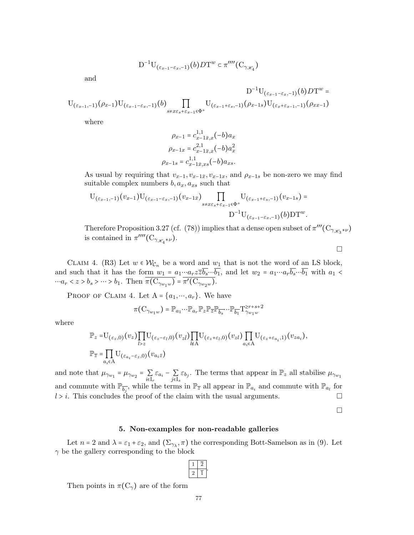$$
D^{-1}U_{(\varepsilon_{x-1}-\varepsilon_x,-1)}(b)DT^w \subset \pi''''(C_{\gamma_{\mathscr{K}_{4}}})
$$

and

$$
D^{-1}U_{(\varepsilon_{x-1},-1)}(\rho_{x-1})U_{(\varepsilon_{x-1}-\varepsilon_{x},-1)}(b)\prod_{s+\varepsilon\varepsilon_{s}+\varepsilon_{x-1}\in\Phi^{+}}U_{(\varepsilon_{x-1}+\varepsilon_{s},-1)}(\rho_{x-1}s)U_{(\varepsilon_{x}+\varepsilon_{x-1},-1)}(\rho_{xx-1})
$$

where

$$
\rho_{x-1} = c_{x-1\bar{x},x}^{1,1}(-b)a_x
$$

$$
\rho_{x-1x} = c_{x-1\bar{x},x}^{2,1}(-b)a_x^2
$$

$$
\rho_{x-1s} = c_{x-1\bar{x},xs}^{1,1}(-b)a_{xs}.
$$

As usual by requiring that  $v_{x-1}, v_{x-1\bar{x}}, v_{x-1x}$ , and  $\rho_{x-1s}$  be non-zero we may find suitable complex numbers  $b, a_x, a_{xs}$  such that

$$
U_{(\varepsilon_{x-1},-1)}(v_{x-1})U_{(\varepsilon_{x-1}-\varepsilon_{x},-1)}(v_{x-1\bar{x}})\prod_{s\neq x\varepsilon_{s}+\varepsilon_{x-1}\in\Phi^{+}}U_{(\varepsilon_{x-1}+\varepsilon_{s},-1)}(v_{x-1s})=
$$

$$
D^{-1}U_{(\varepsilon_{x-1}-\varepsilon_{x},-1)}(b)DT^{w}.
$$

Therefore Proposition 3.27 (cf. (78)) implies that a dense open subset of  $\pi'''(C_{\gamma_{\mathscr{K}_{3}}*\nu})$ is contained in  $\pi^{\prime\prime\prime\prime}(\mathrm{C}_{\gamma_{\mathscr{K}_{4}}*\nu}).$ 

 $\Box$ 

CLAIM 4. (R3) Let  $w \in \mathcal{W}_{\mathcal{C}_n}$  be a word and  $w_1$  that is not the word of an LS block, and such that it has the form  $w_1 = a_1 \cdots a_r \overline{z} \overline{b_s} \cdots \overline{b_1}$ , and let  $w_2 = a_1 \cdots a_r \overline{b_s} \cdots \overline{b_1}$  with  $a_1 <$  $\cdots a_r < z > b_s > \cdots > b_1$ . Then  $\pi(C_{\gamma_{w_1w}}) = \pi'(C_{\gamma_{w_2w}})$ .

PROOF OF CLAIM 4. Let  $A = \{a_1, \dots, a_r\}$ . We have

$$
\pi(\mathbf{C}_{\gamma_{w_1w}}) = \mathbb{P}_{a_1} \cdots \mathbb{P}_{a_r} \mathbb{P}_z \mathbb{P}_{\overline{z}} \mathbb{P}_{\overline{b}_s} \cdots \mathbb{P}_{\overline{b}_1} \mathbf{P}_{\gamma_{w_1w}}^{zr+s+2}
$$

where

$$
\mathbb{P}_{z} = U_{(\varepsilon_{z},0)}(v_{z}) \prod_{l>z} U_{(\varepsilon_{z}-\varepsilon_{l},0)}(v_{z\bar{l}}) \prod_{l \notin A} U_{(\varepsilon_{z}+\varepsilon_{l},0)}(v_{zl}) \prod_{a_{i} \in A} U_{(\varepsilon_{z}+\varepsilon_{a_{i}},1)}(v_{z a_{i}}),
$$
  

$$
\mathbb{P}_{\overline{z}} = \prod_{a_{i} \in A} U_{(\varepsilon_{a_{i}}-\varepsilon_{z},0)}(v_{a_{i}\bar{z}})
$$

and note that  $\mu_{\gamma_{w_1}} = \mu_{\gamma_{w_2}} = \sum_{i \in I_r} \varepsilon_{a_i} - \sum_{j \in I_s} \varepsilon_{b_j}$ . The terms that appear in  $\mathbb{P}_z$  all stabilise  $\mu_{\gamma_{w_1}}$ and commute with  $\mathbb{P}_{\overline{b_j}}$ , while the terms in  $\mathbb{P}_{\overline{z}}$  all appear in  $\mathbb{P}_{a_i}$  and commute with  $\mathbb{P}_{a_l}$  for  $l > i$ . This concludes the proof of the claim with the usual arguments.

 $\Box$ 

#### 5. Non-examples for non-readable galleries

Let  $n = 2$  and  $\lambda = \varepsilon_1 + \varepsilon_2$ , and  $(\Sigma_{\gamma_{\lambda}}, \pi)$  the corresponding Bott-Samelson as in (9). Let  $\gamma$  be the gallery corresponding to the block

$$
\begin{array}{|c|c|}\n\hline\n1 & \overline{2} \\
\hline\n2 & \overline{1}\n\end{array}
$$

.

Then points in  $\pi(C_{\gamma})$  are of the form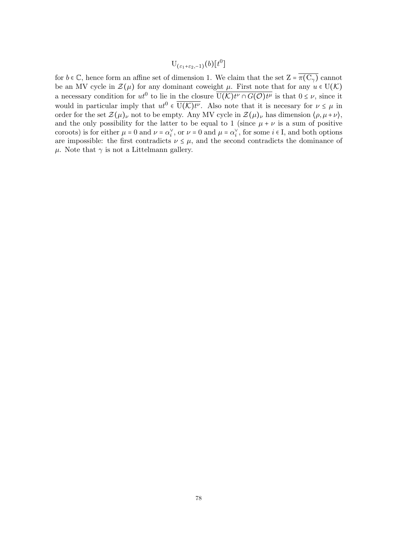${\rm U}_{(\varepsilon_{1}+\varepsilon_{2}, -1)}(b)[t^{0}]$ 

for  $b \in \mathbb{C}$ , hence form an affine set of dimension 1. We claim that the set  $Z = \overline{\pi(C_{\gamma})}$  cannot be an MV cycle in  $\mathcal{Z}(\mu)$  for any dominant coweight  $\mu$ . First note that for any  $u \in U(\mathcal{K})$ a necessary condition for  $ut^0$  to lie in the closure  $\overline{U(\mathcal{K})}t^{\nu} \cap G(\mathcal{O})}t^{\mu}$  is that  $0 \leq \nu$ , since it would in particular imply that  $ut^0 \in \overline{U(\mathcal{K})t^{\nu}}$ . Also note that it is necesary for  $\nu \leq \mu$  in order for the set  $\mathcal{Z}(\mu)_{\nu}$  not to be empty. Any MV cycle in  $\mathcal{Z}(\mu)_{\nu}$  has dimension  $\langle \rho, \mu + \nu \rangle$ , and the only possibility for the latter to be equal to 1 (since  $\mu + \nu$  is a sum of positive coroots) is for either  $\mu = 0$  and  $\nu = \alpha_i^{\vee}$ , or  $\nu = 0$  and  $\mu = \alpha_i^{\vee}$ , for some  $i \in I$ , and both options are impossible: the first contradicts  $\nu \leq \mu$ , and the second contradicts the dominance of  $\mu$ . Note that  $\gamma$  is not a Littelmann gallery.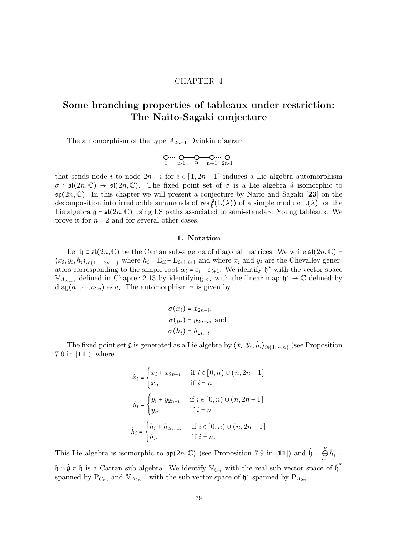# CHAPTER 4

# Some branching properties of tableaux under restriction: The Naito-Sagaki conjecture

The automorphism of the type  $A_{2n-1}$  Dyinkin diagram

$$
\underset{1}{\text{O}\cdots\cdots\text{O}}\underset{n-1}{\text{O}\cdots\text{O}}\underset{n}{\text{O}\cdots\text{O}}\underset{n+1}{\text{O}\cdots\cdots\text{O}}\text{O}
$$

that sends node i to node  $2n - i$  for  $i \in [1, 2n - 1]$  induces a Lie algebra automorphism  $\sigma : \mathfrak{sl}(2n, \mathbb{C}) \to \mathfrak{sl}(2n, \mathbb{C})$ . The fixed point set of  $\sigma$  is a Lie algebra  $\hat{\mathfrak{g}}$  isomorphic to  $\mathfrak{sp}(2n,\mathbb{C})$ . In this chapter we will present a conjecture by Naito and Sagaki [23] on the decomposition into irreducible summands of res  $_{\mathfrak{g}}^{\mathfrak{g}}(L(\lambda))$  of a simple module  $L(\lambda)$  for the Lie algebra  $\mathfrak{g} = \mathfrak{sl}(2n, \mathbb{C})$  using LS paths associated to semi-standard Young tableaux. We prove it for  $n = 2$  and for several other cases.

#### 1. Notation

Let  $\mathfrak{h} \subset \mathfrak{sl}(2n, \mathbb{C})$  be the Cartan sub-algebra of diagonal matrices. We write  $\mathfrak{sl}(2n, \mathbb{C})$  =  $\langle x_i, y_i, h_i \rangle_{i \in \{1, \dots, 2n-1\}}$  where  $h_i = E_{ii} - E_{i+1,i+1}$  and where  $x_i$  and  $y_i$  are the Chevalley generators corresponding to the simple root  $\alpha_i = \varepsilon_i - \varepsilon_{i+1}$ . We identify  $\mathfrak{h}^*$  with the vector space  $\mathbb{V}_{A_{2n-1}}$  defined in Chapter 2.13 by identifying  $\varepsilon_i$  with the linear map  $\mathfrak{h}^* \to \mathbb{C}$  defined by  $diag(a_1, ..., a_{2n}) \rightarrow a_i$ . The automorphism  $\sigma$  is given by

$$
\sigma(x_i) = x_{2n-i},
$$
  
\n
$$
\sigma(y_i) = y_{2n-i},
$$
 and  
\n
$$
\sigma(h_i) = h_{2n-i}
$$

The fixed point set  $\hat{\mathfrak{g}}$  is generated as a Lie algebra by  $\langle \hat{x}_i, \hat{y}_i, \hat{h}_i \rangle_{i \in \{1, \cdots, n\}}$  (see Proposition 7.9 in  $[11]$ , where

$$
\hat{x}_i = \begin{cases}\nx_i + x_{2n-i} & \text{if } i \in [0, n) \cup (n, 2n - 1] \\
x_n & \text{if } i = n\n\end{cases}
$$
\n
$$
\hat{y}_i = \begin{cases}\ny_i + y_{2n-i} & \text{if } i \in [0, n) \cup (n, 2n - 1] \\
y_n & \text{if } i = n\n\end{cases}
$$
\n
$$
\hat{h}_i = \begin{cases}\nh_i + h_{\alpha_{2n-i}} & \text{if } i \in [0, n) \cup (n, 2n - 1] \\
h_n & \text{if } i = n.\n\end{cases}
$$

This Lie algebra is isomorphic to  $\mathfrak{sp}(2n,\mathbb{C})$  (see Proposition 7.9 in [11]) and  $\hat{\mathfrak{h}} = \mathbb{G}$  $\bigoplus_{i=1}^n \hat{h}_i =$  $\mathfrak{h} \cap \hat{\mathfrak{g}} \subset \mathfrak{h}$  is a Cartan sub algebra. We identify  $\mathbb{V}_{C_n}$  with the real sub vector space of  $\hat{\mathfrak{h}}^*$ spanned by  $P_{C_n}$ , and  $V_{A_{2n-1}}$  with the sub vector space of  $\mathfrak{h}^*$  spanned by  $P_{A_{2n-1}}$ .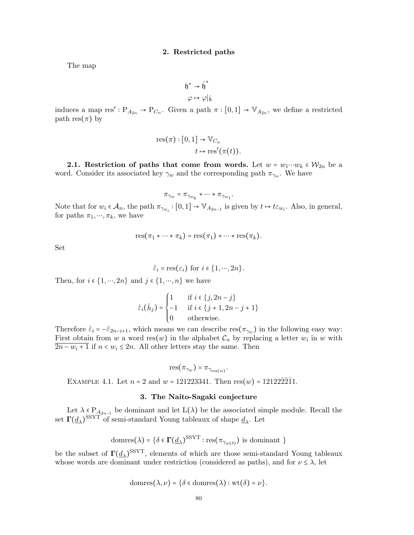### 2. Restricted paths

The map

$$
\mathfrak{h}^* \to \hat{\mathfrak{h}}^*
$$

$$
\varphi \mapsto \varphi|_{\hat{\mathfrak{h}}}
$$

induces a map res' :  $P_{A_{2n}} \to P_{C_n}$ . Given a path  $\pi : [0,1] \to V_{A_{2n}}$ , we define a restricted path res $(\pi)$  by

res(
$$
\pi
$$
) : [0,1]  $\rightarrow$  V<sub>C<sub>n</sub></sub>  
 $t \mapsto \text{res}'(\pi(t)).$ 

2.1. Restriction of paths that come from words. Let  $w = w_1 \cdots w_k \in W_{2n}$  be a word. Consider its associated key  $\gamma_w$  and the corresponding path  $\pi_{\gamma_w}$ . We have

$$
\pi_{\gamma_w} = \pi_{\gamma_{w_k}} \cdot \cdots \cdot \pi_{\gamma_{w_1}}.
$$

Note that for  $w_i \in A_n$ , the path  $\pi_{\gamma w_i} : [0,1] \to \mathbb{V}_{A_{2n-1}}$  is given by  $t \mapsto t \varepsilon_{w_i}$ . Also, in general, for paths  $\pi_1, \dots, \pi_k$ , we have

$$
res(\pi_1 * \cdots * \pi_k) = res(\pi_1) * \cdots * res(\pi_k).
$$

Set

$$
\hat{\varepsilon}_i = \text{res}(\varepsilon_i)
$$
 for  $i \in \{1, \dots, 2n\}.$ 

Then, for  $i \in \{1, \dots, 2n\}$  and  $j \in \{1, \dots, n\}$  we have

$$
\hat{\varepsilon}_i(\hat{h}_j) = \begin{cases} 1 & \text{if } i \in \{j, 2n - j\} \\ -1 & \text{if } i \in \{j + 1, 2n - j + 1\} \\ 0 & \text{otherwise.} \end{cases}
$$

Therefore  $\hat{\varepsilon}_i = -\hat{\varepsilon}_{2n-i+1}$ , which means we can describe res $(\pi_{\gamma_w})$  in the following easy way: First obtain from w a word res(w) in the alphabet  $\mathcal{C}_n$  by replacing a letter  $w_i$  in w with  $\overline{2n - w_i + 1}$  if  $n < w_i \leq 2n$ . All other letters stay the same. Then

$$
res(\pi_{\gamma_w}) = \pi_{\gamma_{res(w)}}
$$

.

EXAMPLE 4.1. Let  $n = 2$  and  $w = 121223341$ . Then  $res(w) = 121222\overline{2}11$ .

#### 3. The Naito-Sagaki conjecture

Let  $\lambda \in P_{A_{2n-1}}$  be dominant and let  $L(\lambda)$  be the associated simple module. Recall the set  $\Gamma(\underline{d}_{\lambda})^{\mathrm{SSYT}}$  of semi-standard Young tableaux of shape  $\underline{d}_{\lambda}$ . Let

$$
\text{domres}(\lambda) = \big\{\delta \in \Gamma(\underline{d}_{\lambda})^{\text{SSYT}} : \text{res}(\pi_{\gamma_w(\delta)}) \text{ is dominant }\big\}
$$

be the subset of  $\Gamma(\underline{d}_{\lambda})^{\text{SSYT}}$ , elements of which are those semi-standard Young tableaux whose words are dominant under restriction (considered as paths), and for  $\nu \leq \lambda$ , let

domres
$$
(\lambda, \nu) = {\delta \in domres(\lambda) : wt(\delta) = \nu}.
$$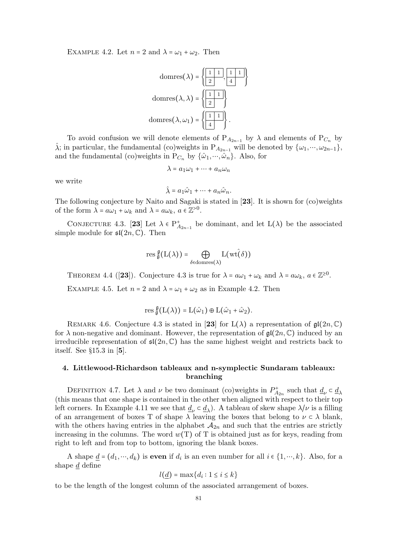EXAMPLE 4.2. Let  $n = 2$  and  $\lambda = \omega_1 + \omega_2$ . Then

domres(
$$
\lambda
$$
) =  $\left\{ \frac{1}{2}, \frac{1}{4} \right\}$   
domres( $\lambda, \lambda$ ) =  $\left\{ \frac{1}{2} \right\}$   
domres( $\lambda, \omega_1$ ) =  $\left\{ \frac{1}{4} \right\}$ .

To avoid confusion we will denote elements of  $P_{A_{2n-1}}$  by  $\lambda$  and elements of  $P_{C_n}$  by  $\hat{\lambda}$ ; in particular, the fundamental (co)weights in  $P_{A_{2n-1}}$  will be denoted by  $\{\omega_1, \dots, \omega_{2n-1}\},$ and the fundamental (co)weights in  $P_{C_n}$  by  $\{\hat{\omega}_1, \cdots, \hat{\omega}_n\}$ . Also, for

$$
\lambda = a_1 \omega_1 + \dots + a_n \omega_n
$$

we write

$$
\hat{\lambda} = a_1 \hat{\omega}_1 + \dots + a_n \hat{\omega}_n.
$$

The following conjecture by Naito and Sagaki is stated in [23]. It is shown for (co)weights of the form  $\overline{\lambda} = a\omega_1 + \omega_k$  and  $\lambda = a\omega_k$ ,  $a \in \mathbb{Z}^{>0}$ .

CONJECTURE 4.3. [23] Let  $\lambda \in P_{A_{2n-1}}^+$  be dominant, and let  $L(\lambda)$  be the associated simple module for  $\mathfrak{sl}(2n,\mathbb{C})$ . Then

$$
\operatorname{res}_{\hat{\mathfrak g}}^{\mathfrak{g}}(L(\lambda))=\bigoplus_{\delta\in\operatorname{domres}(\lambda)}L(\operatorname{wt}\hat(\delta))
$$

THEOREM 4.4 ([23]). Conjecture 4.3 is true for  $\lambda = a\omega_1 + \omega_k$  and  $\lambda = a\omega_k$ ,  $a \in \mathbb{Z}^{\geq 0}$ .

EXAMPLE 4.5. Let  $n = 2$  and  $\lambda = \omega_1 + \omega_2$  as in Example 4.2. Then

$$
{\operatorname{res}\,}^\mathfrak{g}_\mathfrak{g}\bigl(L\bigl(\lambda\bigr)\bigr)=L\bigl(\hat\omega_1\bigr)\oplus L\bigl(\hat\omega_1+\hat\omega_2\bigr).
$$

REMARK 4.6. Conjecture 4.3 is stated in [23] for  $L(\lambda)$  a representation of  $\mathfrak{gl}(2n,\mathbb{C})$ for  $\lambda$  non-negative and dominant. However, the representation of  $\mathfrak{gl}(2n,\mathbb{C})$  induced by an irreducible representation of  $\mathfrak{sl}(2n,\mathbb{C})$  has the same highest weight and restricts back to itself. See §15.3 in [5].

## 4. Littlewood-Richardson tableaux and n-symplectic Sundaram tableaux: branching

DEFINITION 4.7. Let  $\lambda$  and  $\nu$  be two dominant (co)weights in  $P_{A_{2n}}^+$  such that  $\underline{d}_{\nu} \subset \underline{d}_{\lambda}$ (this means that one shape is contained in the other when aligned with respect to their top left corners. In Example 4.11 we see that  $\underline{d}_{\nu} \subset \underline{d}_{\lambda}$ . A tableau of skew shape  $\lambda/\nu$  is a filling of an arrangement of boxes T of shape  $\lambda$  leaving the boxes that belong to  $\nu \in \lambda$  blank, with the others having entries in the alphabet  $A_{2n}$  and such that the entries are strictly increasing in the columns. The word  $w(T)$  of T is obtained just as for keys, reading from right to left and from top to bottom, ignoring the blank boxes.

A shape  $\underline{d} = (d_1, \dots, d_k)$  is **even** if  $d_i$  is an even number for all  $i \in \{1, \dots, k\}$ . Also, for a shape d define

$$
l(\underline{d}) = \max\{d_i : 1 \le i \le k\}
$$

to be the length of the longest column of the associated arrangement of boxes.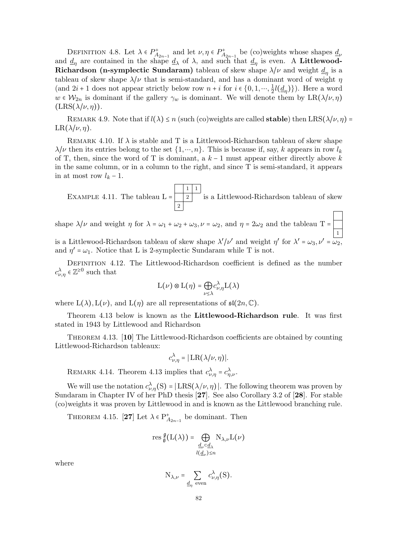DEFINITION 4.8. Let  $\lambda \in P_{A_{2n-1}}^+$  and let  $\nu, \eta \in P_{A_{2n-1}}^+$  be (co)weights whose shapes  $\underline{d}_{\nu}$ and  $\underline{d}_{\eta}$  are contained in the shape  $\underline{d}_{\lambda}$  of  $\lambda$ , and such that  $\underline{d}_{\eta}$  is even. A Littlewood-Richardson (n-symplectic Sundaram) tableau of skew shape  $\lambda/\nu$  and weight  $\underline{d}_\eta$  is a tableau of skew shape  $\lambda/\nu$  that is semi-standard, and has a dominant word of weight  $\eta$ (and  $2i + 1$  does not appear strictly below row  $n + i$  for  $i \in \{0, 1, \dots, \frac{1}{2}\}$  $(\frac{1}{2}l(\underline{d}_{\eta})\})$ . Here a word  $w \in \mathcal{W}_{2n}$  is dominant if the gallery  $\gamma_w$  is dominant. We will denote them by  $LR(\lambda/\nu, \eta)$  $(LRS(\lambda/\nu, \eta)).$ 

REMARK 4.9. Note that if  $l(\lambda) \leq n$  (such (co)weights are called **stable**) then  $LRS(\lambda/\nu, \eta)$  =  $LR(\lambda/\nu, \eta)$ .

REMARK 4.10. If  $\lambda$  is stable and T is a Littlewood-Richardson tableau of skew shape  $\lambda/\nu$  then its entries belong to the set  $\{1, ..., n\}$ . This is because if, say, k appears in row  $l_k$ of T, then, since the word of T is dominant, a  $k-1$  must appear either directly above k in the same column, or in a column to the right, and since T is semi-standard, it appears in at most row  $l_k - 1$ .

EXAMPLE 4.11. The tableau 
$$
L = \begin{bmatrix} 1 & 1 & 1 \\ 2 & 1 & 1 \\ 2 & 1 & 1 \end{bmatrix}
$$
 is a Littlewood-Richardson tableau of skew

shape  $\lambda/\nu$  and weight  $\eta$  for  $\lambda = \omega_1 + \omega_2 + \omega_3$ ,  $\nu = \omega_2$ , and  $\eta = 2\omega_2$  and the tableau T = 1 is a Littlewood-Richardson tableau of skew shape  $\lambda'/\nu'$  and weight  $\eta'$  for  $\lambda' = \omega_3, \nu' = \omega_2$ , and  $\eta' = \omega_1$ . Notice that L is 2-symplectic Sundaram while T is not.

DEFINITION 4.12. The Littlewood-Richardson coefficient is defined as the number  $c_{\nu,\eta}^{\lambda} \in \mathbb{Z}^{\geq 0}$  such that

$$
\mathord{\text{\rm L}}(\nu) \otimes \mathord{\text{\rm L}}(\eta) = \bigoplus_{\nu \leq \lambda} c_{\nu, \eta}^{\lambda} \mathord{\text{\rm L}}(\lambda)
$$

where  $L(\lambda), L(\nu)$ , and  $L(\eta)$  are all representations of  $\mathfrak{sl}(2n,\mathbb{C})$ .

Theorem 4.13 below is known as the Littlewood-Richardson rule. It was first stated in 1943 by Littlewood and Richardson

THEOREM 4.13. [10] The Littlewood-Richardson coefficients are obtained by counting Littlewood-Richardson tableaux:

$$
c_{\nu,\eta}^{\lambda} = |\operatorname{LR}(\lambda/\nu, \eta)|.
$$

REMARK 4.14. Theorem 4.13 implies that  $c_{\nu,\eta}^{\lambda} = c_{\eta,\nu}^{\lambda}$ .

We will use the notation  $c_{\nu,\eta}^{\lambda}(S) = |LRS(\lambda/\nu, \eta)|$ . The following theorem was proven by Sundaram in Chapter IV of her PhD thesis [27]. See also Corollary 3.2 of [28]. For stable (co)weights it was proven by Littlewood in and is known as the Littlewood branching rule.

THEOREM 4.15. [27] Let  $\lambda \in P_{A_{2n-1}}^{+}$  be dominant. Then

$$
\operatorname{res}^{\mathfrak{g}}_{\mathfrak{g}}(L(\lambda))=\bigoplus_{\substack{d_{\nu}\subset\underline{d}_{\lambda}\\ l(\underline{d}_{\nu})\leq n}}{\mathrm{N}_{\lambda,\nu}}L(\nu)
$$

where

$$
N_{\lambda,\nu} = \sum_{\underline{d}_{\eta} \text{ even}} c_{\nu,\eta}^{\lambda}(S).
$$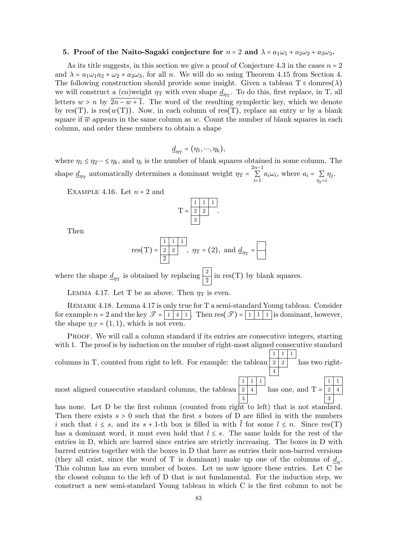#### 5. Proof of the Naito-Sagaki conjecture for  $n = 2$  and  $\lambda = a_1\omega_1 + a_2\omega_2 + a_3\omega_3$ .

As its title suggests, in this section we give a proof of Conjecture 4.3 in the cases  $n = 2$ and  $\lambda = a_1 \omega_1 a_2 + \omega_2 + a_3 \omega_3$ , for all n. We will do so using Theorem 4.15 from Section 4. The following construction should provide some insight. Given a tableau  $T \in \text{domres}(\lambda)$ we will construct a (co)weight  $\eta_T$  with even shape  $\underline{d}_{\eta_T}$ . To do this, first replace, in T, all letters  $w > n$  by  $2n - w + 1$ . The word of the resulting symplectic key, which we denote by res(T), is res( $w(T)$ ). Now, in each column of res(T), replace an entry w by a blank square if  $\overline{w}$  appears in the same column as w. Count the number of blank squares in each column, and order these numbers to obtain a shape

$$
\underline{d}_{\eta_{\mathrm{T}}}=(\eta_1,\cdots,\eta_k),
$$

where  $\eta_1 \leq \eta_2 \cdots \leq \eta_k$ , and  $\eta_i$  is the number of blank squares obtained in some column. The shape  $\underline{d}_{\eta_T}$  automatically determines a dominant weight  $\eta_T = \sum_{i=1}^{2n-1}$  $\sum_{i=1}^{\infty} a_i \omega_i$ , where  $a_i = \sum_{\eta_j=i}$  $\eta_j$ .

EXAMPLE 4.16. Let  $n = 2$  and

$$
T = \begin{array}{|c|c|c|} \hline 1 & 1 & 1 \\ \hline 2 & 2 & . \\ \hline 3 & . & . \\\hline \end{array}
$$

Then

res(T) = 
$$
\frac{1}{2}
$$
  $\frac{1}{2}$ ,  $\eta_T$  = (2), and  $d_{\eta_T}$  =

where the shape  $\underline{d}_{\eta_{\text{T}}}$  is obtained by replacing  $\left|\frac{2}{2}\right|$  in res(T) by blank squares.

LEMMA 4.17. Let T be as above. Then  $\eta_T$  is even.

Remark 4.18. Lemma 4.17 is only true for T a semi-standard Young tableau. Consider for example  $n = 2$  and the key  $\mathscr{T} = \begin{bmatrix} 1 & 4 & 1 \end{bmatrix}$ . Then  $res(\mathscr{T}) = \begin{bmatrix} 1 & 1 & 1 \end{bmatrix}$  is dominant, however, the shape  $\eta_{\mathscr{T}} = (1,1)$ , which is not even.

Proof. We will call a column standard if its entries are consecutive integers, starting with 1. The proof is by induction on the number of right-most aligned consecutive standard columns in T, counted from right to left. For example: the tableau  $1 \mid 1 \mid 1$  $2 \mid 2$ 4 has two right-

most aligned consecutive standard columns, the tableau  $1 \mid 1 \mid 1$  $2 \mid 4 \mid$  has one, and T = 3  $1 \mid 1$  $2 \mid 4$ 3

has none. Let D be the first column (counted from right to left) that is not standard. Then there exists  $s > 0$  such that the first s boxes of D are filled in with the numbers i such that  $i \leq s$ , and its  $s + 1$ -th box is filled in with l for some  $l \leq n$ . Since res(T) has a dominant word, it must even hold that  $l \leq s$ . The same holds for the rest of the entries in D, which are barred since entries are strictly increasing. The boxes in D with barred entries together with the boxes in D that have as entries their non-barred versions (they all exist, since the word of T is dominant) make up one of the columns of  $\underline{d}_{\eta}$ . This column has an even number of boxes. Let us now ignore these entries. Let C be the closest column to the left of D that is not fundamental. For the induction step, we construct a new semi-standard Young tableau in which C is the first column to not be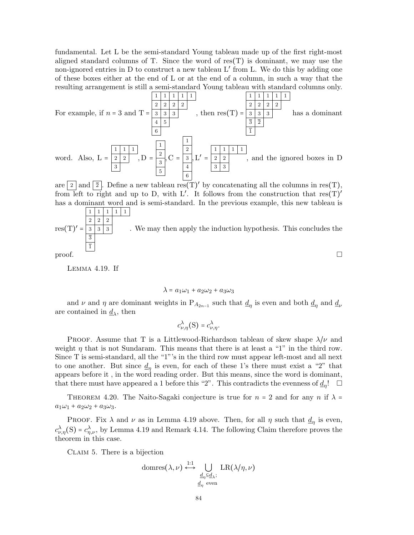fundamental. Let L be the semi-standard Young tableau made up of the first right-most aligned standard columns of T. Since the word of  $res(T)$  is dominant, we may use the non-ignored entries in D to construct a new tableau L′ from L. We do this by adding one of these boxes either at the end of L or at the end of a column, in such a way that the resulting arrangement is still a semi-standard Young tableau with standard columns only.

For example, if 
$$
n = 3
$$
 and  $T = \frac{\begin{vmatrix} 1 & 1 & 1 & 1 & 1 \\ 2 & 2 & 2 & 2 & 2 \\ 3 & 3 & 3 & 3 & 4 \\ 4 & 5 & 6 & 6 \end{vmatrix}$ , then  $res(T) = \frac{\begin{vmatrix} 1 & 1 & 1 & 1 & 1 & 1 \\ 3 & 3 & 3 & 3 & 3 & 3 \\ \hline 3 & 2 & 2 & 2 & 2 \\ 1 & 1 & 1 & 1 & 1 \end{vmatrix}}$  has a dominant  
word. Also,  $L = \frac{\begin{vmatrix} 1 & 1 & 1 & 1 & 1 & 1 \\ 2 & 2 & 2 & 2 & 2 & 2 \\ 6 & 6 & 6 & 6 & 6 \end{vmatrix}}$ , and the ignored boxes in D

are  $\boxed{2}$  and  $\boxed{\overline{2}}$ . Define a new tableau res(T)' by concatenating all the columns in res(T), from left to right and up to D, with L'. It follows from the construction that  $res(T)'$ has a dominant word and is semi-standard. In the previous example, this new tableau is

res(T)' = 
$$
\frac{\frac{1}{2} \times \frac{1}{2} \times \frac{1}{2}}{\frac{3}{2} \times \frac{3}{2}}
$$
 We may then apply the induction hypothesis. This concludes the proof.

Lemma 4.19. If

$$
\lambda = a_1\omega_1 + a_2\omega_2 + a_3\omega_3
$$

and  $\nu$  and  $\eta$  are dominant weights in P<sub>A<sub>2n-1</sub></sub> such that  $\underline{d}_{\eta}$  is even and both  $\underline{d}_{\eta}$  and  $\underline{d}_{\nu}$ are contained in  $\underline{d}_{\lambda}$ , then

$$
c_{\nu,\eta}^{\lambda}(S) = c_{\nu,\eta}^{\lambda}.
$$

PROOF. Assume that T is a Littlewood-Richardson tableau of skew shape  $\lambda/\nu$  and weight  $\eta$  that is not Sundaram. This means that there is at least a "1" in the third row. Since T is semi-standard, all the "1"'s in the third row must appear left-most and all next to one another. But since  $\underline{d}_{\eta}$  is even, for each of these 1's there must exist a "2" that appears before it , in the word reading order. But this means, since the word is dominant, that there must have appeared a 1 before this "2". This contradicts the evenness of  $\underline{d}_{\eta}!$ 

THEOREM 4.20. The Naito-Sagaki conjecture is true for  $n = 2$  and for any n if  $\lambda =$  $a_1\omega_1 + a_2\omega_2 + a_3\omega_3.$ 

PROOF. Fix  $\lambda$  and  $\nu$  as in Lemma 4.19 above. Then, for all  $\eta$  such that  $\underline{d}_{\eta}$  is even,  $c_{\nu,\eta}^{\lambda}(S) = c_{\eta,\nu}^{\lambda}$ , by Lemma 4.19 and Remark 4.14. The following Claim therefore proves the theorem in this case.

CLAIM 5. There is a bijection

domres
$$
(\lambda, \nu)
$$
  $\stackrel{1:1}{\longleftrightarrow}$   $\bigcup_{\substack{d_{\eta} \subseteq d_{\lambda}; \\ d_{\eta} \text{ even}}} \text{LR}(\lambda/\eta, \nu)$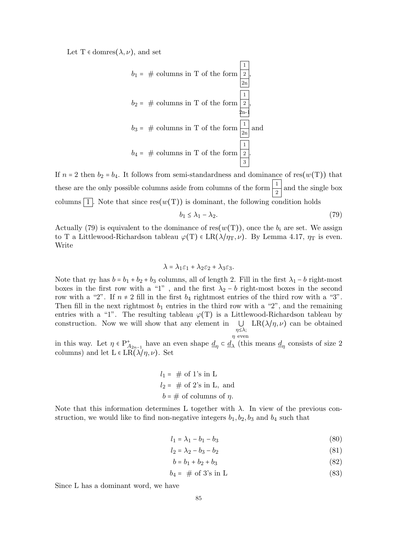Let T  $\in$  domres $(\lambda, \nu)$ , and set

$$
b_1 = #
$$
 columns in T of the form  $\frac{1}{2n}$ ,  
\n $b_2 = #$  columns in T of the form  $\frac{1}{2n}$ ,  
\n $b_3 = #$  columns in T of the form  $\frac{1}{2n}$  and  
\n $b_4 = #$  columns in T of the form  $\frac{1}{2n}$  and  
\n $\frac{1}{3}$ .

If  $n = 2$  then  $b_2 = b_4$ . It follows from semi-standardness and dominance of res(w(T)) that these are the only possible columns aside from columns of the form  $\frac{1}{2}$  and the single box columns  $\boxed{1}$ . Note that since res $(w(T))$  is dominant, the following condition holds

$$
b_1 \le \lambda_1 - \lambda_2. \tag{79}
$$

Actually (79) is equivalent to the dominance of res $(w(T))$ , once the  $b_i$  are set. We assign to T a Littlewood-Richardson tableau  $\varphi(T) \in LR(\lambda/\eta_T, \nu)$ . By Lemma 4.17,  $\eta_T$  is even. Write

$$
\lambda = \lambda_1 \varepsilon_1 + \lambda_2 \varepsilon_2 + \lambda_3 \varepsilon_3.
$$

Note that  $\eta_T$  has  $b = b_1 + b_2 + b_3$  columns, all of length 2. Fill in the first  $\lambda_1 - b$  right-most boxes in the first row with a "1", and the first  $\lambda_2 - b$  right-most boxes in the second row with a "2". If  $n \neq 2$  fill in the first  $b_4$  rightmost entries of the third row with a "3". Then fill in the next rightmost  $b_1$  entries in the third row with a "2", and the remaining entries with a "1". The resulting tableau  $\varphi(T)$  is a Littlewood-Richardson tableau by construction. Now we will show that any element in  $\bigcup \text{LR}(\lambda/\eta,\nu)$  can be obtained η≤λ;  $\eta\,$ even

in this way. Let  $\eta \in P^+_{A_{2n-1}}$  have an even shape  $\underline{d}_{\eta} \subset \underline{d}_{\lambda}$  (this means  $\underline{d}_{\eta}$  consists of size 2 columns) and let  $L \in LR(\lambda/\eta, \nu)$ . Set

$$
l_1 = # of 1's in L
$$
  

$$
l_2 = # of 2's in L, and
$$
  

$$
b = # of columns of \eta.
$$

Note that this information determines L together with  $\lambda$ . In view of the previous construction, we would like to find non-negative integers  $b_1, b_2, b_3$  and  $b_4$  such that

$$
l_1 = \lambda_1 - b_1 - b_3 \tag{80}
$$

$$
l_2 = \lambda_2 - b_3 - b_2 \tag{81}
$$

$$
b = b_1 + b_2 + b_3 \tag{82}
$$

$$
b_4 = # \text{ of } 3\text{'s in L} \tag{83}
$$

Since L has a dominant word, we have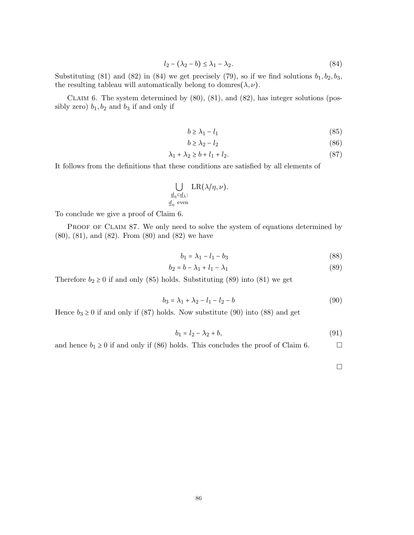$$
l_2 - (\lambda_2 - b) \le \lambda_1 - \lambda_2. \tag{84}
$$

Substituting (81) and (82) in (84) we get precisely (79), so if we find solutions  $b_1, b_2, b_3$ , the resulting tableau will automatically belong to domres $(\lambda, \nu)$ .

CLAIM 6. The system determined by  $(80)$ ,  $(81)$ , and  $(82)$ , has integer solutions (possibly zero)  $b_1$ ,  $b_2$  and  $b_3$  if and only if

$$
b \ge \lambda_1 - l_1 \tag{85}
$$

$$
b \ge \lambda_2 - l_2 \tag{86}
$$

$$
\lambda_1 + \lambda_2 \ge b + l_1 + l_2. \tag{87}
$$

It follows from the definitions that these conditions are satisfied by all elements of

$$
\bigcup_{\substack{d_{\eta} \in \underline{d}_{\lambda}; \\ \underline{d}_{\eta} \text{ even}}} \text{LR}(\lambda/\eta,\nu).
$$

To conclude we give a proof of Claim 6.

PROOF OF CLAIM 87. We only need to solve the system of equations determined by (80), (81), and (82). From (80) and (82) we have

$$
b_1 = \lambda_1 - l_1 - b_3 \tag{88}
$$

$$
b_2 = b - \lambda_1 + l_1 - \lambda_1 \tag{89}
$$

Therefore  $b_2 \geq 0$  if and only (85) holds. Substituting (89) into (81) we get

$$
b_3 = \lambda_1 + \lambda_2 - l_1 - l_2 - b \tag{90}
$$

Hence  $b_3 \ge 0$  if and only if (87) holds. Now substitute (90) into (88) and get

$$
b_1 = l_2 - \lambda_2 + b,\t\t(91)
$$

and hence  $b_1 \ge 0$  if and only if (86) holds. This concludes the proof of Claim 6.

 $\Box$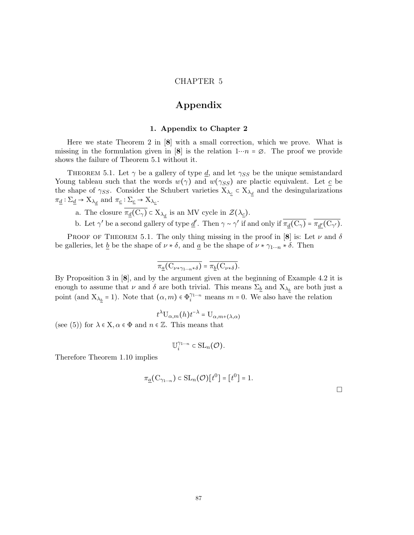## CHAPTER 5

# Appendix

#### 1. Appendix to Chapter 2

Here we state Theorem 2 in  $\mathbf{8}$  with a small correction, which we prove. What is missing in the formulation given in [8] is the relation  $1 \cdots n = \emptyset$ . The proof we provide shows the failure of Theorem 5.1 without it.

THEOREM 5.1. Let  $\gamma$  be a gallery of type d, and let  $\gamma_{SS}$  be the unique semistandard Young tableau such that the words  $w(\gamma)$  and  $w(\gamma_{SS})$  are plactic equivalent. Let c be the shape of  $\gamma_{SS}$ . Consider the Schubert varieties  $X_{\lambda_{\underline{c}}} \subset X_{\lambda_{\underline{d}}}$  and the desingularizations  $\pi_{\underline{d}} : \Sigma_{\underline{d}} \to X_{\lambda_{\underline{d}}}$  and  $\pi_{\underline{c}} : \Sigma_{\underline{c}} \to X_{\lambda_{\underline{c}}}$ .

a. The closure  $\pi_{\underline{d}}(C_{\gamma}) \subset X_{\lambda_d}$  is an MV cycle in  $\mathcal{Z}(\lambda_{\underline{c}})$ .

b. Let  $\gamma'$  be a second gallery of type  $\underline{d}'$ . Then  $\gamma \sim \gamma'$  if and only if  $\overline{\pi_d(C_\gamma)} = \overline{\pi_{d'}(C_{\gamma'})}$ .

PROOF OF THEOREM 5.1. The only thing missing in the proof in [8] is: Let  $\nu$  and  $\delta$ be galleries, let <u>b</u> be the shape of  $\nu * \delta$ , and <u>a</u> be the shape of  $\nu * \gamma_{1\cdots n} * \delta$ . Then

$$
\overline{\pi_{\underline{a}}(C_{\nu\ast\gamma_{1\cdots n}\ast\delta})}=\overline{\pi_{\underline{b}}(C_{\nu\ast\delta})}.
$$

By Proposition 3 in [8], and by the argument given at the beginning of Example 4.2 it is enough to assume that  $\nu$  and  $\delta$  are both trivial. This means  $\Sigma_{\underline{b}}$  and  $X_{\lambda_{\underline{b}}}$  are both just a point (and  $X_{\lambda_b} = 1$ ). Note that  $(\alpha, m) \in \Phi_i^{\gamma_{1\cdots n}}$  means  $m = 0$ . We also have the relation

$$
t^{\lambda} \mathbf{U}_{\alpha,m}(h) t^{-\lambda} = \mathbf{U}_{\alpha,m+(\lambda,\alpha)}
$$

(see (5)) for  $\lambda \in X, \alpha \in \Phi$  and  $n \in \mathbb{Z}$ . This means that

$$
\mathbb{U}^{\gamma_{1\cdots n}}_{i}\subset \mathrm{SL}_{n}(\mathcal{O}).
$$

Therefore Theorem 1.10 implies

$$
\pi_{\underline{a}}(C_{\gamma_{1\cdots n}}) \subset SL_n(\mathcal{O})[t^0] = [t^0] = 1.
$$

 $\Box$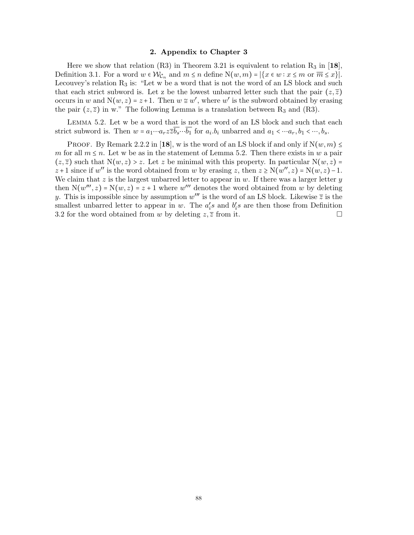### 2. Appendix to Chapter 3

Here we show that relation (R3) in Theorem 3.21 is equivalent to relation  $R_3$  in [18], Definition 3.1. For a word  $w \in \mathcal{W}_{\mathcal{C}_n}$  and  $m \leq n$  define  $N(w, m) = |\{x \in w : x \leq m \text{ or } \overline{m} \leq x\}|$ . Lecouvey's relation  $R_3$  is: "Let w be a word that is not the word of an LS block and such that each strict subword is. Let z be the lowest unbarred letter such that the pair  $(z,\overline{z})$ occurs in w and  $N(w, z) = z + 1$ . Then  $w \cong w'$ , where w' is the subword obtained by erasing the pair  $(z, \overline{z})$  in w." The following Lemma is a translation between R<sub>3</sub> and (R3).

Lemma 5.2. Let w be a word that is not the word of an LS block and such that each strict subword is. Then  $w = a_1 \cdots a_r z \overline{z} b_s \cdots b_1$  for  $a_i \cdot b_i$  unbarred and  $a_1 < \cdots a_r, b_1 < \cdots, b_s$ .

PROOF. By Remark 2.2.2 in [18], w is the word of an LS block if and only if  $N(w, m) \leq$ m for all  $m \leq n$ . Let w be as in the statement of Lemma 5.2. Then there exists in w a pair  $(z,\overline{z})$  such that  $N(w, z) > z$ . Let z be minimal with this property. In particular  $N(w, z) =$  $z+1$  since if w'' is the word obtained from w by erasing z, then  $z \ge N(w'', z) = N(w, z) - 1$ . We claim that  $z$  is the largest unbarred letter to appear in  $w$ . If there was a larger letter  $y$ then  $N(w''', z) = N(w, z) = z + 1$  where w''' denotes the word obtained from w by deleting y. This is impossible since by assumption  $w'''$  is the word of an LS block. Likewise  $\overline{z}$  is the smallest unbarred letter to appear in w. The  $a_i$ 's and  $b_i$ 's are then those from Definition 3.2 for the word obtained from w by deleting  $z, \overline{z}$  from it.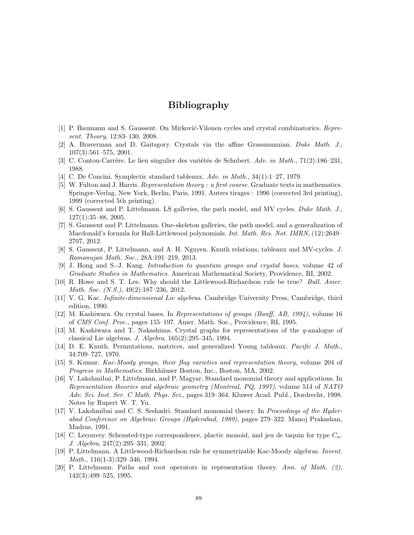# Bibliography

- [1] P. Baumann and S. Gaussent. On Mirković-Vilonen cycles and crystal combinatorics. Represent. Theory, 12:83–130, 2008.
- [2] A. Braverman and D. Gaitsgory. Crystals via the affine Grassmannian. Duke Math. J., 107(3):561–575, 2001.
- [3] C. Contou-Carrére. Le lieu singulier des variétés de Schubert. Adv. in Math.,  $71(2):186-231$ , 1988.
- [4] C. De Concini. Symplectic standard tableaux. Adv. in Math., 34(1):1–27, 1979.
- [5] W. Fulton and J. Harris. Representation theory : a first course. Graduate texts in mathematics. Springer-Verlag, New York, Berlin, Paris, 1991. Autres tirages : 1996 (corrected 3rd printing), 1999 (corrected 5th printing).
- [6] S. Gaussent and P. Littelmann. LS galleries, the path model, and MV cycles. Duke Math. J., 127(1):35–88, 2005.
- [7] S. Gaussent and P. Littelmann. One-skeleton galleries, the path model, and a generalization of Macdonald's formula for Hall-Littlewood polynomials. Int. Math. Res. Not. IMRN, (12):2649– 2707, 2012.
- [8] S. Gaussent, P. Littelmann, and A. H. Nguyen. Knuth relations, tableaux and MV-cycles. J. Ramanujan Math. Soc., 28A:191–219, 2013.
- [9] J. Hong and S.-J. Kang. Introduction to quantum groups and crystal bases, volume 42 of Graduate Studies in Mathematics. American Mathematical Society, Providence, RI, 2002.
- [10] R. Howe and S. T. Lee. Why should the Littlewood-Richardson rule be true? Bull. Amer. Math. Soc. (N.S.), 49(2):187–236, 2012.
- [11] V. G. Kac. *Infinite-dimensional Lie algebras*. Cambridge University Press, Cambridge, third edition, 1990.
- [12] M. Kashiwara. On crystal bases. In Representations of groups (Banff, AB, 1994), volume 16 of CMS Conf. Proc., pages 155–197. Amer. Math. Soc., Providence, RI, 1995.
- [13] M. Kashiwara and T. Nakashima. Crystal graphs for representations of the q-analogue of classical Lie algebras. J.  $Algebra$ ,  $165(2):295-345$ , 1994.
- [14] D. E. Knuth. Permutations, matrices, and generalized Young tableaux. Pacific J. Math., 34:709–727, 1970.
- [15] S. Kumar. Kac-Moody groups, their flag varieties and representation theory, volume 204 of Progress in Mathematics. Birkhäuser Boston, Inc., Boston, MA, 2002.
- [16] V. Lakshmibai, P. Littelmann, and P. Magyar. Standard monomial theory and applications. In Representation theories and algebraic geometry (Montreal, PQ, 1997), volume 514 of NATO Adv. Sci. Inst. Ser. C Math. Phys. Sci., pages 319–364. Kluwer Acad. Publ., Dordrecht, 1998. Notes by Rupert W. T. Yu.
- [17] V. Lakshmibai and C. S. Seshadri. Standard monomial theory. In Proceedings of the Hyderabad Conference on Algebraic Groups (Hyderabad, 1989), pages 279–322. Manoj Prakashan, Madras, 1991.
- [18] C. Lecouvey. Schensted-type correspondence, plactic monoid, and jeu de taquin for type  $C_n$ . J. Algebra, 247(2):295–331, 2002.
- [19] P. Littelmann. A Littlewood-Richardson rule for symmetrizable Kac-Moody algebras. Invent. Math., 116(1-3):329–346, 1994.
- [20] P. Littelmann. Paths and root operators in representation theory. Ann. of Math. (2), 142(3):499–525, 1995.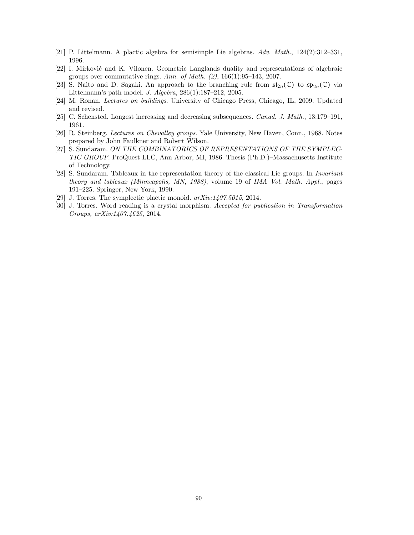- [21] P. Littelmann. A plactic algebra for semisimple Lie algebras.  $Adv. Math., 124(2):312-331,$ 1996.
- [22] I. Mirković and K. Vilonen. Geometric Langlands duality and representations of algebraic groups over commutative rings. Ann. of Math.  $(2)$ , 166(1):95–143, 2007.
- [23] S. Naito and D. Sagaki. An approach to the branching rule from  $\mathfrak{sl}_{2n}(\mathbb{C})$  to  $\mathfrak{sp}_{2n}(\mathbb{C})$  via Littelmann's path model. J. Algebra, 286(1):187–212, 2005.
- [24] M. Ronan. Lectures on buildings. University of Chicago Press, Chicago, IL, 2009. Updated and revised.
- [25] C. Schensted. Longest increasing and decreasing subsequences. Canad. J. Math., 13:179–191, 1961.
- [26] R. Steinberg. Lectures on Chevalley groups. Yale University, New Haven, Conn., 1968. Notes prepared by John Faulkner and Robert Wilson.
- [27] S. Sundaram. ON THE COMBINATORICS OF REPRESENTATIONS OF THE SYMPLEC-TIC GROUP. ProQuest LLC, Ann Arbor, MI, 1986. Thesis (Ph.D.)–Massachusetts Institute of Technology.
- [28] S. Sundaram. Tableaux in the representation theory of the classical Lie groups. In Invariant theory and tableaux (Minneapolis, MN, 1988), volume 19 of IMA Vol. Math. Appl., pages 191–225. Springer, New York, 1990.
- [29] J. Torres. The symplectic plactic monoid.  $arXiv:1407.5015$ , 2014.
- [30] J. Torres. Word reading is a crystal morphism. Accepted for publication in Transformation Groups, arXiv:1407.4625, 2014.